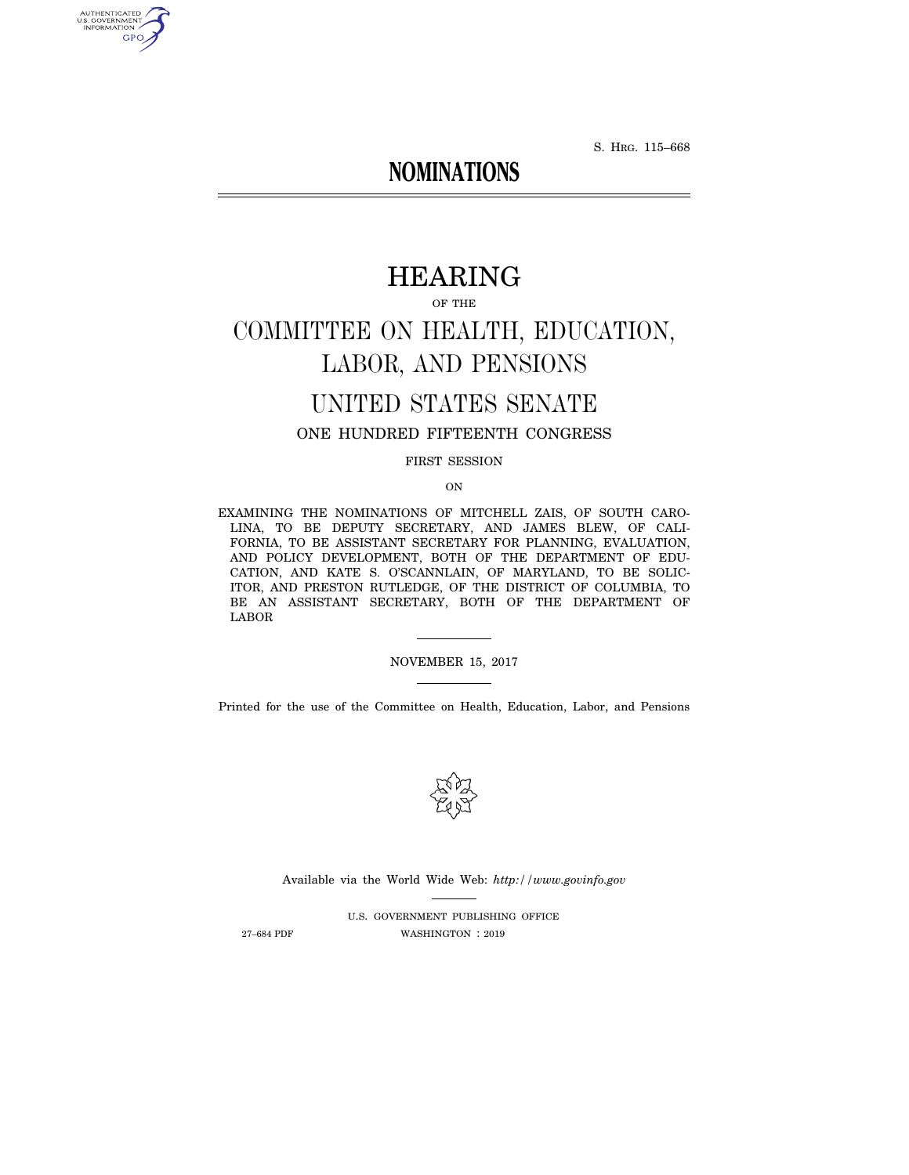S. HRG. 115–668

# **NOMINATIONS**

# HEARING

OF THE

# COMMITTEE ON HEALTH, EDUCATION, LABOR, AND PENSIONS

# UNITED STATES SENATE

# ONE HUNDRED FIFTEENTH CONGRESS

FIRST SESSION

ON

EXAMINING THE NOMINATIONS OF MITCHELL ZAIS, OF SOUTH CARO-LINA, TO BE DEPUTY SECRETARY, AND JAMES BLEW, OF CALI-FORNIA, TO BE ASSISTANT SECRETARY FOR PLANNING, EVALUATION, AND POLICY DEVELOPMENT, BOTH OF THE DEPARTMENT OF EDU-CATION, AND KATE S. O'SCANNLAIN, OF MARYLAND, TO BE SOLIC-ITOR, AND PRESTON RUTLEDGE, OF THE DISTRICT OF COLUMBIA, TO BE AN ASSISTANT SECRETARY, BOTH OF THE DEPARTMENT OF LABOR

NOVEMBER 15, 2017

Printed for the use of the Committee on Health, Education, Labor, and Pensions



Available via the World Wide Web: *http://www.govinfo.gov* 

U.S. GOVERNMENT PUBLISHING OFFICE 27–684 PDF WASHINGTON : 2019

AUTHENTICATED<br>U.S. GOVERNMENT<br>INFORMATION GPO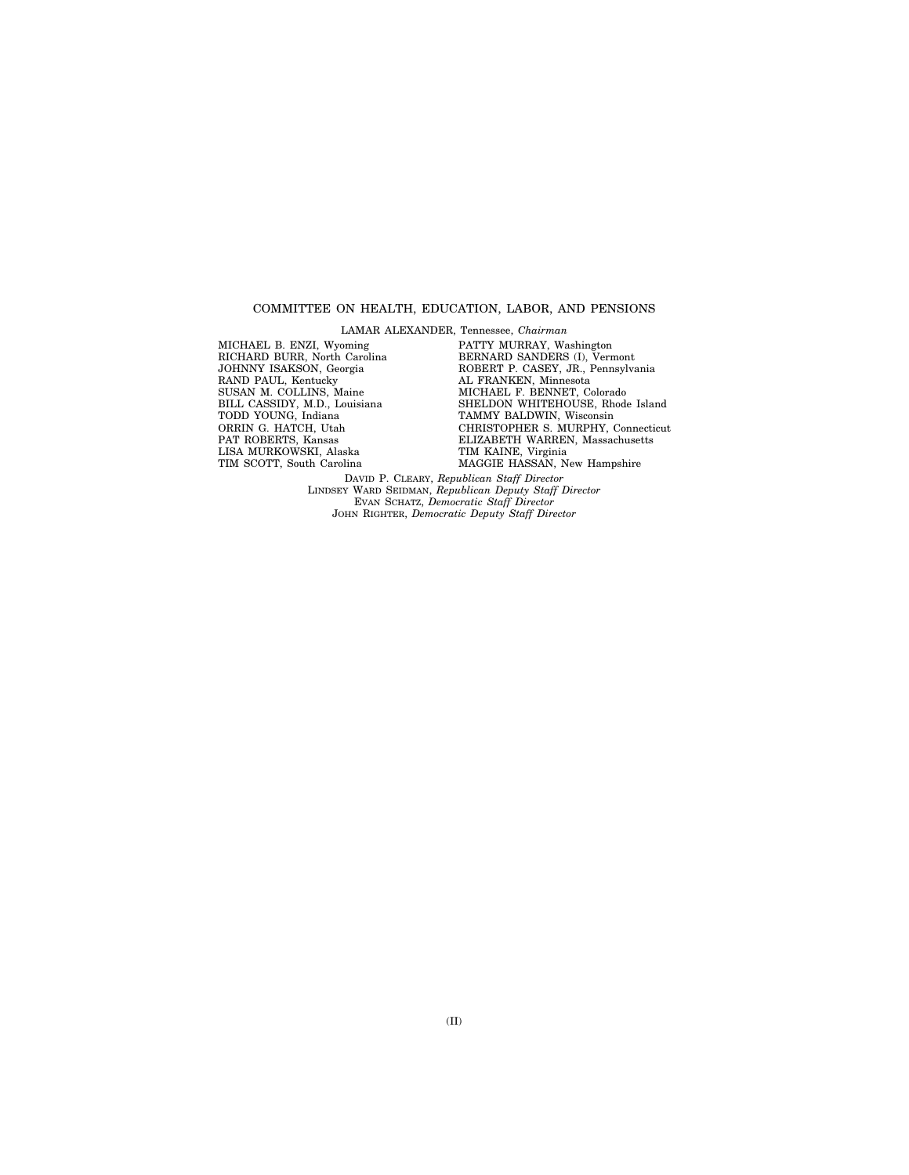#### COMMITTEE ON HEALTH, EDUCATION, LABOR, AND PENSIONS

LAMAR ALEXANDER, Tennessee, *Chairman* 

MICHAEL B. ENZI, Wyoming RICHARD BURR, North Carolina JOHNNY ISAKSON, Georgia RAND PAUL, Kentucky SUSAN M. COLLINS, Maine BILL CASSIDY, M.D., Louisiana TODD YOUNG, Indiana ORRIN G. HATCH, Utah PAT ROBERTS, Kansas LISA MURKOWSKI, Alaska TIM SCOTT, South Carolina

PATTY MURRAY, Washington BERNARD SANDERS (I), Vermont ROBERT P. CASEY, JR., Pennsylvania AL FRANKEN, Minnesota MICHAEL F. BENNET, Colorado SHELDON WHITEHOUSE, Rhode Island TAMMY BALDWIN, Wisconsin CHRISTOPHER S. MURPHY, Connecticut ELIZABETH WARREN, Massachusetts TIM KAINE, Virginia MAGGIE HASSAN, New Hampshire

DAVID P. CLEARY, *Republican Staff Director*  LINDSEY WARD SEIDMAN, *Republican Deputy Staff Director*  EVAN SCHATZ, *Democratic Staff Director*  JOHN RIGHTER, *Democratic Deputy Staff Director*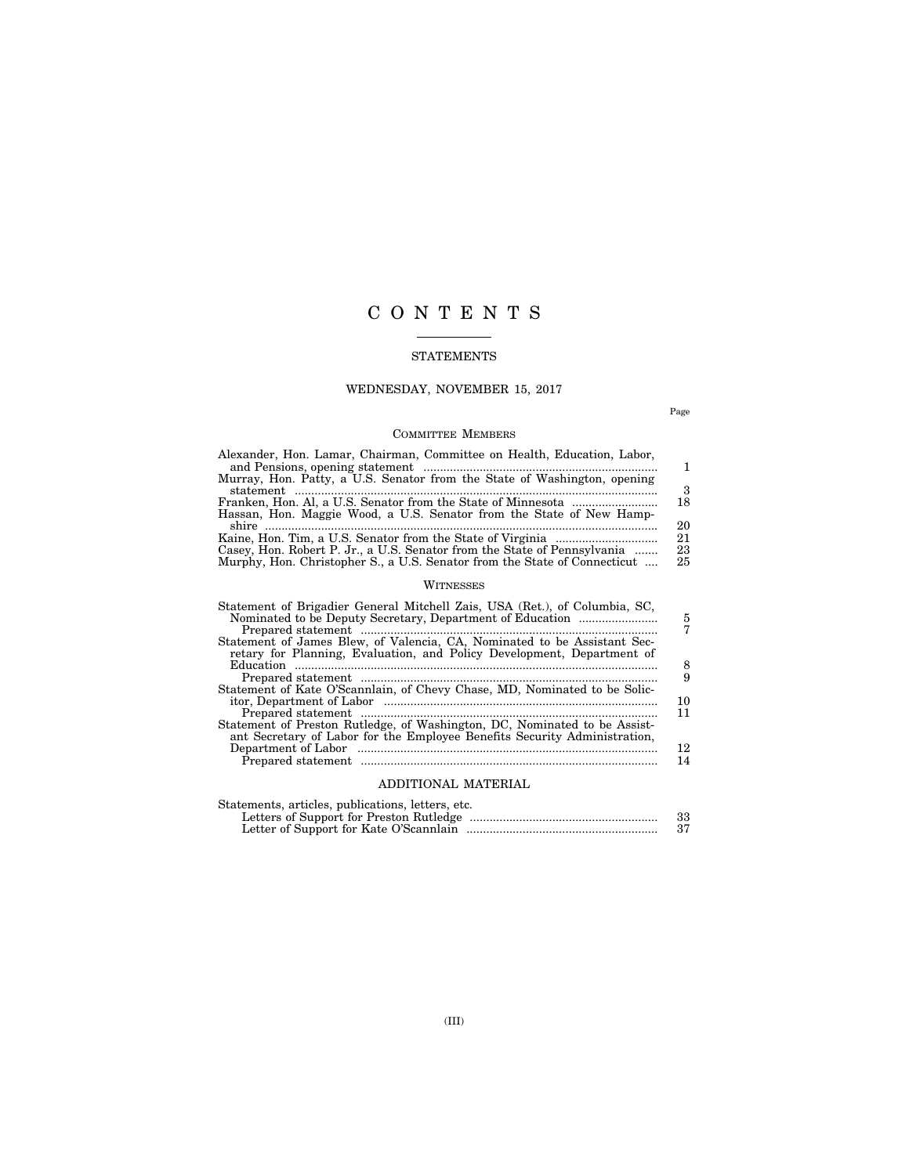# C O N T E N T S

### STATEMENTS

# WEDNESDAY, NOVEMBER 15, 2017

Page

# COMMITTEE MEMBERS

| Alexander, Hon. Lamar, Chairman, Committee on Health, Education, Labor,<br>Murray, Hon. Patty, a U.S. Senator from the State of Washington, opening   | 3              |
|-------------------------------------------------------------------------------------------------------------------------------------------------------|----------------|
| Hassan, Hon. Maggie Wood, a U.S. Senator from the State of New Hamp-                                                                                  | 18<br>20       |
| Casey, Hon. Robert P. Jr., a U.S. Senator from the State of Pennsylvania<br>Murphy, Hon. Christopher S., a U.S. Senator from the State of Connecticut | 21<br>23<br>25 |

### WITNESSES

| Statement of Brigadier General Mitchell Zais, USA (Ret.), of Columbia, SC, | 5  |
|----------------------------------------------------------------------------|----|
| Statement of James Blew, of Valencia, CA, Nominated to be Assistant Sec-   |    |
| retary for Planning, Evaluation, and Policy Development, Department of     |    |
|                                                                            | 8  |
|                                                                            | 9  |
| Statement of Kate O'Scannlain, of Chevy Chase, MD, Nominated to be Solic-  |    |
|                                                                            | 10 |
|                                                                            | 11 |
| Statement of Preston Rutledge, of Washington, DC, Nominated to be Assist-  |    |
| ant Secretary of Labor for the Employee Benefits Security Administration,  |    |
|                                                                            | 12 |
|                                                                            | 14 |
|                                                                            |    |

# ADDITIONAL MATERIAL

| Statements, articles, publications, letters, etc. |    |
|---------------------------------------------------|----|
|                                                   | 33 |
|                                                   |    |
|                                                   |    |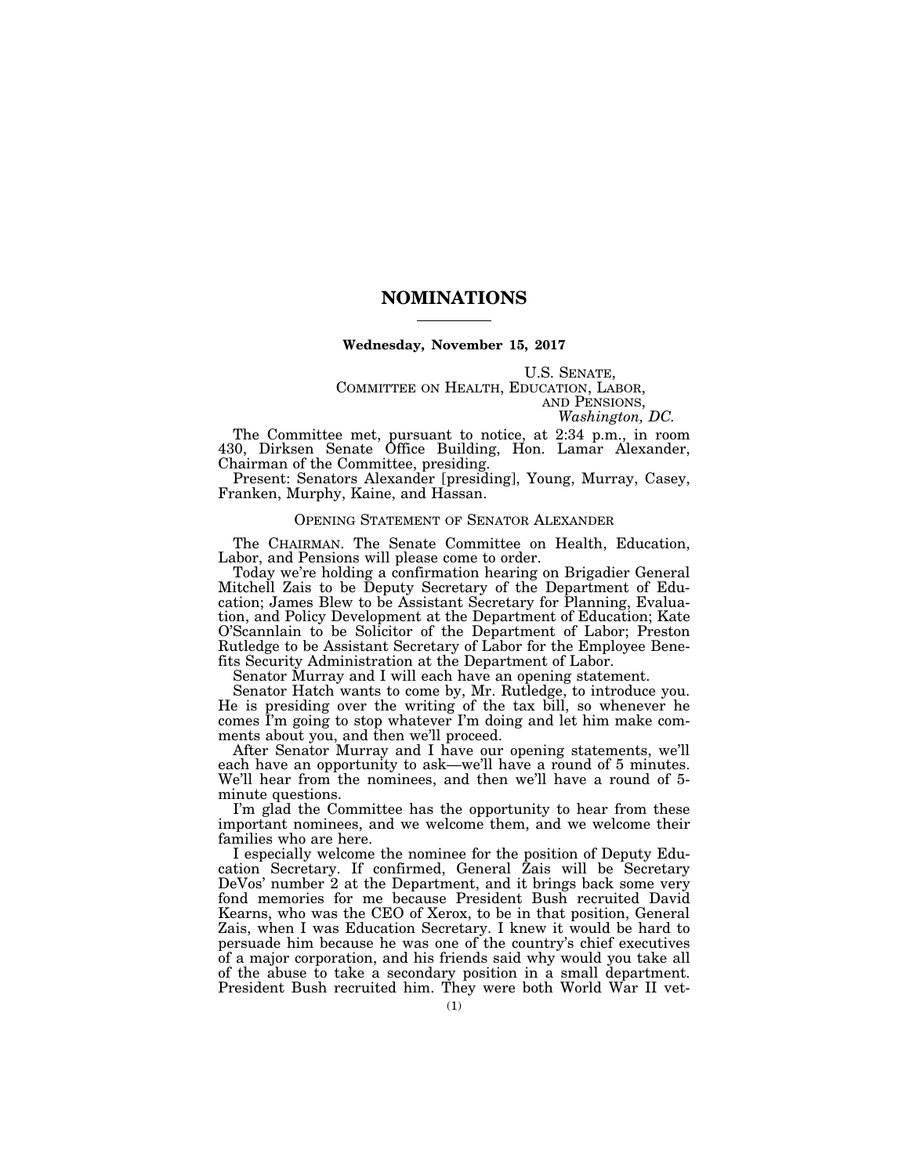## **NOMINATIONS**

#### **Wednesday, November 15, 2017**

U.S. SENATE,<br>COMMITTEE ON HEALTH, EDUCATION, LABOR,<br>AND PENSIONS, *Washington, DC.* 

The Committee met, pursuant to notice, at 2:34 p.m., in room 430, Dirksen Senate Office Building, Hon. Lamar Alexander, Chairman of the Committee, presiding.

Present: Senators Alexander [presiding], Young, Murray, Casey, Franken, Murphy, Kaine, and Hassan.

#### OPENING STATEMENT OF SENATOR ALEXANDER

The CHAIRMAN. The Senate Committee on Health, Education, Labor, and Pensions will please come to order.

Today we're holding a confirmation hearing on Brigadier General Mitchell Zais to be Deputy Secretary of the Department of Education; James Blew to be Assistant Secretary for Planning, Evaluation, and Policy Development at the Department of Education; Kate O'Scannlain to be Solicitor of the Department of Labor; Preston Rutledge to be Assistant Secretary of Labor for the Employee Benefits Security Administration at the Department of Labor.

Senator Murray and I will each have an opening statement.

Senator Hatch wants to come by, Mr. Rutledge, to introduce you. He is presiding over the writing of the tax bill, so whenever he comes I'm going to stop whatever I'm doing and let him make comments about you, and then we'll proceed.

After Senator Murray and I have our opening statements, we'll each have an opportunity to ask—we'll have a round of 5 minutes. We'll hear from the nominees, and then we'll have a round of 5 minute questions.

I'm glad the Committee has the opportunity to hear from these important nominees, and we welcome them, and we welcome their families who are here.

I especially welcome the nominee for the position of Deputy Education Secretary. If confirmed, General Zais will be Secretary DeVos' number  $2$  at the Department, and it brings back some very fond memories for me because President Bush recruited David Kearns, who was the CEO of Xerox, to be in that position, General Zais, when I was Education Secretary. I knew it would be hard to persuade him because he was one of the country's chief executives of a major corporation, and his friends said why would you take all of the abuse to take a secondary position in a small department. President Bush recruited him. They were both World War II vet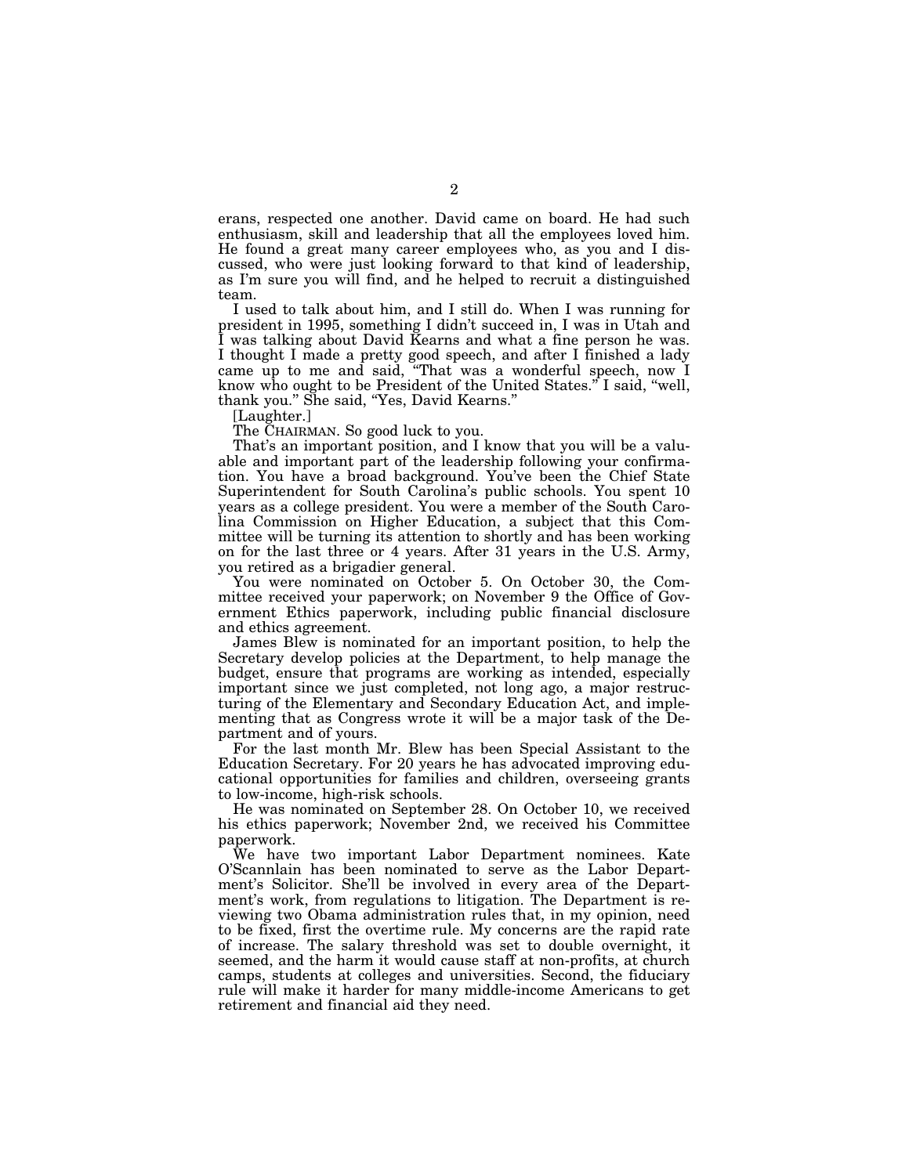erans, respected one another. David came on board. He had such enthusiasm, skill and leadership that all the employees loved him. He found a great many career employees who, as you and I discussed, who were just looking forward to that kind of leadership, as I'm sure you will find, and he helped to recruit a distinguished team.

I used to talk about him, and I still do. When I was running for president in 1995, something I didn't succeed in, I was in Utah and I was talking about David Kearns and what a fine person he was. I thought I made a pretty good speech, and after I finished a lady came up to me and said, ''That was a wonderful speech, now I know who ought to be President of the United States." I said, "well, thank you.'' She said, ''Yes, David Kearns.''

[Laughter.]

The CHAIRMAN. So good luck to you.

That's an important position, and I know that you will be a valuable and important part of the leadership following your confirmation. You have a broad background. You've been the Chief State Superintendent for South Carolina's public schools. You spent 10 years as a college president. You were a member of the South Carolina Commission on Higher Education, a subject that this Committee will be turning its attention to shortly and has been working on for the last three or 4 years. After 31 years in the U.S. Army, you retired as a brigadier general.

You were nominated on October 5. On October 30, the Committee received your paperwork; on November 9 the Office of Government Ethics paperwork, including public financial disclosure and ethics agreement.

James Blew is nominated for an important position, to help the Secretary develop policies at the Department, to help manage the budget, ensure that programs are working as intended, especially important since we just completed, not long ago, a major restructuring of the Elementary and Secondary Education Act, and implementing that as Congress wrote it will be a major task of the Department and of yours.

For the last month Mr. Blew has been Special Assistant to the Education Secretary. For 20 years he has advocated improving educational opportunities for families and children, overseeing grants to low-income, high-risk schools.

He was nominated on September 28. On October 10, we received his ethics paperwork; November 2nd, we received his Committee paperwork.

We have two important Labor Department nominees. Kate O'Scannlain has been nominated to serve as the Labor Department's Solicitor. She'll be involved in every area of the Department's work, from regulations to litigation. The Department is reviewing two Obama administration rules that, in my opinion, need to be fixed, first the overtime rule. My concerns are the rapid rate of increase. The salary threshold was set to double overnight, it seemed, and the harm it would cause staff at non-profits, at church camps, students at colleges and universities. Second, the fiduciary rule will make it harder for many middle-income Americans to get retirement and financial aid they need.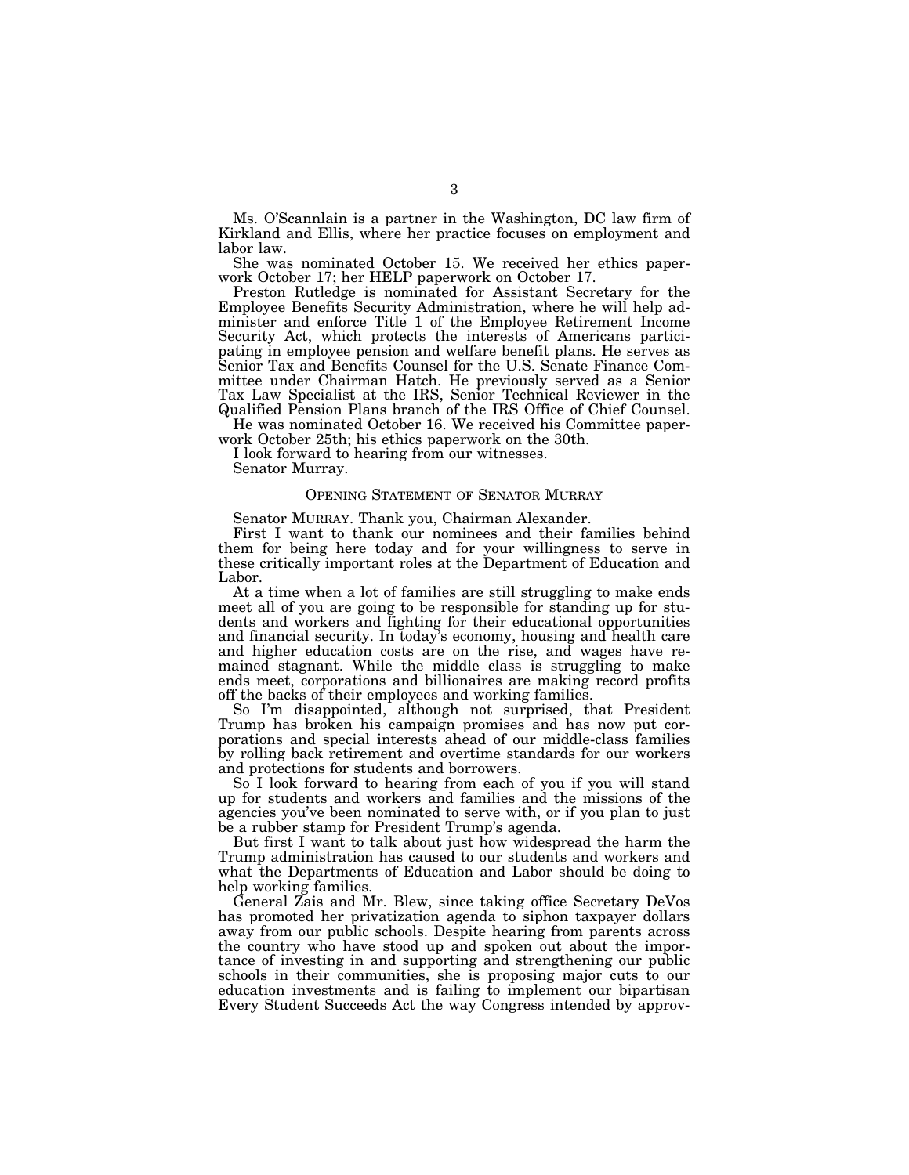Ms. O'Scannlain is a partner in the Washington, DC law firm of Kirkland and Ellis, where her practice focuses on employment and labor law.

She was nominated October 15. We received her ethics paperwork October 17; her HELP paperwork on October 17.

Preston Rutledge is nominated for Assistant Secretary for the Employee Benefits Security Administration, where he will help administer and enforce Title 1 of the Employee Retirement Income Security Act, which protects the interests of Americans participating in employee pension and welfare benefit plans. He serves as Senior Tax and Benefits Counsel for the U.S. Senate Finance Committee under Chairman Hatch. He previously served as a Senior Tax Law Specialist at the IRS, Senior Technical Reviewer in the Qualified Pension Plans branch of the IRS Office of Chief Counsel.

He was nominated October 16. We received his Committee paperwork October 25th; his ethics paperwork on the 30th.

I look forward to hearing from our witnesses.

Senator Murray.

#### OPENING STATEMENT OF SENATOR MURRAY

Senator MURRAY. Thank you, Chairman Alexander.

First I want to thank our nominees and their families behind them for being here today and for your willingness to serve in these critically important roles at the Department of Education and Labor.

At a time when a lot of families are still struggling to make ends meet all of you are going to be responsible for standing up for students and workers and fighting for their educational opportunities and financial security. In today's economy, housing and health care and higher education costs are on the rise, and wages have remained stagnant. While the middle class is struggling to make ends meet, corporations and billionaires are making record profits off the backs of their employees and working families.

So I'm disappointed, although not surprised, that President Trump has broken his campaign promises and has now put corporations and special interests ahead of our middle-class families by rolling back retirement and overtime standards for our workers and protections for students and borrowers.

So I look forward to hearing from each of you if you will stand up for students and workers and families and the missions of the agencies you've been nominated to serve with, or if you plan to just be a rubber stamp for President Trump's agenda.

But first I want to talk about just how widespread the harm the Trump administration has caused to our students and workers and what the Departments of Education and Labor should be doing to help working families.

General Zais and Mr. Blew, since taking office Secretary DeVos has promoted her privatization agenda to siphon taxpayer dollars away from our public schools. Despite hearing from parents across the country who have stood up and spoken out about the importance of investing in and supporting and strengthening our public schools in their communities, she is proposing major cuts to our education investments and is failing to implement our bipartisan Every Student Succeeds Act the way Congress intended by approv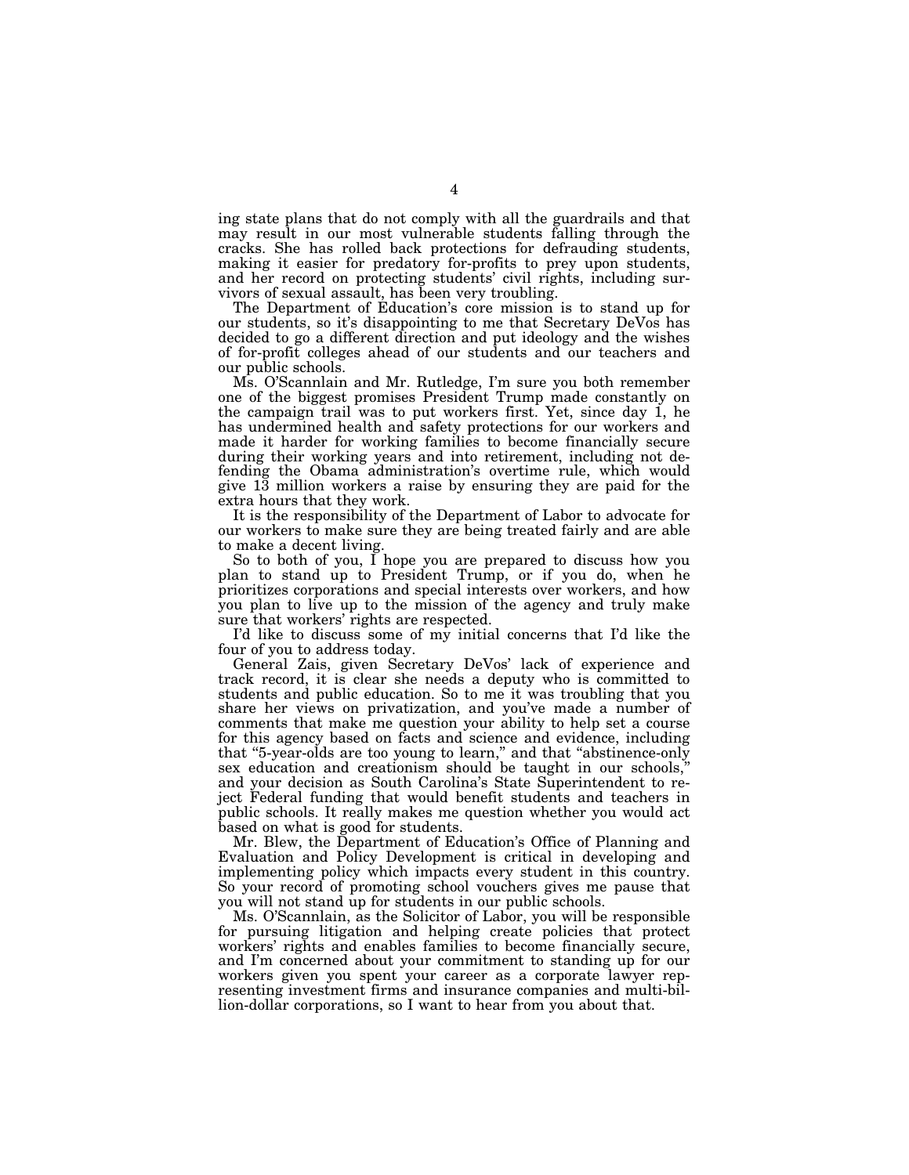ing state plans that do not comply with all the guardrails and that may result in our most vulnerable students falling through the cracks. She has rolled back protections for defrauding students, making it easier for predatory for-profits to prey upon students, and her record on protecting students' civil rights, including survivors of sexual assault, has been very troubling.

The Department of Education's core mission is to stand up for our students, so it's disappointing to me that Secretary DeVos has decided to go a different direction and put ideology and the wishes of for-profit colleges ahead of our students and our teachers and our public schools.

Ms. O'Scannlain and Mr. Rutledge, I'm sure you both remember one of the biggest promises President Trump made constantly on the campaign trail was to put workers first. Yet, since day 1, he has undermined health and safety protections for our workers and made it harder for working families to become financially secure during their working years and into retirement, including not defending the Obama administration's overtime rule, which would give 13 million workers a raise by ensuring they are paid for the extra hours that they work.

It is the responsibility of the Department of Labor to advocate for our workers to make sure they are being treated fairly and are able to make a decent living.

So to both of you, I hope you are prepared to discuss how you plan to stand up to President Trump, or if you do, when he prioritizes corporations and special interests over workers, and how you plan to live up to the mission of the agency and truly make sure that workers' rights are respected.

I'd like to discuss some of my initial concerns that I'd like the four of you to address today.

General Zais, given Secretary DeVos' lack of experience and track record, it is clear she needs a deputy who is committed to students and public education. So to me it was troubling that you share her views on privatization, and you've made a number of comments that make me question your ability to help set a course for this agency based on facts and science and evidence, including that ''5-year-olds are too young to learn,'' and that ''abstinence-only sex education and creationism should be taught in our schools,'' and your decision as South Carolina's State Superintendent to reject Federal funding that would benefit students and teachers in public schools. It really makes me question whether you would act based on what is good for students.

Mr. Blew, the Department of Education's Office of Planning and Evaluation and Policy Development is critical in developing and implementing policy which impacts every student in this country. So your record of promoting school vouchers gives me pause that you will not stand up for students in our public schools.

Ms. O'Scannlain, as the Solicitor of Labor, you will be responsible for pursuing litigation and helping create policies that protect workers' rights and enables families to become financially secure, and I'm concerned about your commitment to standing up for our workers given you spent your career as a corporate lawyer representing investment firms and insurance companies and multi-billion-dollar corporations, so I want to hear from you about that.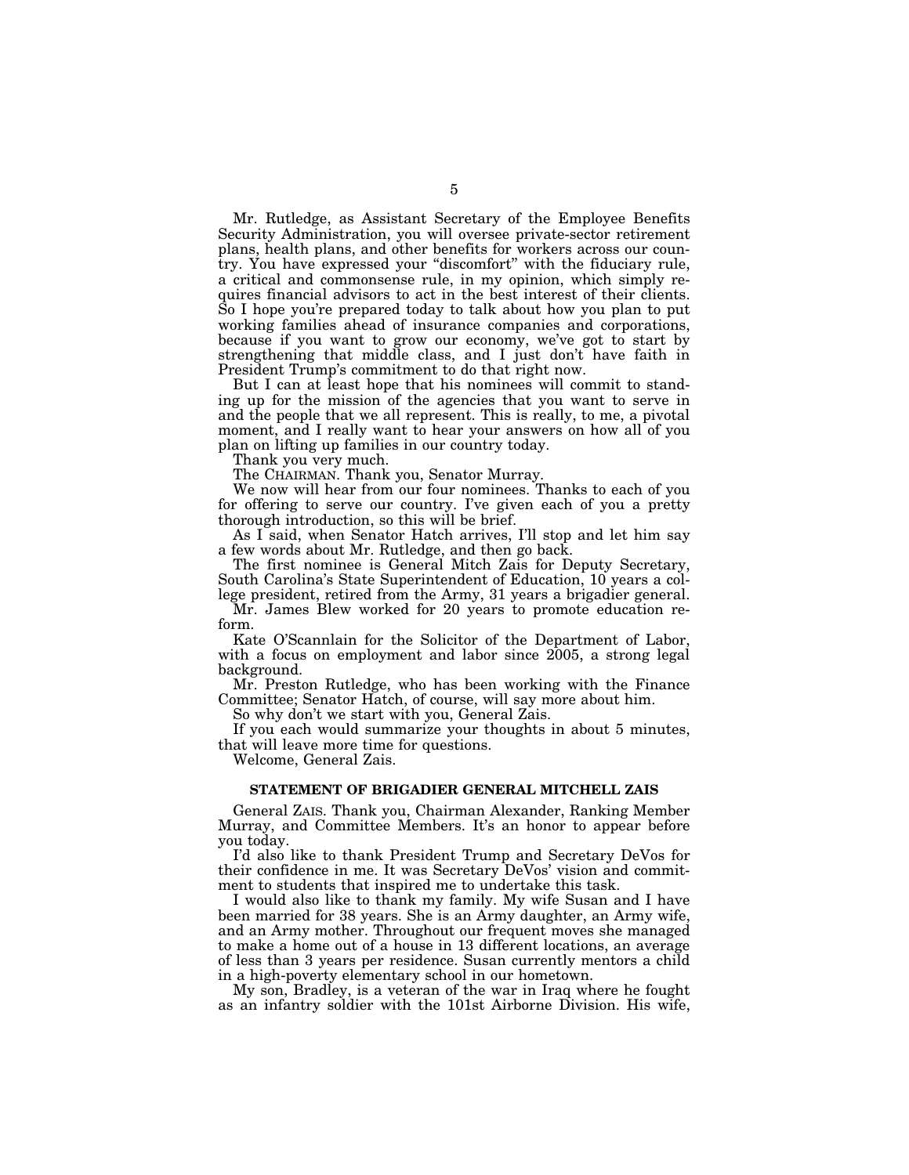Mr. Rutledge, as Assistant Secretary of the Employee Benefits Security Administration, you will oversee private-sector retirement plans, health plans, and other benefits for workers across our country. You have expressed your ''discomfort'' with the fiduciary rule, a critical and commonsense rule, in my opinion, which simply requires financial advisors to act in the best interest of their clients. So I hope you're prepared today to talk about how you plan to put working families ahead of insurance companies and corporations, because if you want to grow our economy, we've got to start by strengthening that middle class, and I just don't have faith in President Trump's commitment to do that right now.

But I can at least hope that his nominees will commit to standing up for the mission of the agencies that you want to serve in and the people that we all represent. This is really, to me, a pivotal moment, and I really want to hear your answers on how all of you plan on lifting up families in our country today.

Thank you very much.

The CHAIRMAN. Thank you, Senator Murray.

We now will hear from our four nominees. Thanks to each of you for offering to serve our country. I've given each of you a pretty thorough introduction, so this will be brief.

As I said, when Senator Hatch arrives, I'll stop and let him say a few words about Mr. Rutledge, and then go back.

The first nominee is General Mitch Zais for Deputy Secretary, South Carolina's State Superintendent of Education, 10 years a college president, retired from the Army, 31 years a brigadier general.

Mr. James Blew worked for 20 years to promote education reform.

Kate O'Scannlain for the Solicitor of the Department of Labor, with a focus on employment and labor since 2005, a strong legal background.

Mr. Preston Rutledge, who has been working with the Finance Committee; Senator Hatch, of course, will say more about him.

So why don't we start with you, General Zais.

If you each would summarize your thoughts in about 5 minutes, that will leave more time for questions.

Welcome, General Zais.

#### **STATEMENT OF BRIGADIER GENERAL MITCHELL ZAIS**

General ZAIS. Thank you, Chairman Alexander, Ranking Member Murray, and Committee Members. It's an honor to appear before you today.

I'd also like to thank President Trump and Secretary DeVos for their confidence in me. It was Secretary DeVos' vision and commitment to students that inspired me to undertake this task.

I would also like to thank my family. My wife Susan and I have been married for 38 years. She is an Army daughter, an Army wife, and an Army mother. Throughout our frequent moves she managed to make a home out of a house in 13 different locations, an average of less than 3 years per residence. Susan currently mentors a child in a high-poverty elementary school in our hometown.

My son, Bradley, is a veteran of the war in Iraq where he fought as an infantry soldier with the 101st Airborne Division. His wife,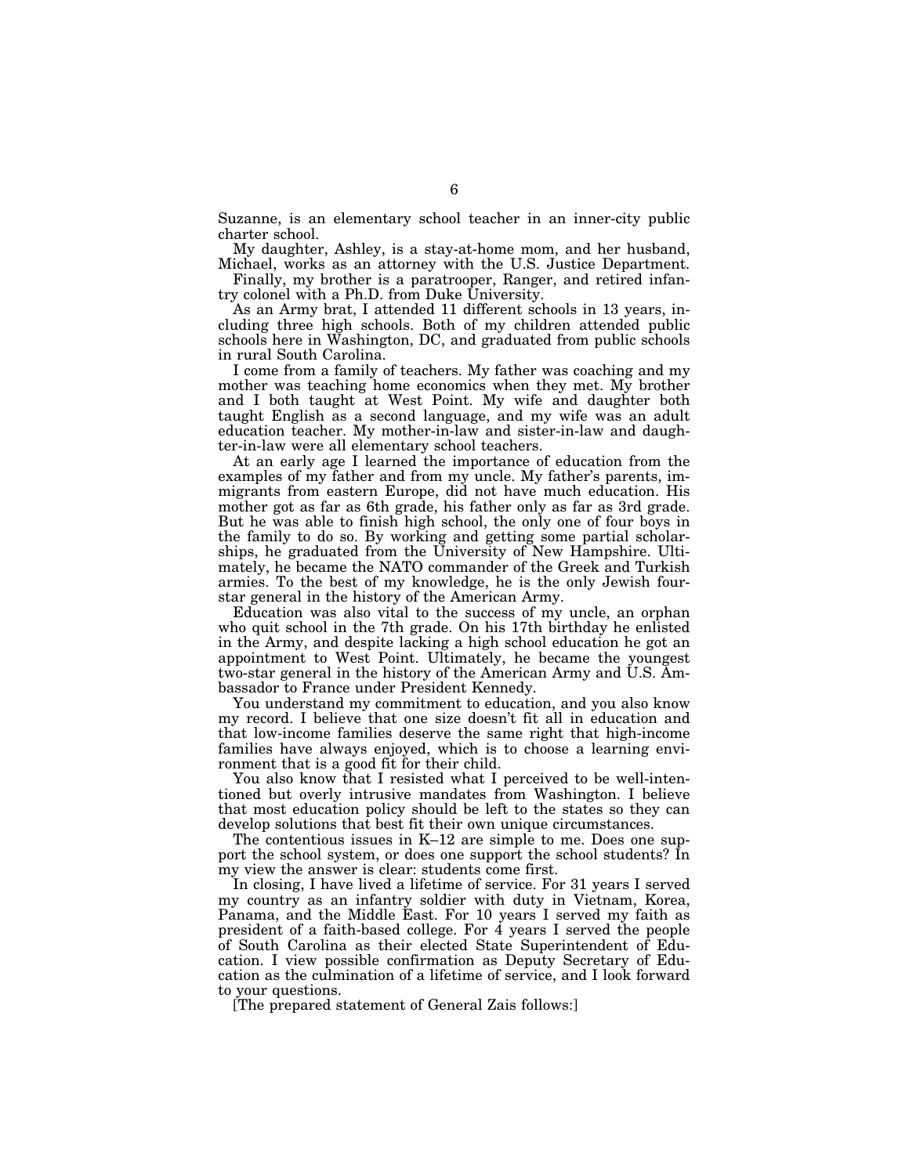Suzanne, is an elementary school teacher in an inner-city public charter school.

My daughter, Ashley, is a stay-at-home mom, and her husband, Michael, works as an attorney with the U.S. Justice Department.

Finally, my brother is a paratrooper, Ranger, and retired infantry colonel with a Ph.D. from Duke University.

As an Army brat, I attended 11 different schools in 13 years, including three high schools. Both of my children attended public schools here in Washington, DC, and graduated from public schools in rural South Carolina.

I come from a family of teachers. My father was coaching and my mother was teaching home economics when they met. My brother and I both taught at West Point. My wife and daughter both taught English as a second language, and my wife was an adult education teacher. My mother-in-law and sister-in-law and daughter-in-law were all elementary school teachers.

At an early age I learned the importance of education from the examples of my father and from my uncle. My father's parents, immigrants from eastern Europe, did not have much education. His mother got as far as 6th grade, his father only as far as 3rd grade. But he was able to finish high school, the only one of four boys in the family to do so. By working and getting some partial scholarships, he graduated from the University of New Hampshire. Ultimately, he became the NATO commander of the Greek and Turkish armies. To the best of my knowledge, he is the only Jewish fourstar general in the history of the American Army.

Education was also vital to the success of my uncle, an orphan who quit school in the 7th grade. On his 17th birthday he enlisted in the Army, and despite lacking a high school education he got an appointment to West Point. Ultimately, he became the youngest two-star general in the history of the American Army and U.S. Ambassador to France under President Kennedy.

You understand my commitment to education, and you also know my record. I believe that one size doesn't fit all in education and that low-income families deserve the same right that high-income families have always enjoyed, which is to choose a learning environment that is a good fit for their child.

You also know that I resisted what I perceived to be well-intentioned but overly intrusive mandates from Washington. I believe that most education policy should be left to the states so they can develop solutions that best fit their own unique circumstances.

The contentious issues in K–12 are simple to me. Does one support the school system, or does one support the school students? In my view the answer is clear: students come first.

In closing, I have lived a lifetime of service. For 31 years I served my country as an infantry soldier with duty in Vietnam, Korea, Panama, and the Middle East. For 10 years I served my faith as president of a faith-based college. For 4 years I served the people of South Carolina as their elected State Superintendent of Education. I view possible confirmation as Deputy Secretary of Education as the culmination of a lifetime of service, and I look forward to your questions.

[The prepared statement of General Zais follows:]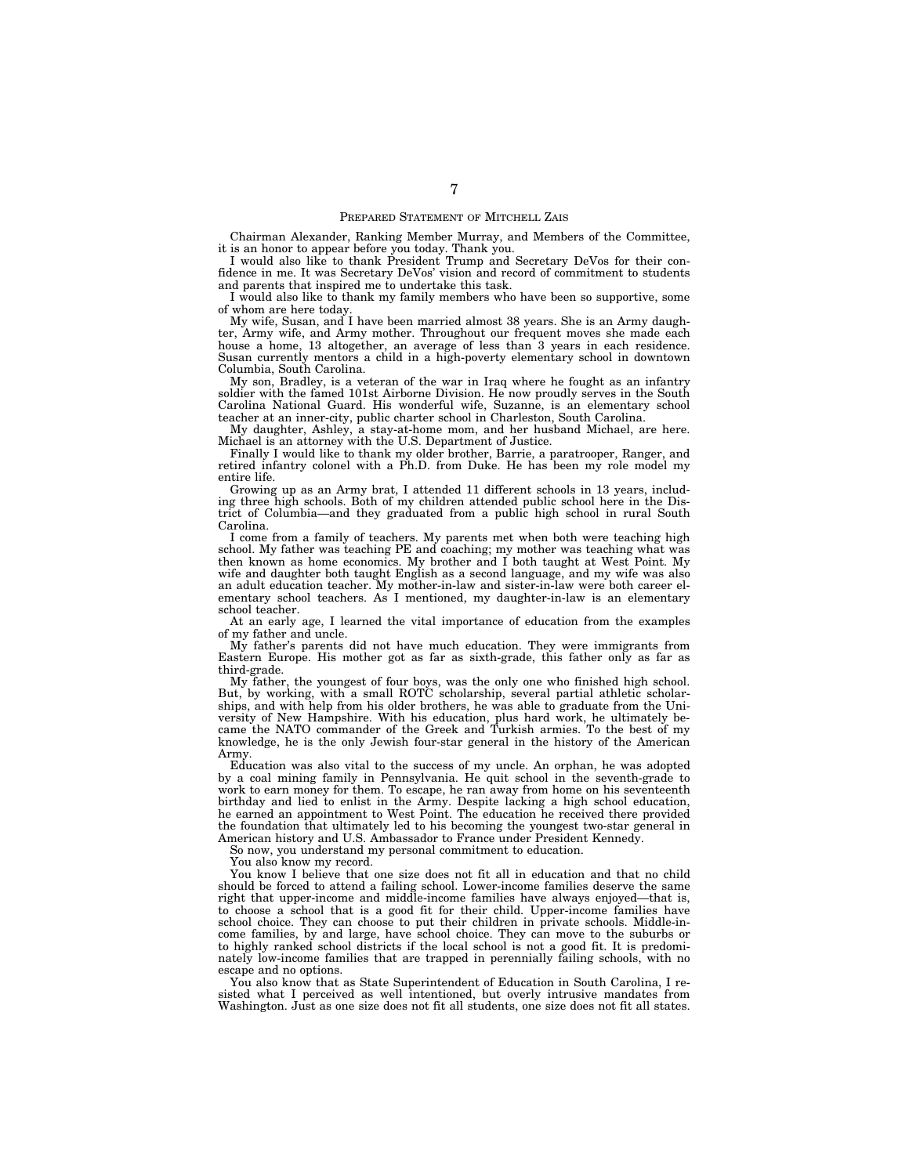#### PREPARED STATEMENT OF MITCHELL ZAIS

Chairman Alexander, Ranking Member Murray, and Members of the Committee, it is an honor to appear before you today. Thank you.

I would also like to thank President Trump and Secretary DeVos for their confidence in me. It was Secretary DeVos' vision and record of commitment to students and parents that inspired me to undertake this task.

I would also like to thank my family members who have been so supportive, some of whom are here today.

My wife, Susan, and I have been married almost 38 years. She is an Army daughter, Army wife, and Army mother. Throughout our frequent moves she made each house a home, 13 altogether, an average of less than 3 years in each residence. Susan currently mentors a child in a high-poverty elementary school in downtown Columbia, South Carolina.

My son, Bradley, is a veteran of the war in Iraq where he fought as an infantry soldier with the famed 101st Airborne Division. He now proudly serves in the South Carolina National Guard. His wonderful wife, Suzanne, is an elementary school teacher at an inner-city, public charter school in Charleston, South Carolina.

My daughter, Ashley, a stay-at-home mom, and her husband Michael, are here. Michael is an attorney with the U.S. Department of Justice.

Finally I would like to thank my older brother, Barrie, a paratrooper, Ranger, and retired infantry colonel with a Ph.D. from Duke. He has been my role model my entire life.

Growing up as an Army brat, I attended 11 different schools in 13 years, including three high schools. Both of my children attended public school here in the District of Columbia—and they graduated from a public high school in rural South Carolina.

I come from a family of teachers. My parents met when both were teaching high school. My father was teaching PE and coaching; my mother was teaching what was then known as home economics. My brother and I both taught at West Point. My wife and daughter both taught English as a second language, and my wife was also an adult education teacher. My mother-in-law and sister-in-law were both career elementary school teachers. As I mentioned, my daughter-in-law is an elementary school teacher.

At an early age, I learned the vital importance of education from the examples of my father and uncle.

My father's parents did not have much education. They were immigrants from Eastern Europe. His mother got as far as sixth-grade, this father only as far as third-grade.

My father, the youngest of four boys, was the only one who finished high school. But, by working, with a small ROTC scholarship, several partial athletic scholarships, and with help from his older brothers, he was able to graduate from the University of New Hampshire. With his education, plus hard work, he ultimately became the NATO commander of the Greek and Turkish armies. To the best of my knowledge, he is the only Jewish four-star general in the history of the American Army.

Education was also vital to the success of my uncle. An orphan, he was adopted by a coal mining family in Pennsylvania. He quit school in the seventh-grade to work to earn money for them. To escape, he ran away from home on his seventeenth birthday and lied to enlist in the Army. Despite lacking a high school education, he earned an appointment to West Point. The education he received there provided the foundation that ultimately led to his becoming the youngest two-star general in American history and U.S. Ambassador to France under President Kennedy.

So now, you understand my personal commitment to education.

You also know my record.

You know I believe that one size does not fit all in education and that no child should be forced to attend a failing school. Lower-income families deserve the same right that upper-income and middle-income families have always enjoyed—that is, to choose a school that is a good fit for their child. Upper-income families have school choice. They can choose to put their children in private schools. Middle-income families, by and large, have school choice. They can move to the suburbs or to highly ranked school districts if the local school is not a good fit. It is predominately low-income families that are trapped in perennially failing schools, with no escape and no options.

You also know that as State Superintendent of Education in South Carolina, I resisted what I perceived as well intentioned, but overly intrusive mandates from Washington. Just as one size does not fit all students, one size does not fit all states.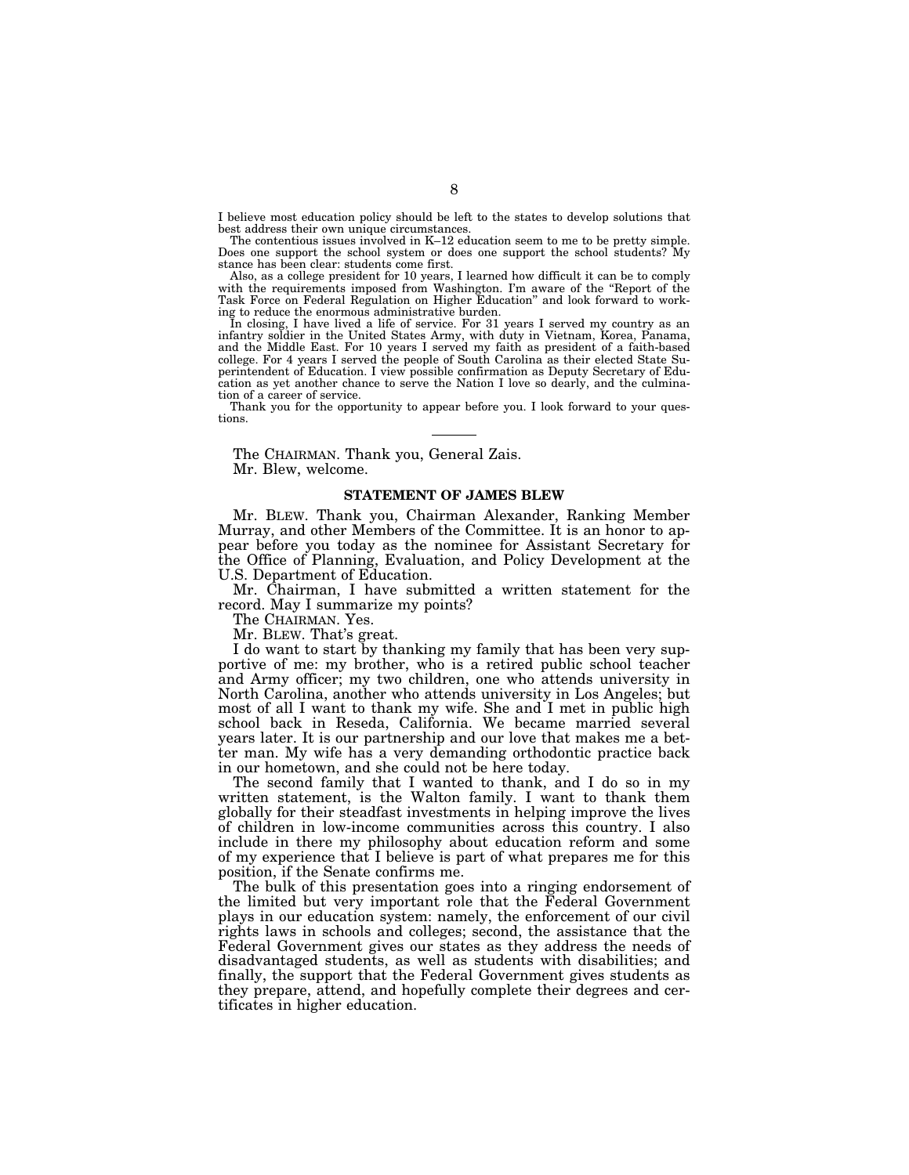I believe most education policy should be left to the states to develop solutions that best address their own unique circumstances.

The contentious issues involved in K–12 education seem to me to be pretty simple. Does one support the school system or does one support the school students? My stance has been clear: students come first.

Also, as a college president for 10 years, I learned how difficult it can be to comply with the requirements imposed from Washington. I'm aware of the ''Report of the Task Force on Federal Regulation on Higher Education'' and look forward to working to reduce the enormous administrative burden.

In closing, I have lived a life of service. For 31 years I served my country as an infantry soldier in the United States Army, with duty in Vietnam, Korea, Panama, and the Middle East. For 10 years I served my faith as president of a faith-based college. For 4 years I served the people of South Carolina as their elected State Superintendent of Education. I view possible confirmation as Deputy Secretary of Education as yet another chance to serve the Nation I love so dearly, and the culmination of a career of service.

Thank you for the opportunity to appear before you. I look forward to your questions.

The CHAIRMAN. Thank you, General Zais. Mr. Blew, welcome.

#### **STATEMENT OF JAMES BLEW**

Mr. BLEW. Thank you, Chairman Alexander, Ranking Member Murray, and other Members of the Committee. It is an honor to appear before you today as the nominee for Assistant Secretary for the Office of Planning, Evaluation, and Policy Development at the U.S. Department of Education.

Mr. Chairman, I have submitted a written statement for the record. May I summarize my points?

The CHAIRMAN. Yes.

Mr. BLEW. That's great.

I do want to start by thanking my family that has been very supportive of me: my brother, who is a retired public school teacher and Army officer; my two children, one who attends university in North Carolina, another who attends university in Los Angeles; but most of all I want to thank my wife. She and I met in public high school back in Reseda, California. We became married several years later. It is our partnership and our love that makes me a better man. My wife has a very demanding orthodontic practice back in our hometown, and she could not be here today.

The second family that I wanted to thank, and I do so in my written statement, is the Walton family. I want to thank them globally for their steadfast investments in helping improve the lives of children in low-income communities across this country. I also include in there my philosophy about education reform and some of my experience that I believe is part of what prepares me for this position, if the Senate confirms me.

The bulk of this presentation goes into a ringing endorsement of the limited but very important role that the Federal Government plays in our education system: namely, the enforcement of our civil rights laws in schools and colleges; second, the assistance that the Federal Government gives our states as they address the needs of disadvantaged students, as well as students with disabilities; and finally, the support that the Federal Government gives students as they prepare, attend, and hopefully complete their degrees and certificates in higher education.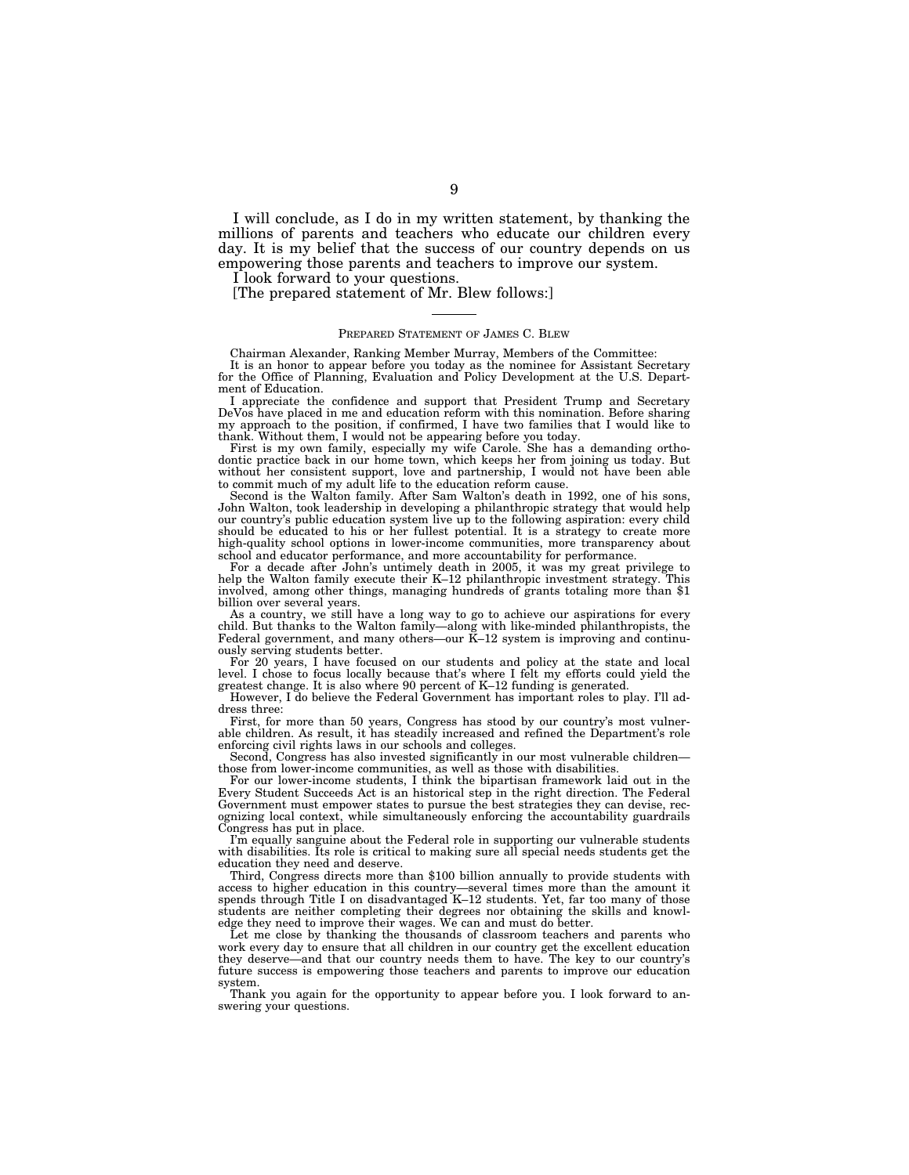I will conclude, as I do in my written statement, by thanking the millions of parents and teachers who educate our children every day. It is my belief that the success of our country depends on us empowering those parents and teachers to improve our system.

I look forward to your questions.

[The prepared statement of Mr. Blew follows:]

#### PREPARED STATEMENT OF JAMES C. BLEW

Chairman Alexander, Ranking Member Murray, Members of the Committee:

It is an honor to appear before you today as the nominee for Assistant Secretary for the Office of Planning, Evaluation and Policy Development at the U.S. Department of Education.

I appreciate the confidence and support that President Trump and Secretary DeVos have placed in me and education reform with this nomination. Before sharing my approach to the position, if confirmed, I have two families that I would like to thank. Without them, I would not be appearing before you today.

First is my own family, especially my wife Carole. She has a demanding orthodontic practice back in our home town, which keeps her from joining us today. But without her consistent support, love and partnership, I would not have been able to commit much of my adult life to the education reform cause.

Second is the Walton family. After Sam Walton's death in 1992, one of his sons, John Walton, took leadership in developing a philanthropic strategy that would help our country's public education system live up to the following aspiration: every child should be educated to his or her fullest potential. It is a strategy to create more high-quality school options in lower-income communities, more transparency about school and educator performance, and more accountability for performance.

For a decade after John's untimely death in 2005, it was my great privilege to help the Walton family execute their K–12 philanthropic investment strategy. This involved, among other things, managing hundreds of grants totaling more than \$1 billion over several years.

As a country, we still have a long way to go to achieve our aspirations for every child. But thanks to the Walton family—along with like-minded philanthropists, the Federal government, and many others—our K–12 system is improving and continuously serving students better.

For 20 years, I have focused on our students and policy at the state and local level. I chose to focus locally because that's where I felt my efforts could yield the greatest change. It is also where 90 percent of K–12 funding is generated.

However, I do believe the Federal Government has important roles to play. I'll address three:

First, for more than 50 years, Congress has stood by our country's most vulnerable children. As result, it has steadily increased and refined the Department's role enforcing civil rights laws in our schools and colleges.

Second, Congress has also invested significantly in our most vulnerable children those from lower-income communities, as well as those with disabilities.

For our lower-income students, I think the bipartisan framework laid out in the Every Student Succeeds Act is an historical step in the right direction. The Federal Government must empower states to pursue the best strategies they can devise, recognizing local context, while simultaneously enforcing the accountability guardrails Congress has put in place.

I'm equally sanguine about the Federal role in supporting our vulnerable students with disabilities. Its role is critical to making sure all special needs students get the education they need and deserve.

Third, Congress directs more than \$100 billion annually to provide students with access to higher education in this country—several times more than the amount it spends through Title I on disadvantaged K–12 students. Yet, far too many of those students are neither completing their degrees nor obtaining the skills and knowledge they need to improve their wages. We can and must do better.

Let me close by thanking the thousands of classroom teachers and parents who work every day to ensure that all children in our country get the excellent education they deserve—and that our country needs them to have. The key to our country's future success is empowering those teachers and parents to improve our education system.

Thank you again for the opportunity to appear before you. I look forward to answering your questions.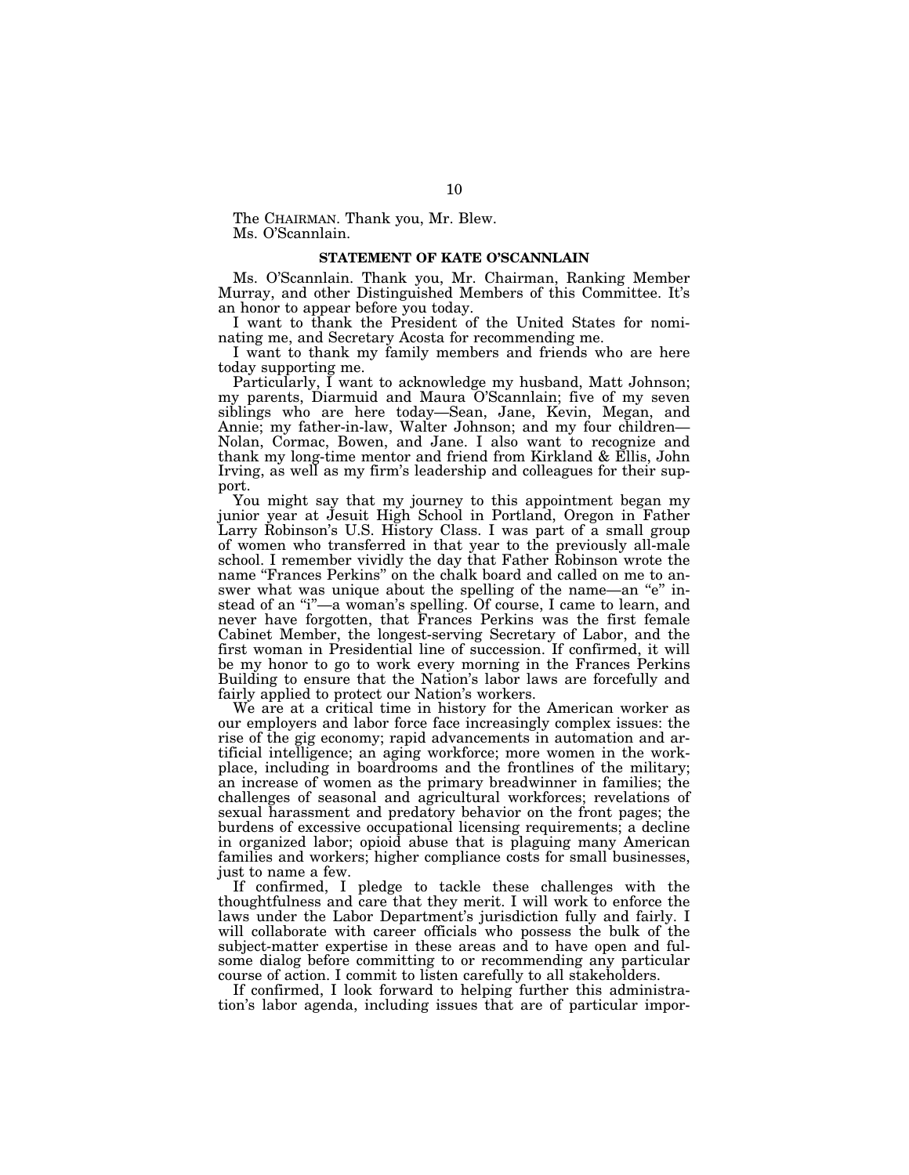The CHAIRMAN. Thank you, Mr. Blew. Ms. O'Scannlain.

#### **STATEMENT OF KATE O'SCANNLAIN**

Ms. O'Scannlain. Thank you, Mr. Chairman, Ranking Member Murray, and other Distinguished Members of this Committee. It's an honor to appear before you today.

I want to thank the President of the United States for nominating me, and Secretary Acosta for recommending me.

I want to thank my family members and friends who are here today supporting me.

Particularly, I want to acknowledge my husband, Matt Johnson; my parents, Diarmuid and Maura O'Scannlain; five of my seven siblings who are here today—Sean, Jane, Kevin, Megan, and Annie; my father-in-law, Walter Johnson; and my four children— Nolan, Cormac, Bowen, and Jane. I also want to recognize and thank my long-time mentor and friend from Kirkland & Ellis, John Irving, as well as my firm's leadership and colleagues for their support.

You might say that my journey to this appointment began my junior year at Jesuit High School in Portland, Oregon in Father Larry Robinson's U.S. History Class. I was part of a small group of women who transferred in that year to the previously all-male school. I remember vividly the day that Father Robinson wrote the name "Frances Perkins" on the chalk board and called on me to answer what was unique about the spelling of the name—an "e" instead of an "i"—a woman's spelling. Of course, I came to learn, and never have forgotten, that Frances Perkins was the first female Cabinet Member, the longest-serving Secretary of Labor, and the first woman in Presidential line of succession. If confirmed, it will be my honor to go to work every morning in the Frances Perkins Building to ensure that the Nation's labor laws are forcefully and fairly applied to protect our Nation's workers.

We are at a critical time in history for the American worker as our employers and labor force face increasingly complex issues: the rise of the gig economy; rapid advancements in automation and artificial intelligence; an aging workforce; more women in the workplace, including in boardrooms and the frontlines of the military; an increase of women as the primary breadwinner in families; the challenges of seasonal and agricultural workforces; revelations of sexual harassment and predatory behavior on the front pages; the burdens of excessive occupational licensing requirements; a decline in organized labor; opioid abuse that is plaguing many American families and workers; higher compliance costs for small businesses, just to name a few.

If confirmed, I pledge to tackle these challenges with the thoughtfulness and care that they merit. I will work to enforce the laws under the Labor Department's jurisdiction fully and fairly. I will collaborate with career officials who possess the bulk of the subject-matter expertise in these areas and to have open and fulsome dialog before committing to or recommending any particular course of action. I commit to listen carefully to all stakeholders.

If confirmed, I look forward to helping further this administration's labor agenda, including issues that are of particular impor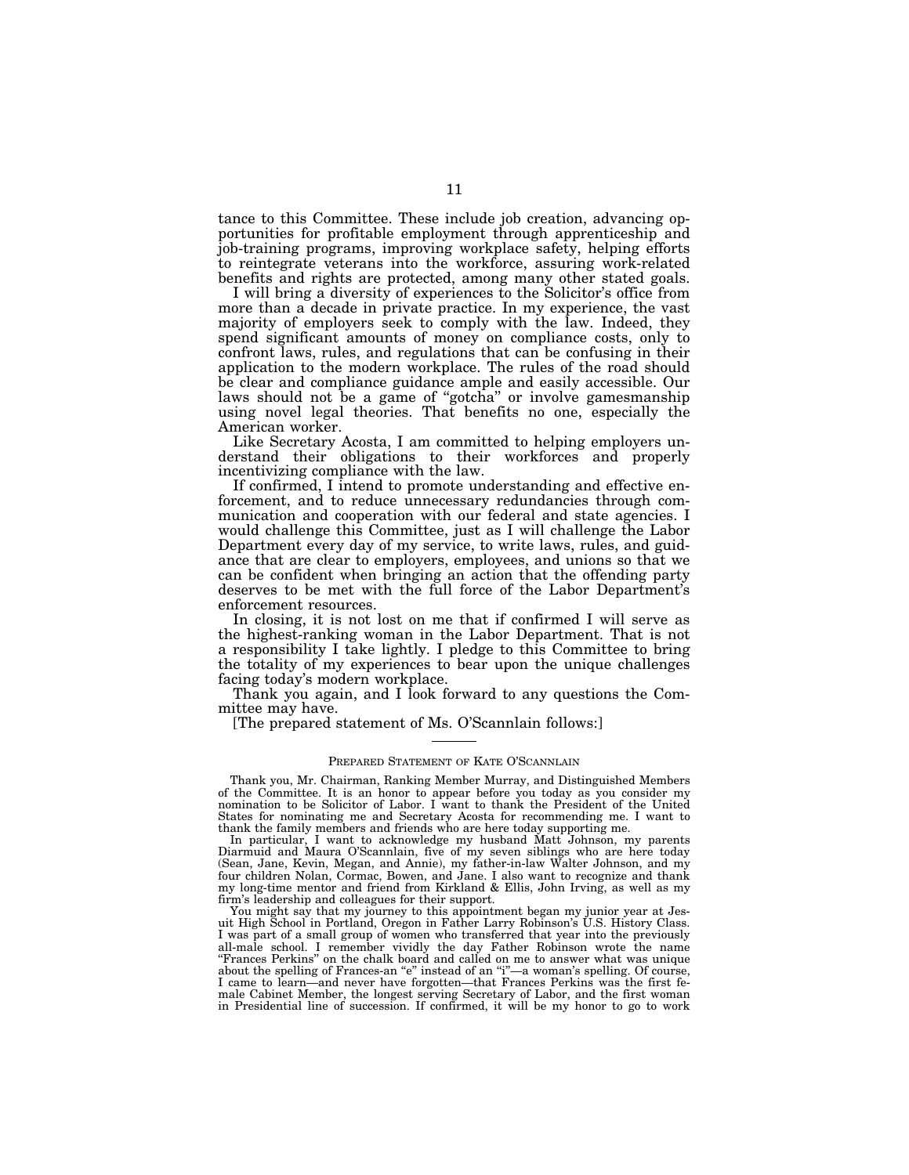tance to this Committee. These include job creation, advancing opportunities for profitable employment through apprenticeship and job-training programs, improving workplace safety, helping efforts to reintegrate veterans into the workforce, assuring work-related benefits and rights are protected, among many other stated goals.

I will bring a diversity of experiences to the Solicitor's office from more than a decade in private practice. In my experience, the vast majority of employers seek to comply with the law. Indeed, they spend significant amounts of money on compliance costs, only to confront laws, rules, and regulations that can be confusing in their application to the modern workplace. The rules of the road should be clear and compliance guidance ample and easily accessible. Our laws should not be a game of "gotcha" or involve gamesmanship using novel legal theories. That benefits no one, especially the American worker.

Like Secretary Acosta, I am committed to helping employers understand their obligations to their workforces and properly incentivizing compliance with the law.

If confirmed, I intend to promote understanding and effective enforcement, and to reduce unnecessary redundancies through communication and cooperation with our federal and state agencies. I would challenge this Committee, just as I will challenge the Labor Department every day of my service, to write laws, rules, and guidance that are clear to employers, employees, and unions so that we can be confident when bringing an action that the offending party deserves to be met with the full force of the Labor Department's enforcement resources.

In closing, it is not lost on me that if confirmed I will serve as the highest-ranking woman in the Labor Department. That is not a responsibility I take lightly. I pledge to this Committee to bring the totality of my experiences to bear upon the unique challenges facing today's modern workplace.

Thank you again, and I look forward to any questions the Committee may have.

[The prepared statement of Ms. O'Scannlain follows:]

#### PREPARED STATEMENT OF KATE O'SCANNLAIN

Thank you, Mr. Chairman, Ranking Member Murray, and Distinguished Members of the Committee. It is an honor to appear before you today as you consider my nomination to be Solicitor of Labor. I want to thank the President of the United States for nominating me and Secretary Acosta for recommending me. I want to thank the family members and friends who are here today supporting me.

In particular, I want to acknowledge my husband Matt Johnson, my parents Diarmuid and Maura O'Scannlain, five of my seven siblings who are here today (Sean, Jane, Kevin, Megan, and Annie), my father-in-law Walter Johnson, and my four children Nolan, Cormac, Bowen, and Jane. I also want to recognize and thank my long-time mentor and friend from Kirkland & Ellis, John Irving, as well as my firm's leadership and colleagues for their support.

You might say that my journey to this appointment began my junior year at Jesuit High School in Portland, Oregon in Father Larry Robinson's U.S. History Class. I was part of a small group of women who transferred that year into the previously all-male school. I remember vividly the day Father Robinson wrote the name ''Frances Perkins'' on the chalk board and called on me to answer what was unique about the spelling of Frances-an "e" instead of an "i"-a woman's spelling. Of course, I came to learn—and never have forgotten—that Frances Perkins was the first female Cabinet Member, the longest serving Secretary of Labor, and the first woman in Presidential line of succession. If confirmed, it will be my honor to go to work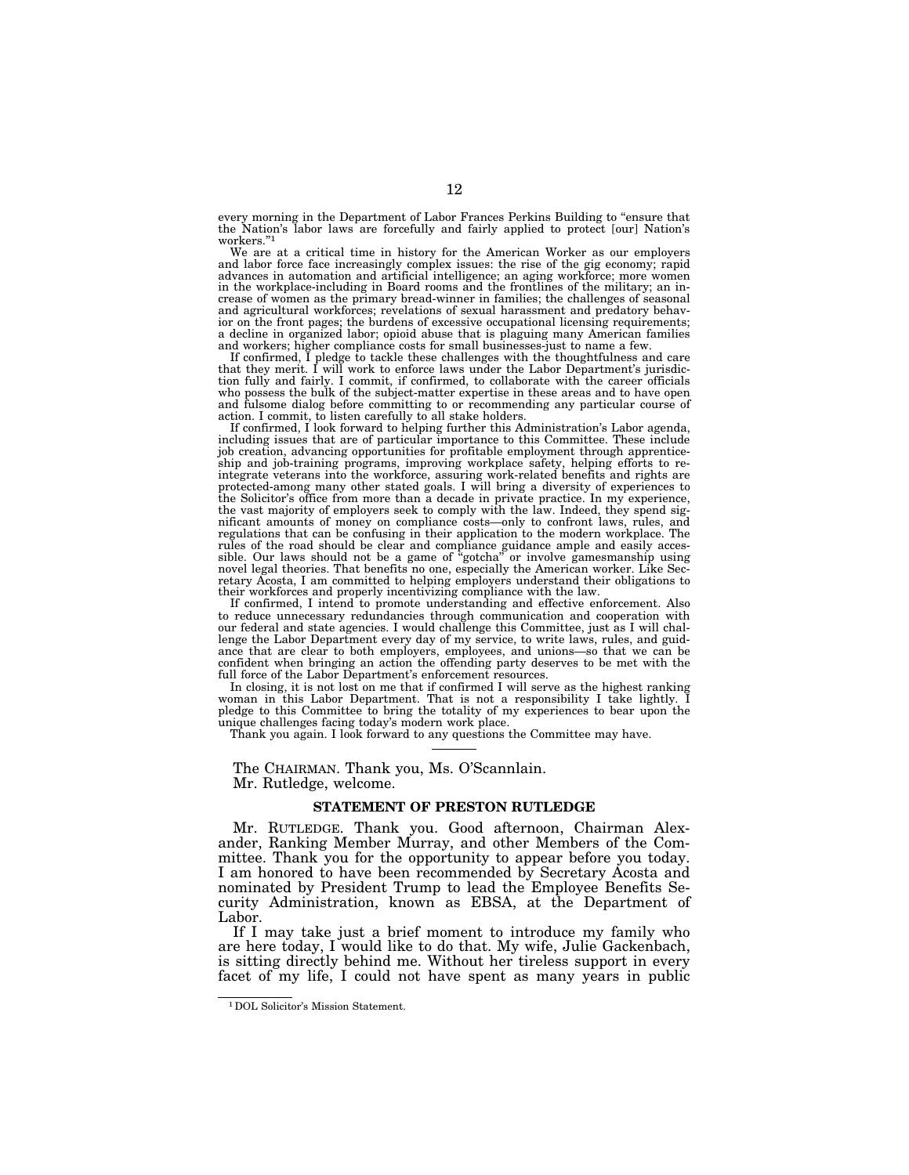every morning in the Department of Labor Frances Perkins Building to "ensure that the Nation's labor laws are forcefully and fairly applied to protect [our] Nation's workers.''1

We are at a critical time in history for the American Worker as our employers and labor force face increasingly complex issues: the rise of the gig economy; rapid advances in automation and artificial intelligence; an aging workforce; more women in the workplace-including in Board rooms and the frontlines of the military; an increase of women as the primary bread-winner in families; the challenges of seasonal and agricultural workforces; revelations of sexual harassment and predatory behavior on the front pages; the burdens of excessive occupational licensing requirements; a decline in organized labor; opioid abuse that is plaguing many American families and workers; higher compliance costs for small businesses-just to name a few. If confirmed, I pledge to tackle these challenges with the thoughtfulness and care

that they merit. I will work to enforce laws under the Labor Department's jurisdic-tion fully and fairly. I commit, if confirmed, to collaborate with the career officials who possess the bulk of the subject-matter expertise in these areas and to have open and fulsome dialog before committing to or recommending any particular course of

action. I commit, to listen carefully to all stake holders. If confirmed, I look forward to helping further this Administration's Labor agenda, including issues that are of particular importance to this Committee. These include job creation, advancing opportunities for profitable employment through apprenticeship and job-training programs, improving workplace safety, helping efforts to re-integrate veterans into the workforce, assuring work-related benefits and rights are protected-among many other stated goals. I will bring a diversity of experiences to the Solicitor's office from more than a decade in private practice. In my experience, the vast majority of employers seek to comply with the law. Indeed, they spend significant amounts of money on compliance costs—only to confront laws, rules, and regulations that can be confusing in their application to the modern workplace. The rules of the road should be clear and compliance guidance ample and easily accessible. Our laws should not be a game of "gotcha" or involve gamesmanship using novel legal theories. That benefits no one, especially the Amer their workforces and properly incentivizing compliance with the law.

If confirmed, I intend to promote understanding and effective enforcement. Also to reduce unnecessary redundancies through communication and cooperation with our federal and state agencies. I would challenge this Committee, just as I will challenge the Labor Department every day of my service, to write laws, rules, and guidance that are clear to both employers, employees, and unions—so that we can be confident when bringing an action the offending party deserves to be met with the full force of the Labor Department's enforcement resources.

In closing, it is not lost on me that if confirmed I will serve as the highest ranking woman in this Labor Department. That is not a responsibility I take lightly. I pledge to this Committee to bring the totality of my experiences to bear upon the unique challenges facing today's modern work place.

Thank you again. I look forward to any questions the Committee may have.

The CHAIRMAN. Thank you, Ms. O'Scannlain. Mr. Rutledge, welcome.

### **STATEMENT OF PRESTON RUTLEDGE**

Mr. RUTLEDGE. Thank you. Good afternoon, Chairman Alexander, Ranking Member Murray, and other Members of the Committee. Thank you for the opportunity to appear before you today. I am honored to have been recommended by Secretary Acosta and nominated by President Trump to lead the Employee Benefits Security Administration, known as EBSA, at the Department of Labor.

If I may take just a brief moment to introduce my family who are here today, I would like to do that. My wife, Julie Gackenbach, is sitting directly behind me. Without her tireless support in every facet of my life, I could not have spent as many years in public

<sup>1</sup>DOL Solicitor's Mission Statement.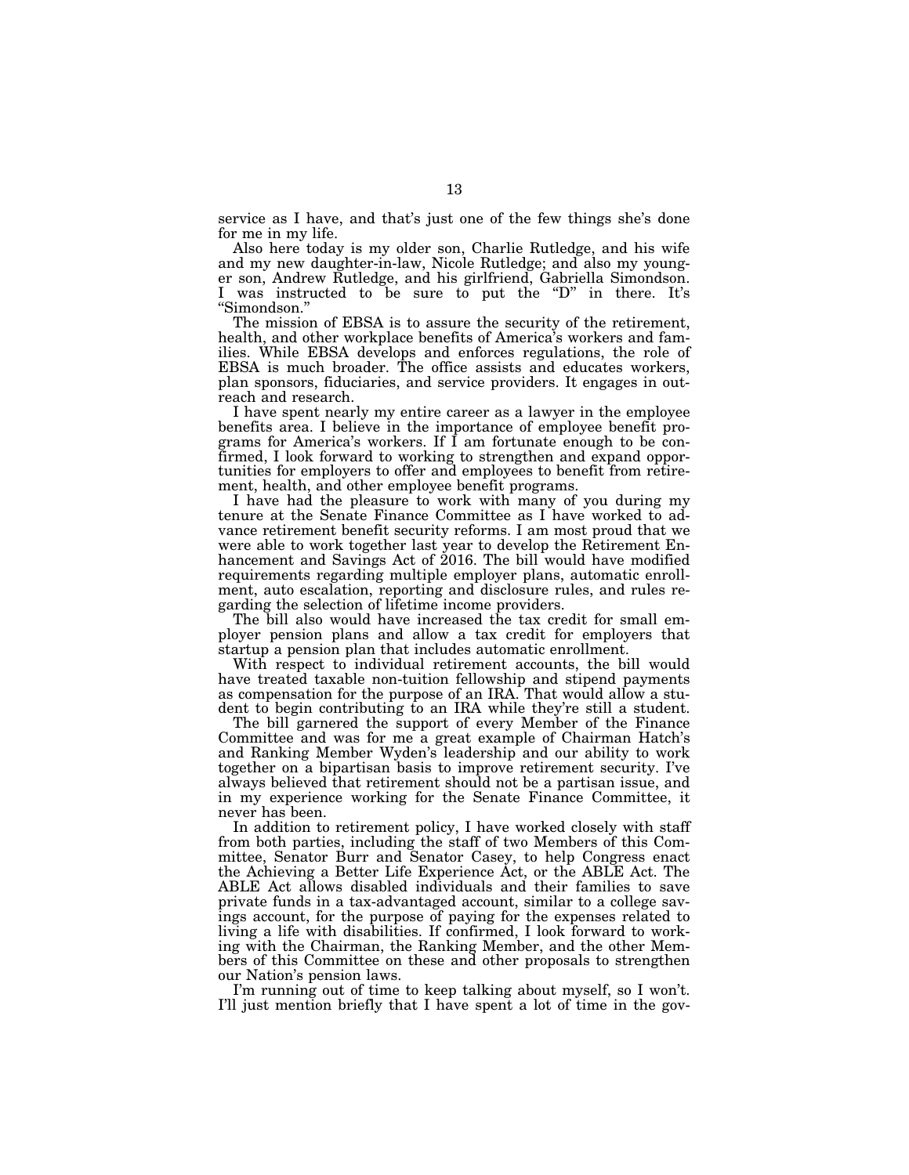service as I have, and that's just one of the few things she's done for me in my life.

Also here today is my older son, Charlie Rutledge, and his wife and my new daughter-in-law, Nicole Rutledge; and also my younger son, Andrew Rutledge, and his girlfriend, Gabriella Simondson. I was instructed to be sure to put the "D" in there. It's ''Simondson.''

The mission of EBSA is to assure the security of the retirement, health, and other workplace benefits of America's workers and families. While EBSA develops and enforces regulations, the role of EBSA is much broader. The office assists and educates workers, plan sponsors, fiduciaries, and service providers. It engages in outreach and research.

I have spent nearly my entire career as a lawyer in the employee benefits area. I believe in the importance of employee benefit programs for America's workers. If I am fortunate enough to be confirmed, I look forward to working to strengthen and expand opportunities for employers to offer and employees to benefit from retirement, health, and other employee benefit programs.

I have had the pleasure to work with many of you during my tenure at the Senate Finance Committee as I have worked to advance retirement benefit security reforms. I am most proud that we were able to work together last year to develop the Retirement Enhancement and Savings Act of 2016. The bill would have modified requirements regarding multiple employer plans, automatic enrollment, auto escalation, reporting and disclosure rules, and rules regarding the selection of lifetime income providers.

The bill also would have increased the tax credit for small employer pension plans and allow a tax credit for employers that startup a pension plan that includes automatic enrollment.

With respect to individual retirement accounts, the bill would have treated taxable non-tuition fellowship and stipend payments as compensation for the purpose of an IRA. That would allow a student to begin contributing to an IRA while they're still a student.

The bill garnered the support of every Member of the Finance Committee and was for me a great example of Chairman Hatch's and Ranking Member Wyden's leadership and our ability to work together on a bipartisan basis to improve retirement security. I've always believed that retirement should not be a partisan issue, and in my experience working for the Senate Finance Committee, it never has been.

In addition to retirement policy, I have worked closely with staff from both parties, including the staff of two Members of this Committee, Senator Burr and Senator Casey, to help Congress enact the Achieving a Better Life Experience Act, or the ABLE Act. The ABLE Act allows disabled individuals and their families to save private funds in a tax-advantaged account, similar to a college savings account, for the purpose of paying for the expenses related to living a life with disabilities. If confirmed, I look forward to working with the Chairman, the Ranking Member, and the other Members of this Committee on these and other proposals to strengthen our Nation's pension laws.

I'm running out of time to keep talking about myself, so I won't. I'll just mention briefly that I have spent a lot of time in the gov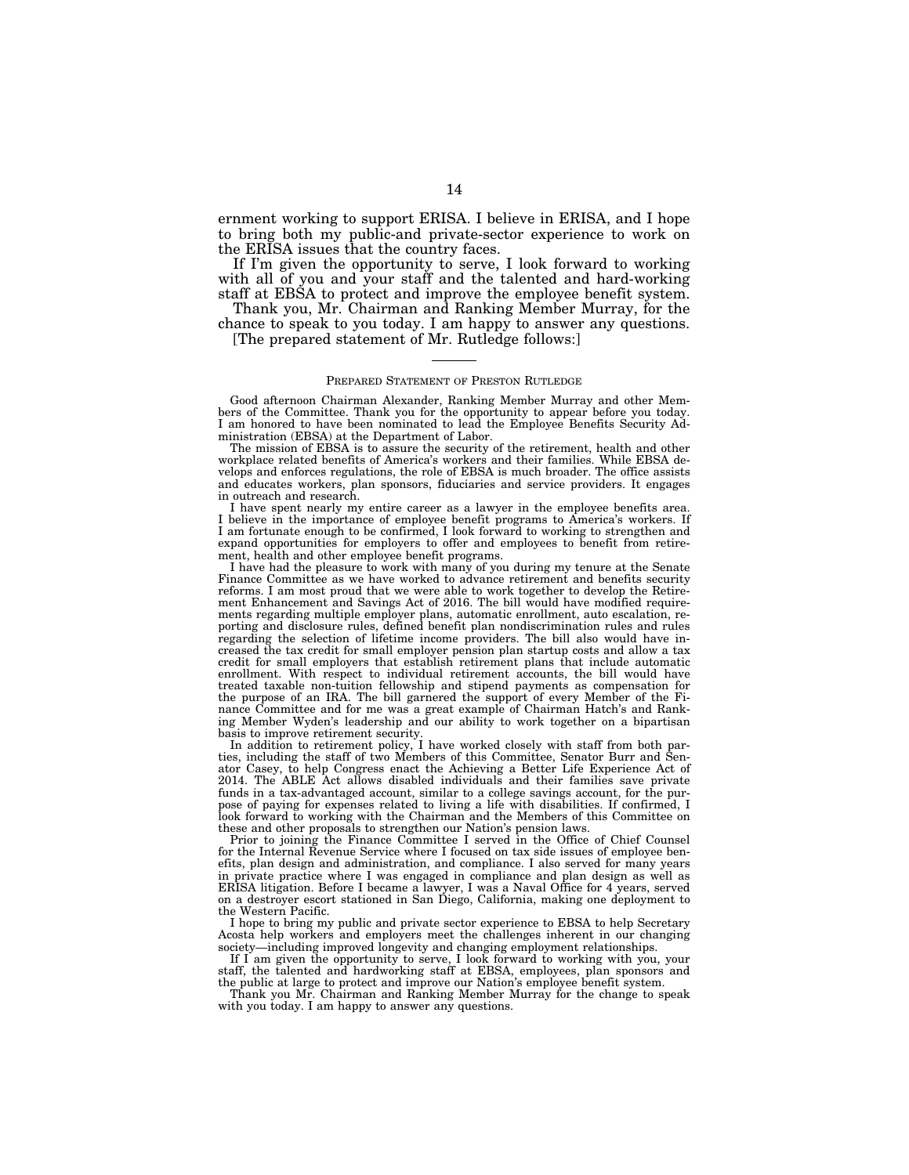ernment working to support ERISA. I believe in ERISA, and I hope to bring both my public-and private-sector experience to work on the ERISA issues that the country faces.

If I'm given the opportunity to serve, I look forward to working with all of you and your staff and the talented and hard-working staff at EBSA to protect and improve the employee benefit system.

Thank you, Mr. Chairman and Ranking Member Murray, for the chance to speak to you today. I am happy to answer any questions.

[The prepared statement of Mr. Rutledge follows:]

#### PREPARED STATEMENT OF PRESTON RUTLEDGE

Good afternoon Chairman Alexander, Ranking Member Murray and other Members of the Committee. Thank you for the opportunity to appear before you today. I am honored to have been nominated to lead the Employee Benefits Security Administration (EBSA) at the Department of Labor.

The mission of EBSA is to assure the security of the retirement, health and other workplace related benefits of America's workers and their families. While EBSA develops and enforces regulations, the role of EBSA is much broader. The office assists and educates workers, plan sponsors, fiduciaries and service providers. It engages in outreach and research.

I have spent nearly my entire career as a lawyer in the employee benefits area. I believe in the importance of employee benefit programs to America's workers. If I am fortunate enough to be confirmed, I look forward to working to strengthen and expand opportunities for employers to offer and employees to benefit from retirement, health and other employee benefit programs.

I have had the pleasure to work with many of you during my tenure at the Senate Finance Committee as we have worked to advance retirement and benefits security reforms. I am most proud that we were able to work together to develop the Retirement Enhancement and Savings Act of 2016. The bill would have modified requirements regarding multiple employer plans, automatic enrollment, auto escalation, reporting and disclosure rules, defined benefit plan nondiscrimination rules and rules regarding the selection of lifetime income providers. The bill also would have increased the tax credit for small employer pension plan startup costs and allow a tax credit for small employers that establish retirement plans that include automatic enrollment. With respect to individual retirement accounts, the bill would have treated taxable non-tuition fellowship and stipend payments as compensation for the purpose of an IRA. The bill garnered the support of every Member of the Finance Committee and for me was a great example of Chairman Hatch's and Ranking Member Wyden's leadership and our ability to work together on a bipartisan basis to improve retirement security.

In addition to retirement policy, I have worked closely with staff from both parties, including the staff of two Members of this Committee, Senator Burr and Senator Casey, to help Congress enact the Achieving a Better Life Experience Act of 2014. The ABLE Act allows disabled individuals and their families save private funds in a tax-advantaged account, similar to a college savings account, for the purpose of paying for expenses related to living a life with disabilities. If confirmed, I look forward to working with the Chairman and the Members of this Committee on these and other proposals to strengthen our Nation's pension laws.

Prior to joining the Finance Committee I served in the Office of Chief Counsel for the Internal Revenue Service where I focused on tax side issues of employee benefits, plan design and administration, and compliance. I also served for many years in private practice where I was engaged in compliance and plan design as well as ERISA litigation. Before I became a lawyer, I was a Naval Office for 4 years, served on a destroyer escort stationed in San Diego, California, making one deployment to the Western Pacific.

I hope to bring my public and private sector experience to EBSA to help Secretary Acosta help workers and employers meet the challenges inherent in our changing society—including improved longevity and changing employment relationships.

If I am given the opportunity to serve, I look forward to working with you, your staff, the talented and hardworking staff at EBSA, employees, plan sponsors and

the public at large to protect and improve our Nation's employee benefit system. Thank you Mr. Chairman and Ranking Member Murray for the change to speak with you today. I am happy to answer any questions.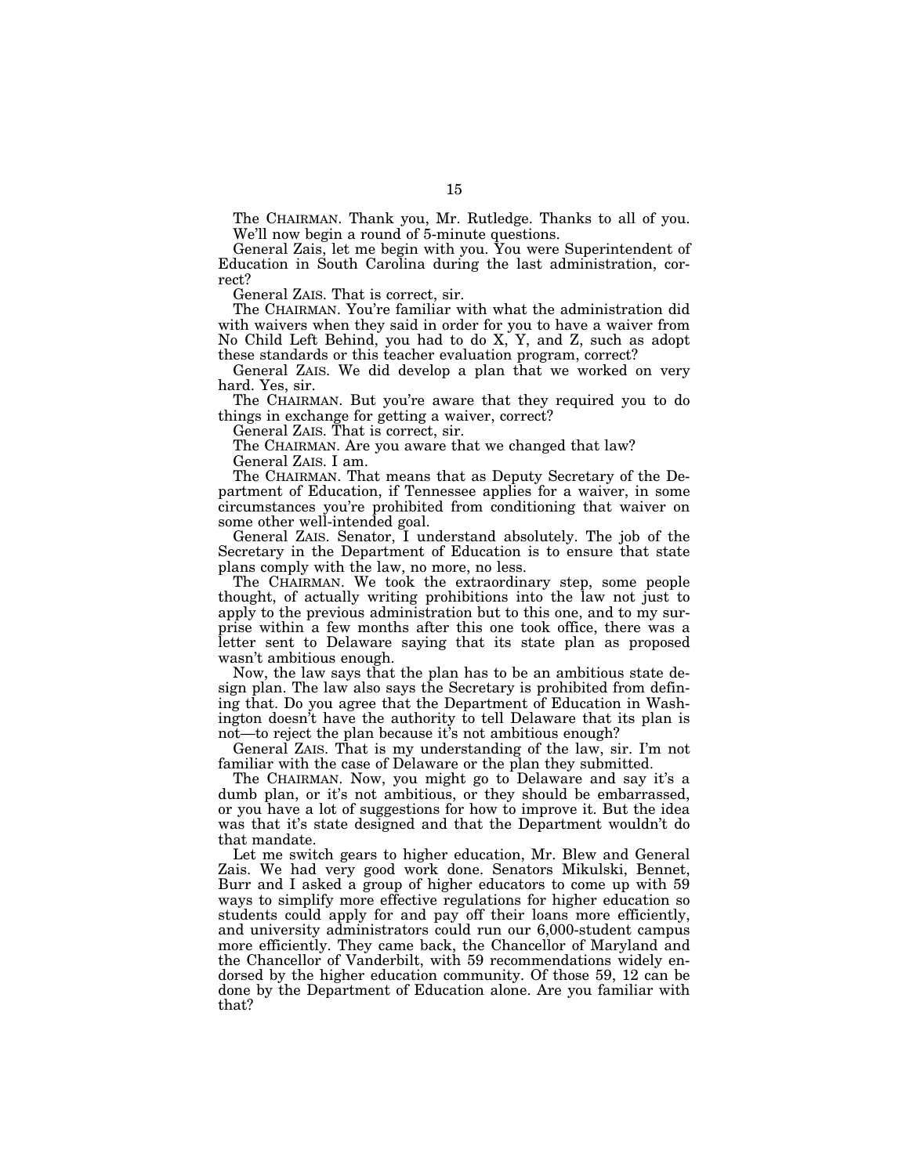The CHAIRMAN. Thank you, Mr. Rutledge. Thanks to all of you. We'll now begin a round of 5-minute questions.

General Zais, let me begin with you. You were Superintendent of Education in South Carolina during the last administration, correct?

General ZAIS. That is correct, sir.

The CHAIRMAN. You're familiar with what the administration did with waivers when they said in order for you to have a waiver from No Child Left Behind, you had to do X, Y, and Z, such as adopt these standards or this teacher evaluation program, correct?

General ZAIS. We did develop a plan that we worked on very hard. Yes, sir.

The CHAIRMAN. But you're aware that they required you to do things in exchange for getting a waiver, correct?

General ZAIS. That is correct, sir.

The CHAIRMAN. Are you aware that we changed that law? General ZAIS. I am.

The CHAIRMAN. That means that as Deputy Secretary of the Department of Education, if Tennessee applies for a waiver, in some circumstances you're prohibited from conditioning that waiver on some other well-intended goal.

General ZAIS. Senator, I understand absolutely. The job of the Secretary in the Department of Education is to ensure that state plans comply with the law, no more, no less.

The CHAIRMAN. We took the extraordinary step, some people thought, of actually writing prohibitions into the law not just to apply to the previous administration but to this one, and to my surprise within a few months after this one took office, there was a letter sent to Delaware saying that its state plan as proposed wasn't ambitious enough.

Now, the law says that the plan has to be an ambitious state design plan. The law also says the Secretary is prohibited from defining that. Do you agree that the Department of Education in Washington doesn't have the authority to tell Delaware that its plan is not—to reject the plan because it's not ambitious enough?

General ZAIS. That is my understanding of the law, sir. I'm not familiar with the case of Delaware or the plan they submitted.

The CHAIRMAN. Now, you might go to Delaware and say it's a dumb plan, or it's not ambitious, or they should be embarrassed, or you have a lot of suggestions for how to improve it. But the idea was that it's state designed and that the Department wouldn't do that mandate.

Let me switch gears to higher education, Mr. Blew and General Zais. We had very good work done. Senators Mikulski, Bennet, Burr and I asked a group of higher educators to come up with 59 ways to simplify more effective regulations for higher education so students could apply for and pay off their loans more efficiently, and university administrators could run our 6,000-student campus more efficiently. They came back, the Chancellor of Maryland and the Chancellor of Vanderbilt, with 59 recommendations widely endorsed by the higher education community. Of those 59, 12 can be done by the Department of Education alone. Are you familiar with that?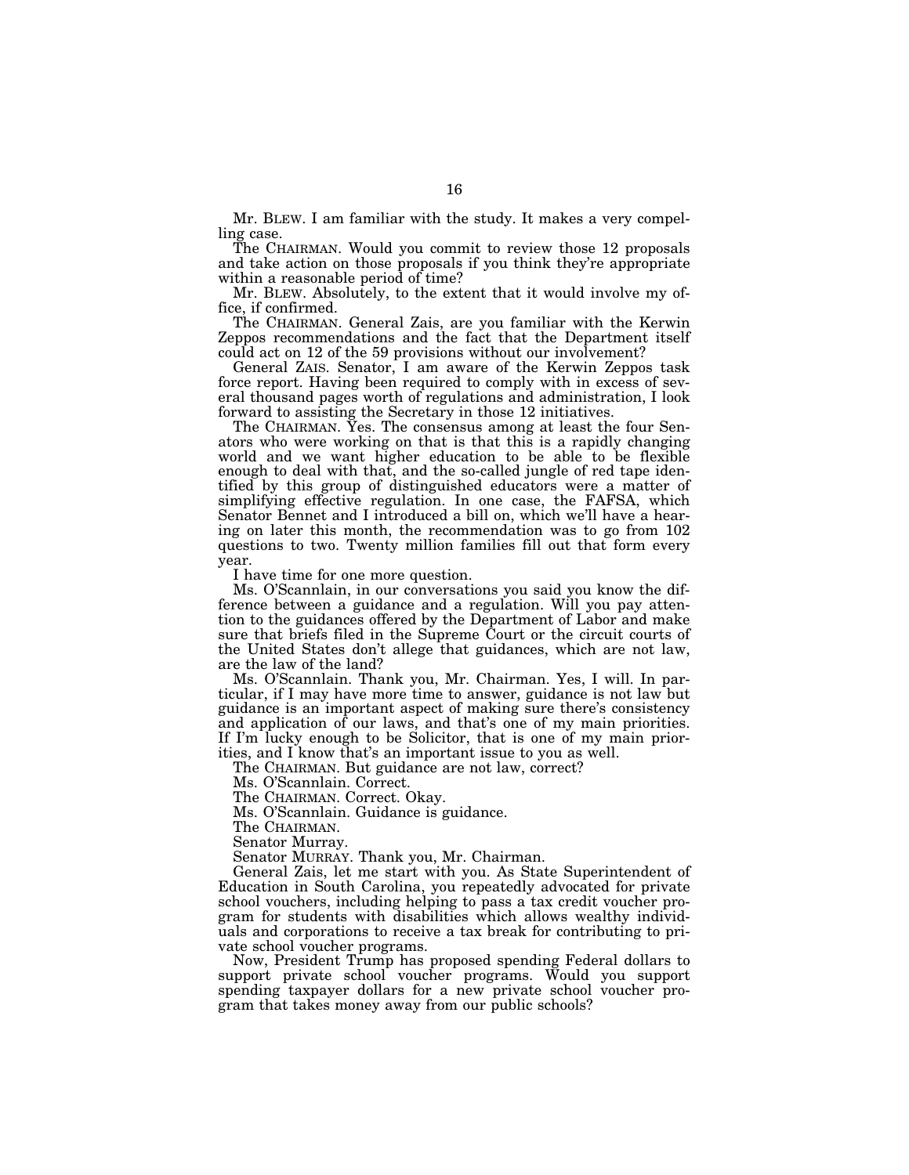Mr. BLEW. I am familiar with the study. It makes a very compelling case.

The CHAIRMAN. Would you commit to review those 12 proposals and take action on those proposals if you think they're appropriate within a reasonable period of time?

Mr. BLEW. Absolutely, to the extent that it would involve my office, if confirmed.

The CHAIRMAN. General Zais, are you familiar with the Kerwin Zeppos recommendations and the fact that the Department itself could act on 12 of the 59 provisions without our involvement?

General ZAIS. Senator, I am aware of the Kerwin Zeppos task force report. Having been required to comply with in excess of several thousand pages worth of regulations and administration, I look forward to assisting the Secretary in those 12 initiatives.

The CHAIRMAN. Yes. The consensus among at least the four Senators who were working on that is that this is a rapidly changing world and we want higher education to be able to be flexible enough to deal with that, and the so-called jungle of red tape identified by this group of distinguished educators were a matter of simplifying effective regulation. In one case, the FAFSA, which Senator Bennet and I introduced a bill on, which we'll have a hearing on later this month, the recommendation was to go from 102 questions to two. Twenty million families fill out that form every year.

I have time for one more question.

Ms. O'Scannlain, in our conversations you said you know the difference between a guidance and a regulation. Will you pay attention to the guidances offered by the Department of Labor and make sure that briefs filed in the Supreme Court or the circuit courts of the United States don't allege that guidances, which are not law, are the law of the land?

Ms. O'Scannlain. Thank you, Mr. Chairman. Yes, I will. In particular, if I may have more time to answer, guidance is not law but guidance is an important aspect of making sure there's consistency and application of our laws, and that's one of my main priorities. If I'm lucky enough to be Solicitor, that is one of my main priorities, and I know that's an important issue to you as well.

The CHAIRMAN. But guidance are not law, correct?

Ms. O'Scannlain. Correct.

The CHAIRMAN. Correct. Okay.

Ms. O'Scannlain. Guidance is guidance.

The CHAIRMAN.

Senator Murray.

Senator MURRAY. Thank you, Mr. Chairman.

General Zais, let me start with you. As State Superintendent of Education in South Carolina, you repeatedly advocated for private school vouchers, including helping to pass a tax credit voucher program for students with disabilities which allows wealthy individuals and corporations to receive a tax break for contributing to private school voucher programs.

Now, President Trump has proposed spending Federal dollars to support private school voucher programs. Would you support spending taxpayer dollars for a new private school voucher program that takes money away from our public schools?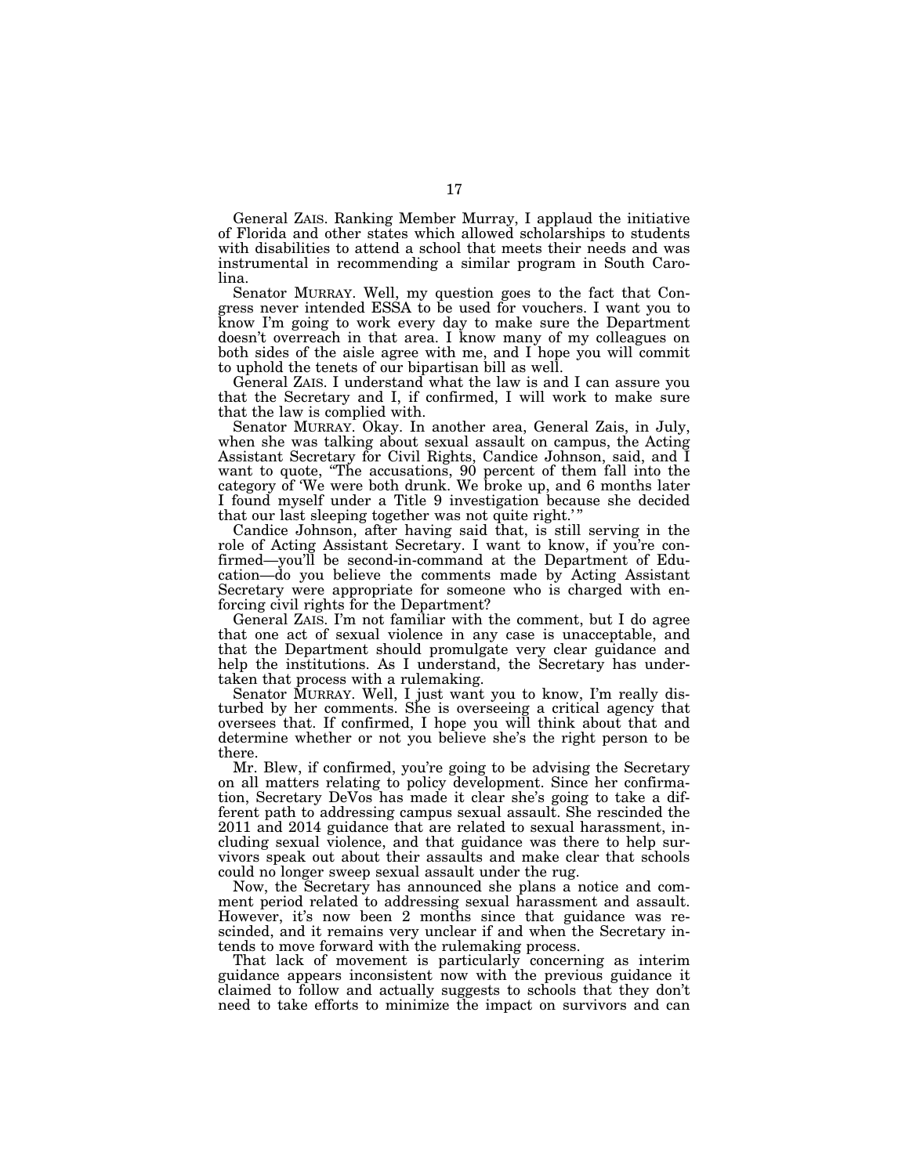General ZAIS. Ranking Member Murray, I applaud the initiative of Florida and other states which allowed scholarships to students with disabilities to attend a school that meets their needs and was instrumental in recommending a similar program in South Carolina.

Senator MURRAY. Well, my question goes to the fact that Congress never intended ESSA to be used for vouchers. I want you to know I'm going to work every day to make sure the Department doesn't overreach in that area. I know many of my colleagues on both sides of the aisle agree with me, and I hope you will commit to uphold the tenets of our bipartisan bill as well.

General ZAIS. I understand what the law is and I can assure you that the Secretary and I, if confirmed, I will work to make sure that the law is complied with.

Senator MURRAY. Okay. In another area, General Zais, in July, when she was talking about sexual assault on campus, the Acting Assistant Secretary for Civil Rights, Candice Johnson, said, and I want to quote, "The accusations, 90 percent of them fall into the category of 'We were both drunk. We broke up, and 6 months later I found myself under a Title 9 investigation because she decided that our last sleeping together was not quite right.'"

Candice Johnson, after having said that, is still serving in the role of Acting Assistant Secretary. I want to know, if you're confirmed—you'll be second-in-command at the Department of Education—do you believe the comments made by Acting Assistant Secretary were appropriate for someone who is charged with enforcing civil rights for the Department?

General ZAIS. I'm not familiar with the comment, but I do agree that one act of sexual violence in any case is unacceptable, and that the Department should promulgate very clear guidance and help the institutions. As I understand, the Secretary has undertaken that process with a rulemaking.

Senator MURRAY. Well, I just want you to know, I'm really disturbed by her comments. She is overseeing a critical agency that oversees that. If confirmed, I hope you will think about that and determine whether or not you believe she's the right person to be there.

Mr. Blew, if confirmed, you're going to be advising the Secretary on all matters relating to policy development. Since her confirmation, Secretary DeVos has made it clear she's going to take a different path to addressing campus sexual assault. She rescinded the 2011 and 2014 guidance that are related to sexual harassment, including sexual violence, and that guidance was there to help survivors speak out about their assaults and make clear that schools could no longer sweep sexual assault under the rug.

Now, the Secretary has announced she plans a notice and comment period related to addressing sexual harassment and assault. However, it's now been 2 months since that guidance was rescinded, and it remains very unclear if and when the Secretary intends to move forward with the rulemaking process.

That lack of movement is particularly concerning as interim guidance appears inconsistent now with the previous guidance it claimed to follow and actually suggests to schools that they don't need to take efforts to minimize the impact on survivors and can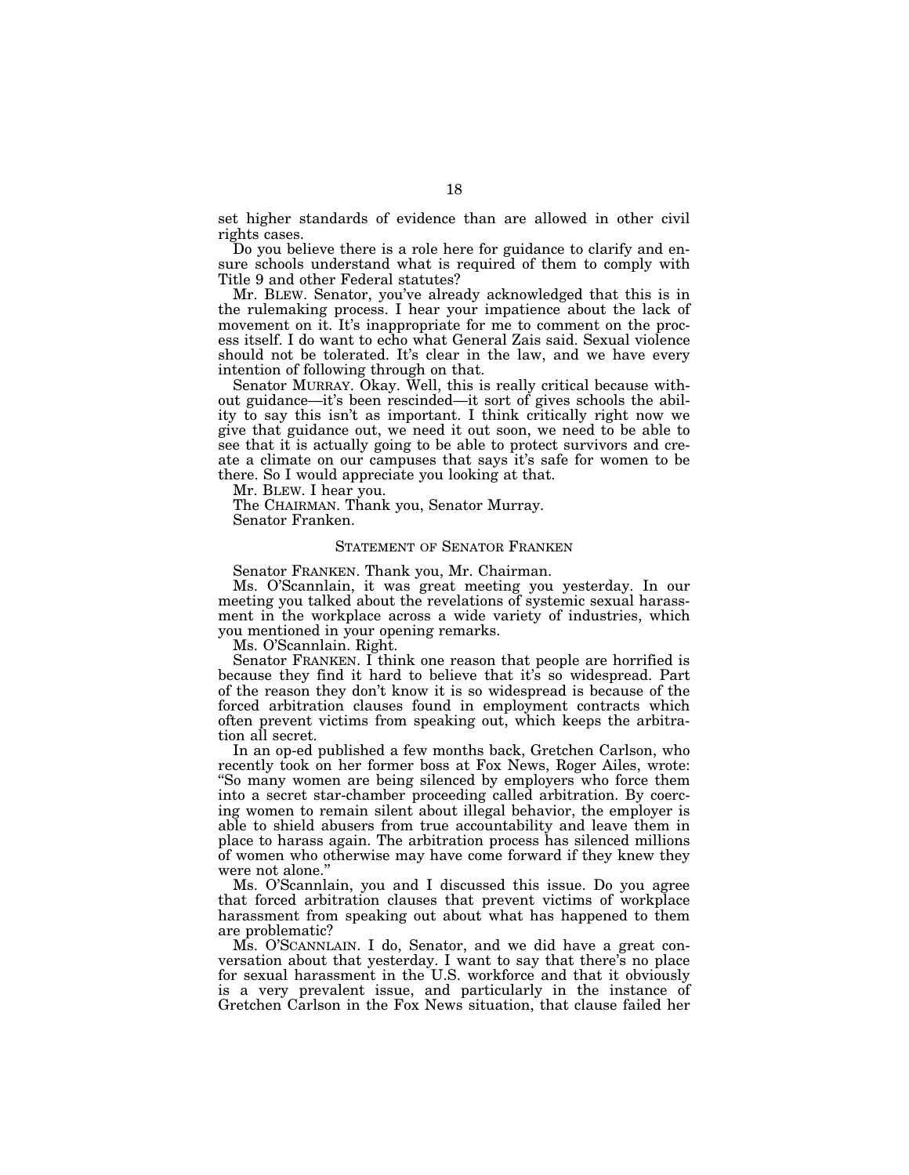set higher standards of evidence than are allowed in other civil rights cases.

Do you believe there is a role here for guidance to clarify and ensure schools understand what is required of them to comply with Title 9 and other Federal statutes?

Mr. BLEW. Senator, you've already acknowledged that this is in the rulemaking process. I hear your impatience about the lack of movement on it. It's inappropriate for me to comment on the process itself. I do want to echo what General Zais said. Sexual violence should not be tolerated. It's clear in the law, and we have every intention of following through on that.

Senator MURRAY. Okay. Well, this is really critical because without guidance—it's been rescinded—it sort of gives schools the ability to say this isn't as important. I think critically right now we give that guidance out, we need it out soon, we need to be able to see that it is actually going to be able to protect survivors and create a climate on our campuses that says it's safe for women to be there. So I would appreciate you looking at that.

Mr. BLEW. I hear you.

The CHAIRMAN. Thank you, Senator Murray. Senator Franken.

#### STATEMENT OF SENATOR FRANKEN

Senator FRANKEN. Thank you, Mr. Chairman.

Ms. O'Scannlain, it was great meeting you yesterday. In our meeting you talked about the revelations of systemic sexual harassment in the workplace across a wide variety of industries, which you mentioned in your opening remarks.

Ms. O'Scannlain. Right.

Senator FRANKEN. I think one reason that people are horrified is because they find it hard to believe that it's so widespread. Part of the reason they don't know it is so widespread is because of the forced arbitration clauses found in employment contracts which often prevent victims from speaking out, which keeps the arbitration all secret.

In an op-ed published a few months back, Gretchen Carlson, who recently took on her former boss at Fox News, Roger Ailes, wrote: ''So many women are being silenced by employers who force them into a secret star-chamber proceeding called arbitration. By coercing women to remain silent about illegal behavior, the employer is able to shield abusers from true accountability and leave them in place to harass again. The arbitration process has silenced millions of women who otherwise may have come forward if they knew they were not alone.''

Ms. O'Scannlain, you and I discussed this issue. Do you agree that forced arbitration clauses that prevent victims of workplace harassment from speaking out about what has happened to them are problematic?

Ms. O'SCANNLAIN. I do, Senator, and we did have a great conversation about that yesterday. I want to say that there's no place for sexual harassment in the U.S. workforce and that it obviously is a very prevalent issue, and particularly in the instance of Gretchen Carlson in the Fox News situation, that clause failed her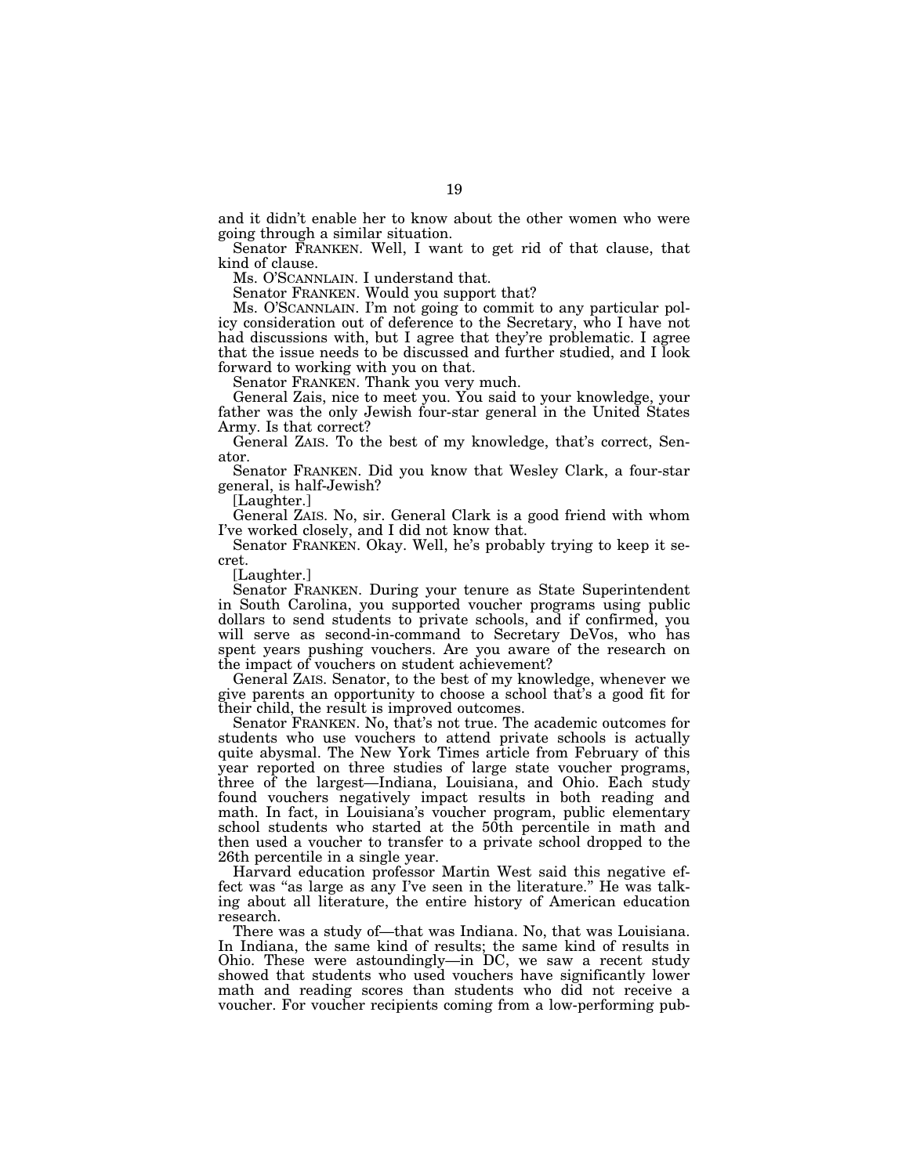and it didn't enable her to know about the other women who were going through a similar situation.

Senator FRANKEN. Well, I want to get rid of that clause, that kind of clause.

Ms. O'SCANNLAIN. I understand that.

Senator FRANKEN. Would you support that?

Ms. O'SCANNLAIN. I'm not going to commit to any particular policy consideration out of deference to the Secretary, who I have not had discussions with, but I agree that they're problematic. I agree that the issue needs to be discussed and further studied, and I look forward to working with you on that.

Senator FRANKEN. Thank you very much.

General Zais, nice to meet you. You said to your knowledge, your father was the only Jewish four-star general in the United States Army. Is that correct?

General ZAIS. To the best of my knowledge, that's correct, Senator.

Senator FRANKEN. Did you know that Wesley Clark, a four-star general, is half-Jewish?

[Laughter.]

General ZAIS. No, sir. General Clark is a good friend with whom I've worked closely, and I did not know that.

Senator FRANKEN. Okay. Well, he's probably trying to keep it secret.

[Laughter.]

Senator FRANKEN. During your tenure as State Superintendent in South Carolina, you supported voucher programs using public dollars to send students to private schools, and if confirmed, you will serve as second-in-command to Secretary DeVos, who has spent years pushing vouchers. Are you aware of the research on the impact of vouchers on student achievement?

General ZAIS. Senator, to the best of my knowledge, whenever we give parents an opportunity to choose a school that's a good fit for their child, the result is improved outcomes.

Senator FRANKEN. No, that's not true. The academic outcomes for students who use vouchers to attend private schools is actually quite abysmal. The New York Times article from February of this year reported on three studies of large state voucher programs, three of the largest—Indiana, Louisiana, and Ohio. Each study found vouchers negatively impact results in both reading and math. In fact, in Louisiana's voucher program, public elementary school students who started at the 50th percentile in math and then used a voucher to transfer to a private school dropped to the 26th percentile in a single year.

Harvard education professor Martin West said this negative effect was "as large as any I've seen in the literature." He was talking about all literature, the entire history of American education research.

There was a study of—that was Indiana. No, that was Louisiana. In Indiana, the same kind of results; the same kind of results in Ohio. These were astoundingly—in DC, we saw a recent study showed that students who used vouchers have significantly lower math and reading scores than students who did not receive a voucher. For voucher recipients coming from a low-performing pub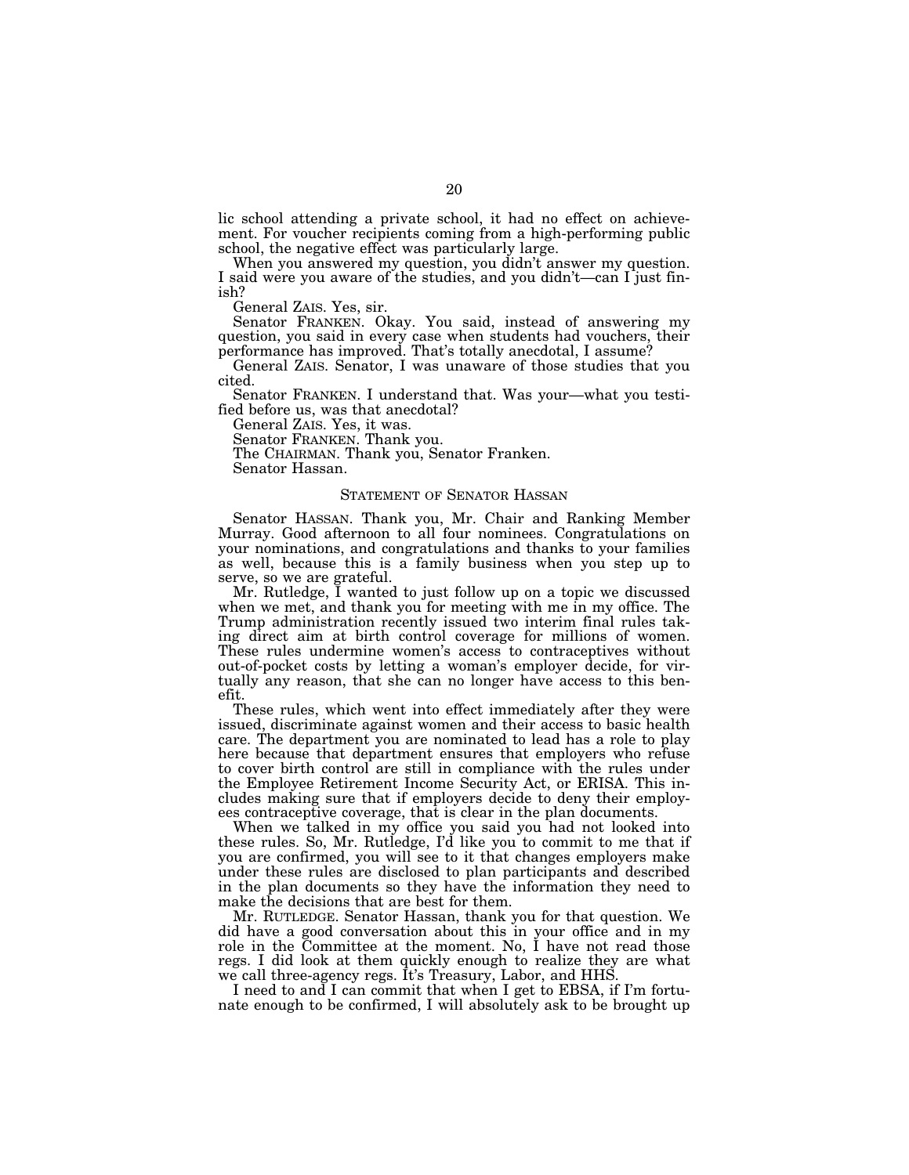lic school attending a private school, it had no effect on achievement. For voucher recipients coming from a high-performing public school, the negative effect was particularly large.

When you answered my question, you didn't answer my question. I said were you aware of the studies, and you didn't—can I just finish?

General ZAIS. Yes, sir.

Senator FRANKEN. Okay. You said, instead of answering my question, you said in every case when students had vouchers, their performance has improved. That's totally anecdotal, I assume?

General ZAIS. Senator, I was unaware of those studies that you cited.

Senator FRANKEN. I understand that. Was your—what you testified before us, was that anecdotal?

General ZAIS. Yes, it was.

Senator FRANKEN. Thank you.

The CHAIRMAN. Thank you, Senator Franken.

Senator Hassan.

#### STATEMENT OF SENATOR HASSAN

Senator HASSAN. Thank you, Mr. Chair and Ranking Member Murray. Good afternoon to all four nominees. Congratulations on your nominations, and congratulations and thanks to your families as well, because this is a family business when you step up to serve, so we are grateful.

Mr. Rutledge, I wanted to just follow up on a topic we discussed when we met, and thank you for meeting with me in my office. The Trump administration recently issued two interim final rules taking direct aim at birth control coverage for millions of women. These rules undermine women's access to contraceptives without out-of-pocket costs by letting a woman's employer decide, for virtually any reason, that she can no longer have access to this benefit.

These rules, which went into effect immediately after they were issued, discriminate against women and their access to basic health care. The department you are nominated to lead has a role to play here because that department ensures that employers who refuse to cover birth control are still in compliance with the rules under the Employee Retirement Income Security Act, or ERISA. This includes making sure that if employers decide to deny their employees contraceptive coverage, that is clear in the plan documents.

When we talked in my office you said you had not looked into these rules. So, Mr. Rutledge, I'd like you to commit to me that if you are confirmed, you will see to it that changes employers make under these rules are disclosed to plan participants and described in the plan documents so they have the information they need to make the decisions that are best for them.

Mr. RUTLEDGE. Senator Hassan, thank you for that question. We did have a good conversation about this in your office and in my role in the Committee at the moment. No, I have not read those regs. I did look at them quickly enough to realize they are what we call three-agency regs. It's Treasury, Labor, and HHS.

I need to and I can commit that when I get to EBSA, if I'm fortunate enough to be confirmed, I will absolutely ask to be brought up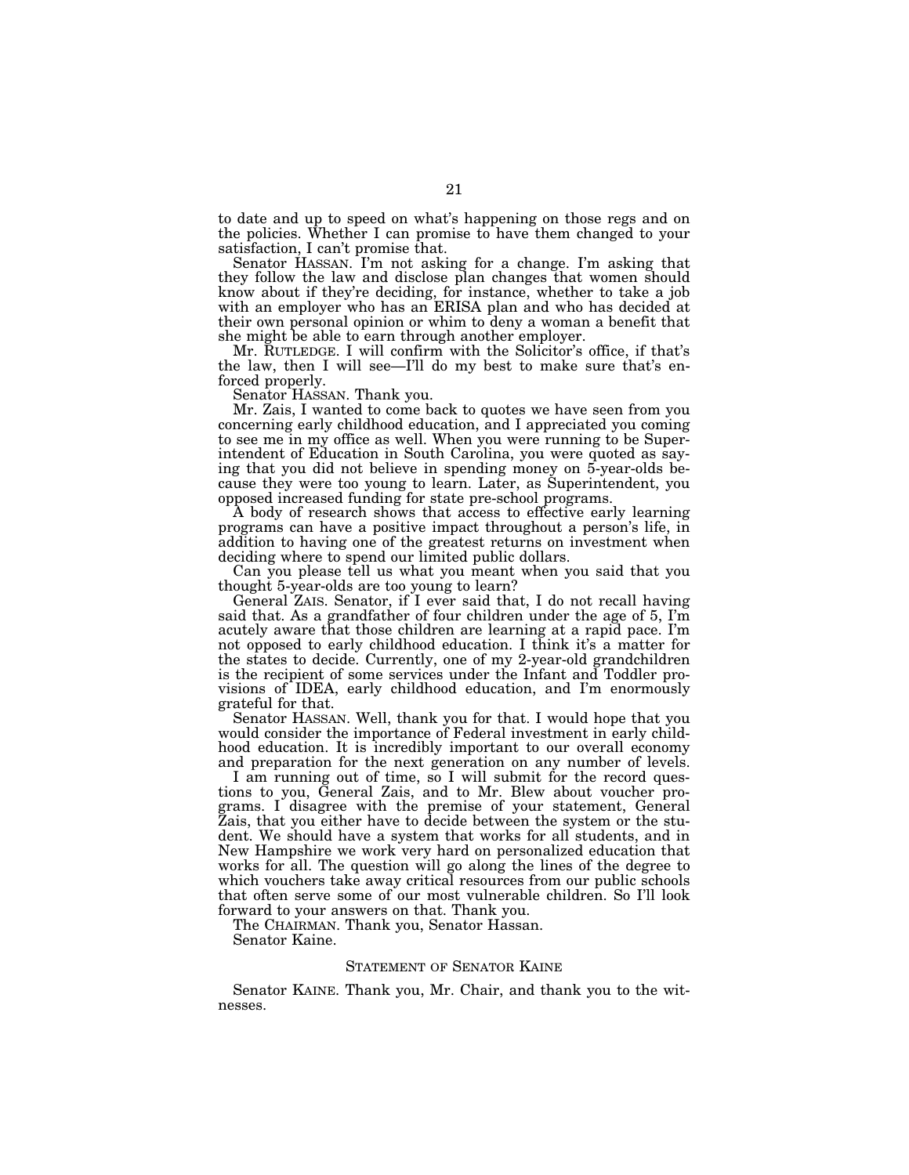to date and up to speed on what's happening on those regs and on the policies. Whether I can promise to have them changed to your satisfaction, I can't promise that.

Senator HASSAN. I'm not asking for a change. I'm asking that they follow the law and disclose plan changes that women should know about if they're deciding, for instance, whether to take a job with an employer who has an ERISA plan and who has decided at their own personal opinion or whim to deny a woman a benefit that she might be able to earn through another employer.

Mr. RUTLEDGE. I will confirm with the Solicitor's office, if that's the law, then I will see—I'll do my best to make sure that's enforced properly.

Senator HASSAN. Thank you.

Mr. Zais, I wanted to come back to quotes we have seen from you concerning early childhood education, and I appreciated you coming to see me in my office as well. When you were running to be Superintendent of Education in South Carolina, you were quoted as saying that you did not believe in spending money on 5-year-olds because they were too young to learn. Later, as Superintendent, you opposed increased funding for state pre-school programs.

A body of research shows that access to effective early learning programs can have a positive impact throughout a person's life, in addition to having one of the greatest returns on investment when deciding where to spend our limited public dollars.

Can you please tell us what you meant when you said that you thought 5-year-olds are too young to learn?

General ZAIS. Senator, if I ever said that, I do not recall having said that. As a grandfather of four children under the age of 5, I'm acutely aware that those children are learning at a rapid pace. I'm not opposed to early childhood education. I think it's a matter for the states to decide. Currently, one of my 2-year-old grandchildren is the recipient of some services under the Infant and Toddler provisions of IDEA, early childhood education, and I'm enormously grateful for that.

Senator HASSAN. Well, thank you for that. I would hope that you would consider the importance of Federal investment in early childhood education. It is incredibly important to our overall economy and preparation for the next generation on any number of levels.

I am running out of time, so I will submit for the record questions to you, General Zais, and to Mr. Blew about voucher programs. I disagree with the premise of your statement, General Zais, that you either have to decide between the system or the student. We should have a system that works for all students, and in New Hampshire we work very hard on personalized education that works for all. The question will go along the lines of the degree to which vouchers take away critical resources from our public schools that often serve some of our most vulnerable children. So I'll look forward to your answers on that. Thank you.

The CHAIRMAN. Thank you, Senator Hassan.

Senator Kaine.

#### STATEMENT OF SENATOR KAINE

Senator KAINE. Thank you, Mr. Chair, and thank you to the witnesses.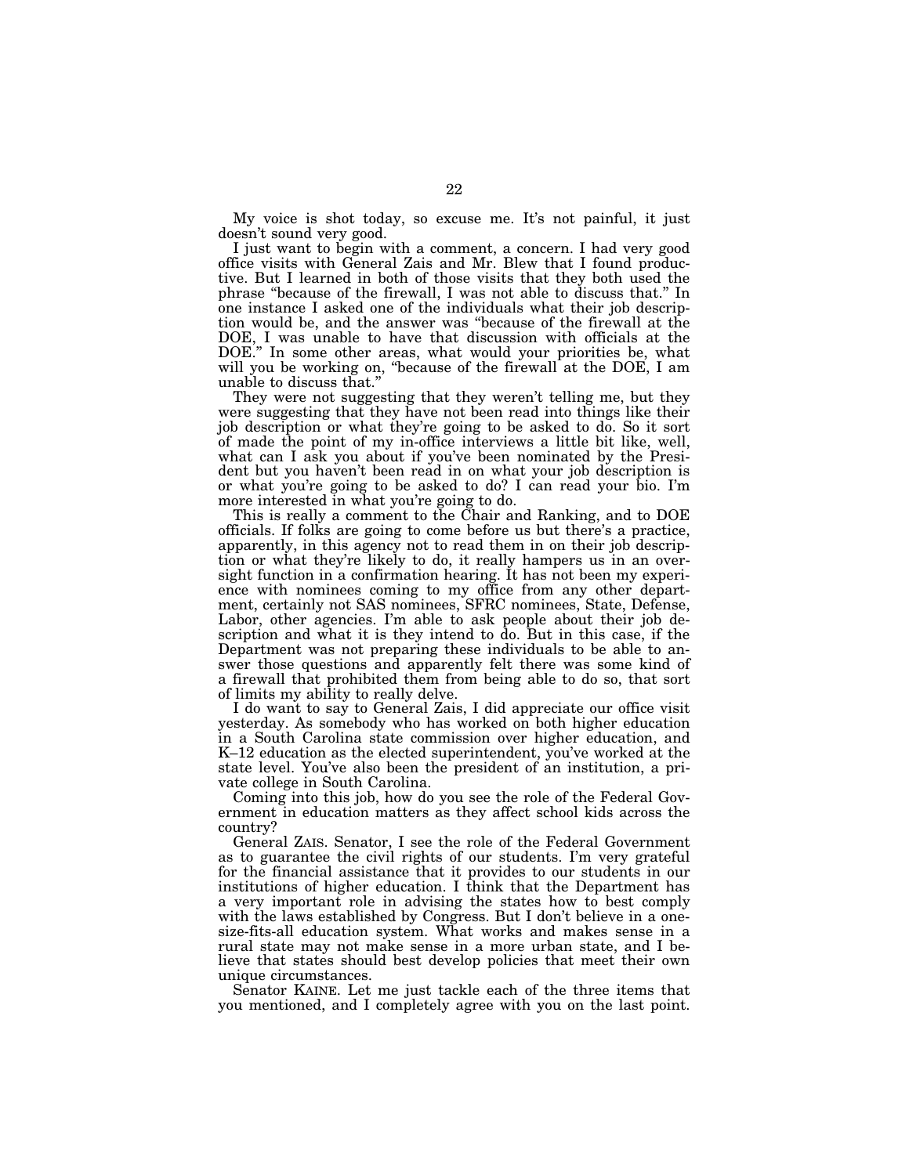My voice is shot today, so excuse me. It's not painful, it just doesn't sound very good.

I just want to begin with a comment, a concern. I had very good office visits with General Zais and Mr. Blew that I found productive. But I learned in both of those visits that they both used the phrase ''because of the firewall, I was not able to discuss that.'' In one instance I asked one of the individuals what their job description would be, and the answer was ''because of the firewall at the DOE, I was unable to have that discussion with officials at the DOE.'' In some other areas, what would your priorities be, what will you be working on, "because of the firewall at the DOE, I am unable to discuss that.''

They were not suggesting that they weren't telling me, but they were suggesting that they have not been read into things like their job description or what they're going to be asked to do. So it sort of made the point of my in-office interviews a little bit like, well, what can I ask you about if you've been nominated by the President but you haven't been read in on what your job description is or what you're going to be asked to do? I can read your bio. I'm more interested in what you're going to do.

This is really a comment to the Chair and Ranking, and to DOE officials. If folks are going to come before us but there's a practice, apparently, in this agency not to read them in on their job description or what they're likely to do, it really hampers us in an oversight function in a confirmation hearing. It has not been my experience with nominees coming to my office from any other department, certainly not SAS nominees, SFRC nominees, State, Defense, Labor, other agencies. I'm able to ask people about their job description and what it is they intend to do. But in this case, if the Department was not preparing these individuals to be able to answer those questions and apparently felt there was some kind of a firewall that prohibited them from being able to do so, that sort of limits my ability to really delve.

I do want to say to General Zais, I did appreciate our office visit yesterday. As somebody who has worked on both higher education in a South Carolina state commission over higher education, and K–12 education as the elected superintendent, you've worked at the state level. You've also been the president of an institution, a private college in South Carolina.

Coming into this job, how do you see the role of the Federal Government in education matters as they affect school kids across the country?

General ZAIS. Senator, I see the role of the Federal Government as to guarantee the civil rights of our students. I'm very grateful for the financial assistance that it provides to our students in our institutions of higher education. I think that the Department has a very important role in advising the states how to best comply with the laws established by Congress. But I don't believe in a onesize-fits-all education system. What works and makes sense in a rural state may not make sense in a more urban state, and I believe that states should best develop policies that meet their own unique circumstances.

Senator KAINE. Let me just tackle each of the three items that you mentioned, and I completely agree with you on the last point.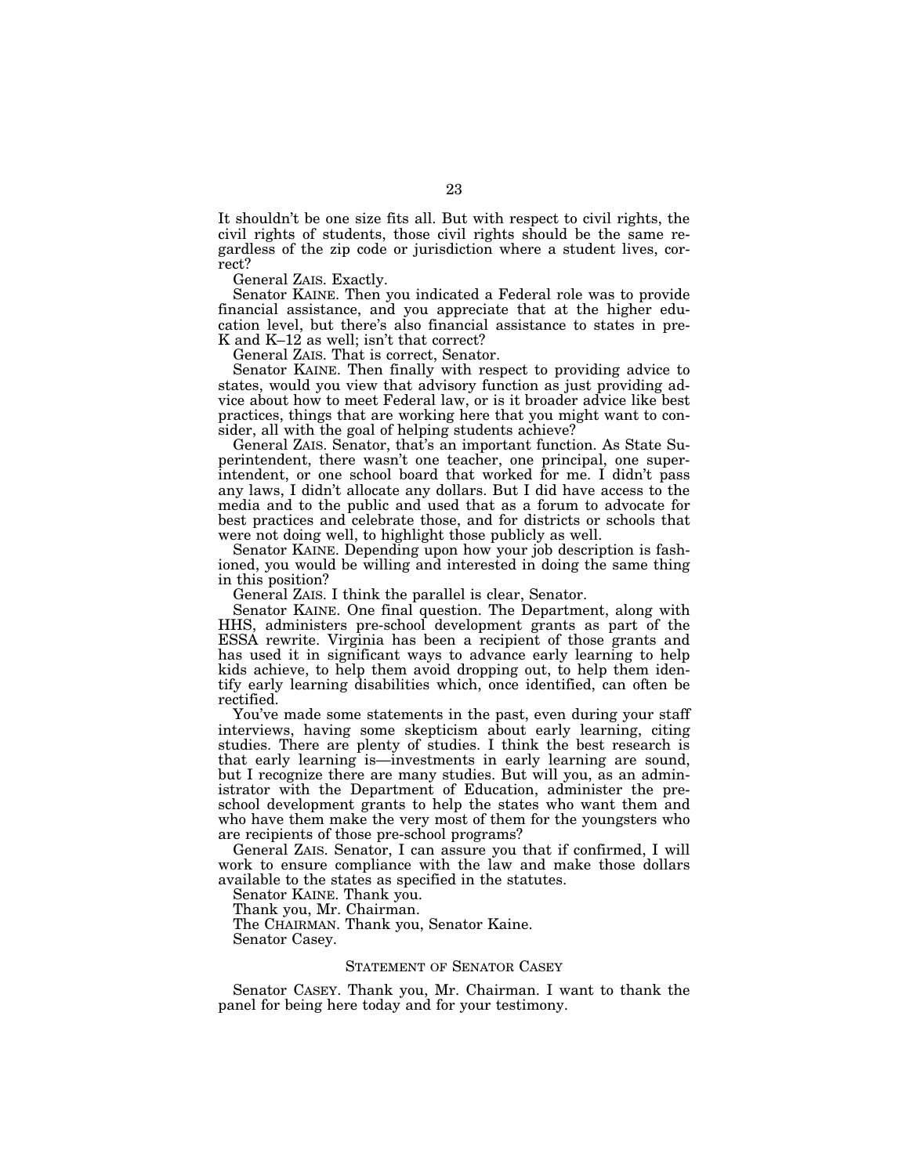It shouldn't be one size fits all. But with respect to civil rights, the civil rights of students, those civil rights should be the same regardless of the zip code or jurisdiction where a student lives, correct?

General ZAIS. Exactly.

Senator KAINE. Then you indicated a Federal role was to provide financial assistance, and you appreciate that at the higher education level, but there's also financial assistance to states in pre-K and K–12 as well; isn't that correct?

General ZAIS. That is correct, Senator.

Senator KAINE. Then finally with respect to providing advice to states, would you view that advisory function as just providing advice about how to meet Federal law, or is it broader advice like best practices, things that are working here that you might want to consider, all with the goal of helping students achieve?

General ZAIS. Senator, that's an important function. As State Superintendent, there wasn't one teacher, one principal, one superintendent, or one school board that worked for me. I didn't pass any laws, I didn't allocate any dollars. But I did have access to the media and to the public and used that as a forum to advocate for best practices and celebrate those, and for districts or schools that were not doing well, to highlight those publicly as well.

Senator KAINE. Depending upon how your job description is fashioned, you would be willing and interested in doing the same thing in this position?

General ZAIS. I think the parallel is clear, Senator.

Senator KAINE. One final question. The Department, along with HHS, administers pre-school development grants as part of the ESSA rewrite. Virginia has been a recipient of those grants and has used it in significant ways to advance early learning to help kids achieve, to help them avoid dropping out, to help them identify early learning disabilities which, once identified, can often be rectified.

You've made some statements in the past, even during your staff interviews, having some skepticism about early learning, citing studies. There are plenty of studies. I think the best research is that early learning is—investments in early learning are sound, but I recognize there are many studies. But will you, as an administrator with the Department of Education, administer the preschool development grants to help the states who want them and who have them make the very most of them for the youngsters who are recipients of those pre-school programs?

General ZAIS. Senator, I can assure you that if confirmed, I will work to ensure compliance with the law and make those dollars available to the states as specified in the statutes.

Senator KAINE. Thank you.

Thank you, Mr. Chairman.

The CHAIRMAN. Thank you, Senator Kaine.

Senator Casey.

#### STATEMENT OF SENATOR CASEY

Senator CASEY. Thank you, Mr. Chairman. I want to thank the panel for being here today and for your testimony.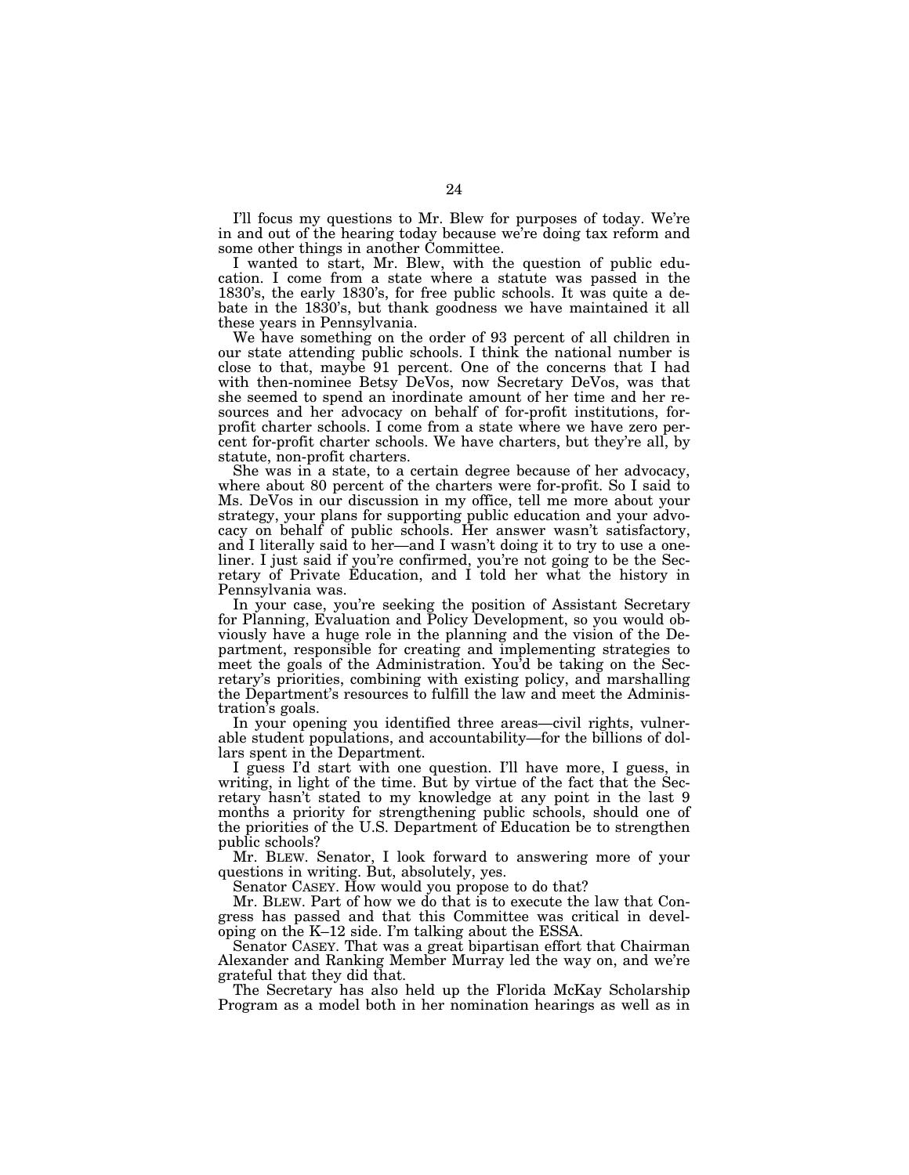I'll focus my questions to Mr. Blew for purposes of today. We're in and out of the hearing today because we're doing tax reform and some other things in another Committee.

I wanted to start, Mr. Blew, with the question of public education. I come from a state where a statute was passed in the 1830's, the early 1830's, for free public schools. It was quite a debate in the 1830's, but thank goodness we have maintained it all these years in Pennsylvania.

We have something on the order of 93 percent of all children in our state attending public schools. I think the national number is close to that, maybe 91 percent. One of the concerns that I had with then-nominee Betsy DeVos, now Secretary DeVos, was that she seemed to spend an inordinate amount of her time and her resources and her advocacy on behalf of for-profit institutions, forprofit charter schools. I come from a state where we have zero percent for-profit charter schools. We have charters, but they're all, by statute, non-profit charters.

She was in a state, to a certain degree because of her advocacy, where about 80 percent of the charters were for-profit. So I said to Ms. DeVos in our discussion in my office, tell me more about your strategy, your plans for supporting public education and your advocacy on behalf of public schools. Her answer wasn't satisfactory, and I literally said to her—and I wasn't doing it to try to use a oneliner. I just said if you're confirmed, you're not going to be the Secretary of Private Education, and I told her what the history in Pennsylvania was.

In your case, you're seeking the position of Assistant Secretary for Planning, Evaluation and Policy Development, so you would obviously have a huge role in the planning and the vision of the Department, responsible for creating and implementing strategies to meet the goals of the Administration. You'd be taking on the Secretary's priorities, combining with existing policy, and marshalling the Department's resources to fulfill the law and meet the Administration's goals.

In your opening you identified three areas—civil rights, vulnerable student populations, and accountability—for the billions of dollars spent in the Department.

I guess I'd start with one question. I'll have more, I guess, in writing, in light of the time. But by virtue of the fact that the Secretary hasn't stated to my knowledge at any point in the last 9 months a priority for strengthening public schools, should one of the priorities of the U.S. Department of Education be to strengthen public schools?

Mr. BLEW. Senator, I look forward to answering more of your questions in writing. But, absolutely, yes.

Senator CASEY. How would you propose to do that?

Mr. BLEW. Part of how we do that is to execute the law that Congress has passed and that this Committee was critical in developing on the K–12 side. I'm talking about the ESSA.

Senator CASEY. That was a great bipartisan effort that Chairman Alexander and Ranking Member Murray led the way on, and we're grateful that they did that.

The Secretary has also held up the Florida McKay Scholarship Program as a model both in her nomination hearings as well as in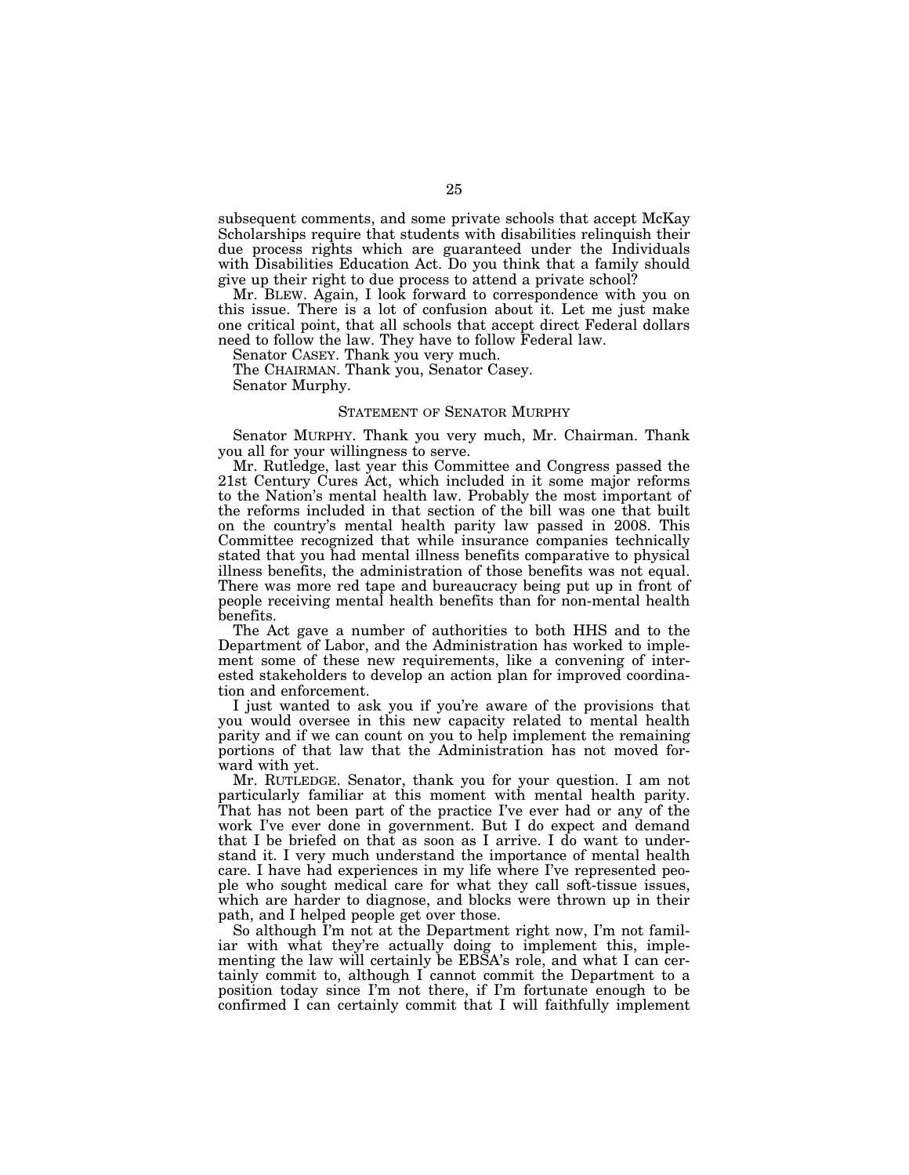subsequent comments, and some private schools that accept McKay Scholarships require that students with disabilities relinquish their due process rights which are guaranteed under the Individuals with Disabilities Education Act. Do you think that a family should give up their right to due process to attend a private school?

Mr. BLEW. Again, I look forward to correspondence with you on this issue. There is a lot of confusion about it. Let me just make one critical point, that all schools that accept direct Federal dollars need to follow the law. They have to follow Federal law.

Senator CASEY. Thank you very much.

The CHAIRMAN. Thank you, Senator Casey.

Senator Murphy.

#### STATEMENT OF SENATOR MURPHY

Senator MURPHY. Thank you very much, Mr. Chairman. Thank you all for your willingness to serve.

Mr. Rutledge, last year this Committee and Congress passed the 21st Century Cures Act, which included in it some major reforms to the Nation's mental health law. Probably the most important of the reforms included in that section of the bill was one that built on the country's mental health parity law passed in 2008. This Committee recognized that while insurance companies technically stated that you had mental illness benefits comparative to physical illness benefits, the administration of those benefits was not equal. There was more red tape and bureaucracy being put up in front of people receiving mental health benefits than for non-mental health benefits.

The Act gave a number of authorities to both HHS and to the Department of Labor, and the Administration has worked to implement some of these new requirements, like a convening of interested stakeholders to develop an action plan for improved coordination and enforcement.

I just wanted to ask you if you're aware of the provisions that you would oversee in this new capacity related to mental health parity and if we can count on you to help implement the remaining portions of that law that the Administration has not moved forward with yet.

Mr. RUTLEDGE. Senator, thank you for your question. I am not particularly familiar at this moment with mental health parity. That has not been part of the practice I've ever had or any of the work I've ever done in government. But I do expect and demand that I be briefed on that as soon as I arrive. I do want to understand it. I very much understand the importance of mental health care. I have had experiences in my life where I've represented people who sought medical care for what they call soft-tissue issues, which are harder to diagnose, and blocks were thrown up in their path, and I helped people get over those.

So although I'm not at the Department right now, I'm not familiar with what they're actually doing to implement this, implementing the law will certainly be EBSA's role, and what I can certainly commit to, although I cannot commit the Department to a position today since I'm not there, if I'm fortunate enough to be confirmed I can certainly commit that I will faithfully implement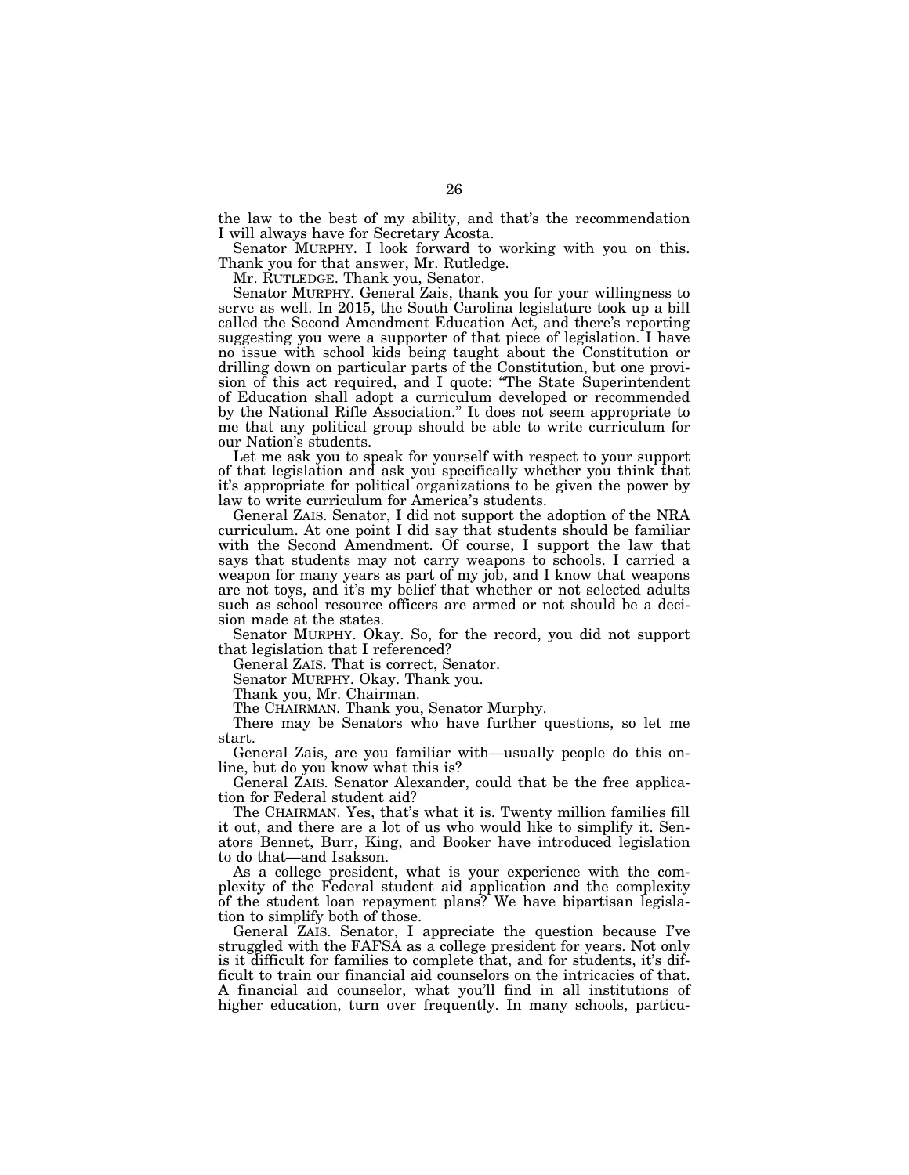the law to the best of my ability, and that's the recommendation I will always have for Secretary Acosta.

Senator MURPHY. I look forward to working with you on this. Thank you for that answer, Mr. Rutledge.

Mr. RUTLEDGE. Thank you, Senator.

Senator MURPHY. General Zais, thank you for your willingness to serve as well. In 2015, the South Carolina legislature took up a bill called the Second Amendment Education Act, and there's reporting suggesting you were a supporter of that piece of legislation. I have no issue with school kids being taught about the Constitution or drilling down on particular parts of the Constitution, but one provision of this act required, and I quote: ''The State Superintendent of Education shall adopt a curriculum developed or recommended by the National Rifle Association.'' It does not seem appropriate to me that any political group should be able to write curriculum for our Nation's students.

Let me ask you to speak for yourself with respect to your support of that legislation and ask you specifically whether you think that it's appropriate for political organizations to be given the power by law to write curriculum for America's students.

General ZAIS. Senator, I did not support the adoption of the NRA curriculum. At one point I did say that students should be familiar with the Second Amendment. Of course, I support the law that says that students may not carry weapons to schools. I carried a weapon for many years as part of my job, and I know that weapons are not toys, and it's my belief that whether or not selected adults such as school resource officers are armed or not should be a decision made at the states.

Senator MURPHY. Okay. So, for the record, you did not support that legislation that I referenced?

General ZAIS. That is correct, Senator.

Senator MURPHY. Okay. Thank you.

Thank you, Mr. Chairman.

The CHAIRMAN. Thank you, Senator Murphy.

There may be Senators who have further questions, so let me start.

General Zais, are you familiar with—usually people do this online, but do you know what this is?

General ZAIS. Senator Alexander, could that be the free application for Federal student aid?

The CHAIRMAN. Yes, that's what it is. Twenty million families fill it out, and there are a lot of us who would like to simplify it. Senators Bennet, Burr, King, and Booker have introduced legislation to do that—and Isakson.

As a college president, what is your experience with the complexity of the Federal student aid application and the complexity of the student loan repayment plans? We have bipartisan legislation to simplify both of those.

General ZAIS. Senator, I appreciate the question because I've struggled with the FAFSA as a college president for years. Not only is it difficult for families to complete that, and for students, it's difficult to train our financial aid counselors on the intricacies of that. A financial aid counselor, what you'll find in all institutions of higher education, turn over frequently. In many schools, particu-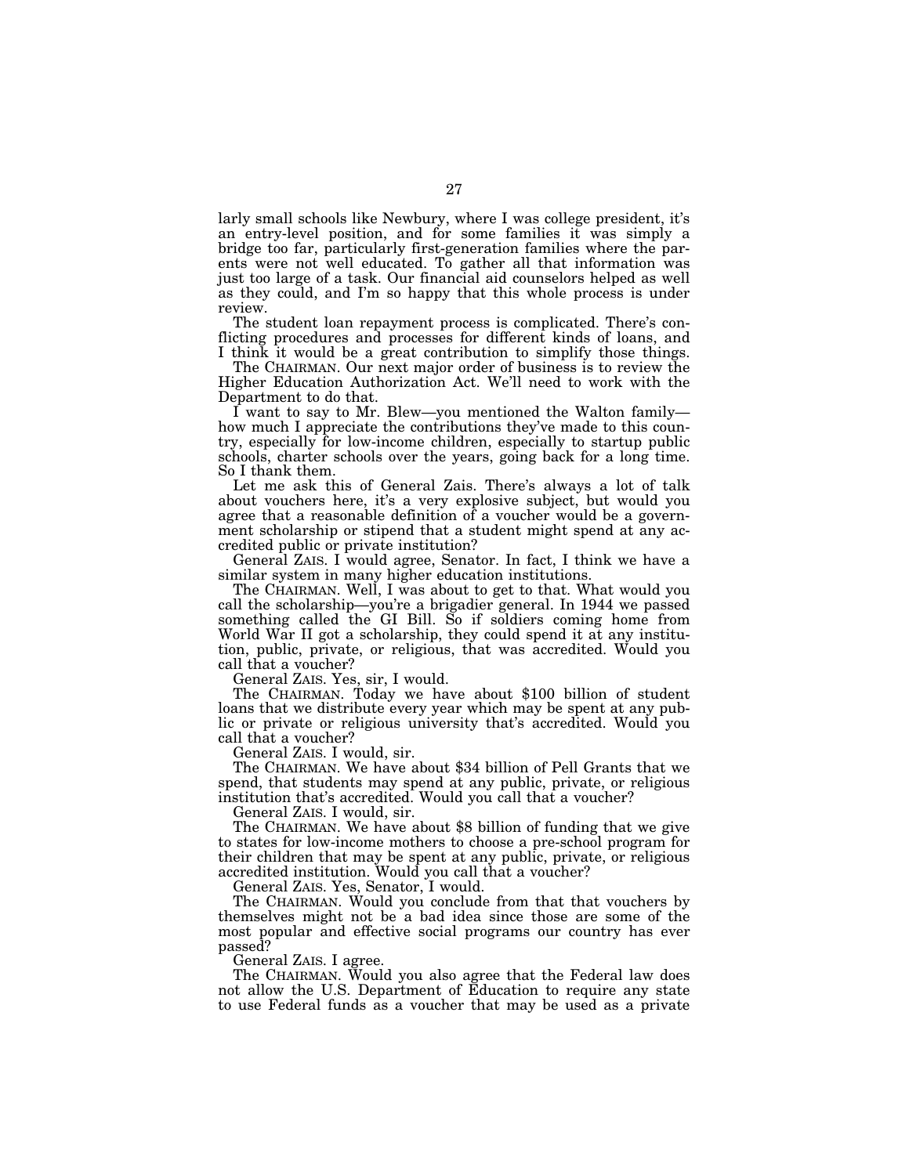larly small schools like Newbury, where I was college president, it's an entry-level position, and for some families it was simply a bridge too far, particularly first-generation families where the parents were not well educated. To gather all that information was just too large of a task. Our financial aid counselors helped as well as they could, and I'm so happy that this whole process is under review.

The student loan repayment process is complicated. There's conflicting procedures and processes for different kinds of loans, and I think it would be a great contribution to simplify those things.

The CHAIRMAN. Our next major order of business is to review the Higher Education Authorization Act. We'll need to work with the Department to do that.

I want to say to Mr. Blew—you mentioned the Walton family how much I appreciate the contributions they've made to this country, especially for low-income children, especially to startup public schools, charter schools over the years, going back for a long time. So I thank them.

Let me ask this of General Zais. There's always a lot of talk about vouchers here, it's a very explosive subject, but would you agree that a reasonable definition of a voucher would be a government scholarship or stipend that a student might spend at any accredited public or private institution?

General ZAIS. I would agree, Senator. In fact, I think we have a similar system in many higher education institutions.

The CHAIRMAN. Well, I was about to get to that. What would you call the scholarship—you're a brigadier general. In 1944 we passed something called the GI Bill. So if soldiers coming home from World War II got a scholarship, they could spend it at any institution, public, private, or religious, that was accredited. Would you call that a voucher?

General ZAIS. Yes, sir, I would.

The CHAIRMAN. Today we have about \$100 billion of student loans that we distribute every year which may be spent at any public or private or religious university that's accredited. Would you call that a voucher?

General ZAIS. I would, sir.

The CHAIRMAN. We have about \$34 billion of Pell Grants that we spend, that students may spend at any public, private, or religious institution that's accredited. Would you call that a voucher?

General ZAIS. I would, sir.

The CHAIRMAN. We have about \$8 billion of funding that we give to states for low-income mothers to choose a pre-school program for their children that may be spent at any public, private, or religious accredited institution. Would you call that a voucher?

General ZAIS. Yes, Senator, I would.

The CHAIRMAN. Would you conclude from that that vouchers by themselves might not be a bad idea since those are some of the most popular and effective social programs our country has ever passed?

General ZAIS. I agree.

The CHAIRMAN. Would you also agree that the Federal law does not allow the U.S. Department of Education to require any state to use Federal funds as a voucher that may be used as a private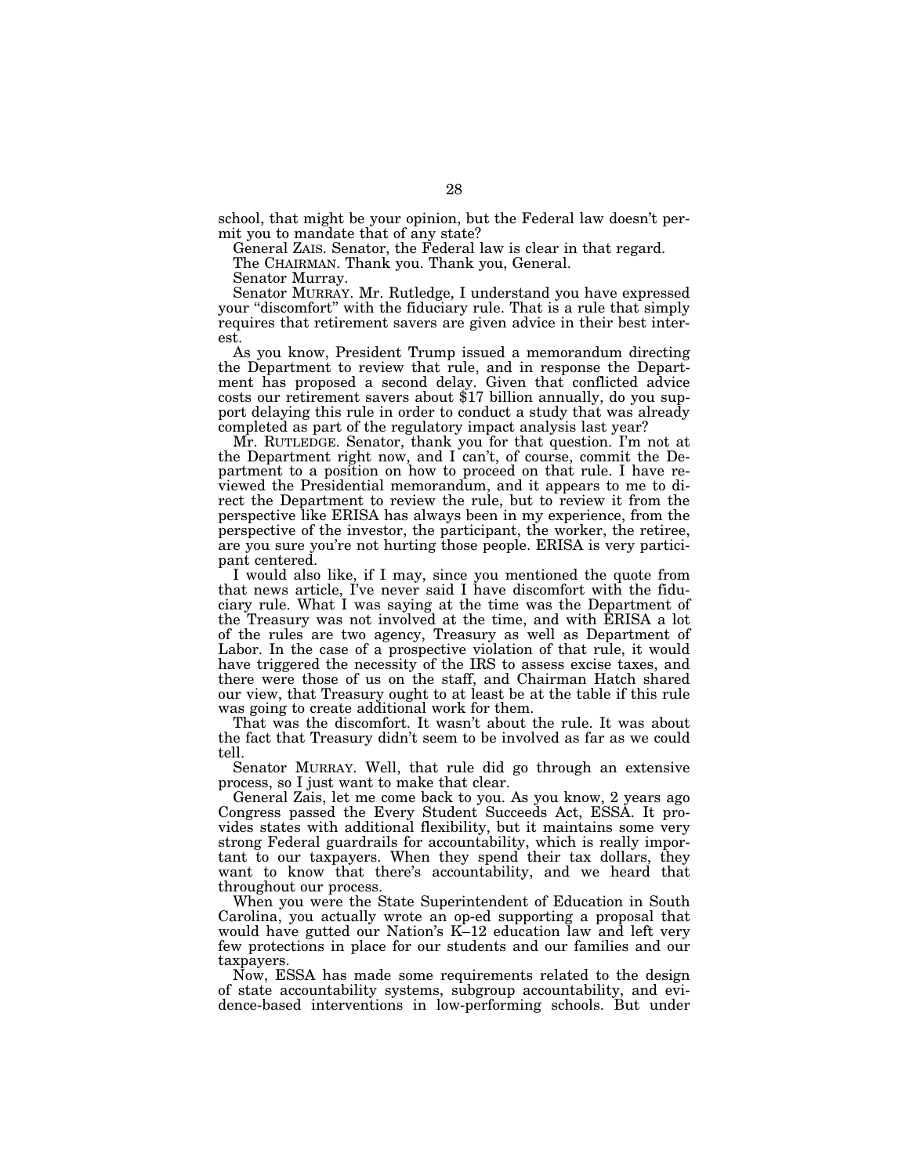school, that might be your opinion, but the Federal law doesn't permit you to mandate that of any state?

General ZAIS. Senator, the Federal law is clear in that regard.

The CHAIRMAN. Thank you. Thank you, General.

Senator Murray.

Senator MURRAY. Mr. Rutledge, I understand you have expressed your "discomfort" with the fiduciary rule. That is a rule that simply requires that retirement savers are given advice in their best interest.

As you know, President Trump issued a memorandum directing the Department to review that rule, and in response the Department has proposed a second delay. Given that conflicted advice costs our retirement savers about \$17 billion annually, do you support delaying this rule in order to conduct a study that was already completed as part of the regulatory impact analysis last year?

Mr. RUTLEDGE. Senator, thank you for that question. I'm not at the Department right now, and I can't, of course, commit the Department to a position on how to proceed on that rule. I have reviewed the Presidential memorandum, and it appears to me to direct the Department to review the rule, but to review it from the perspective like ERISA has always been in my experience, from the perspective of the investor, the participant, the worker, the retiree, are you sure you're not hurting those people. ERISA is very participant centered.

I would also like, if I may, since you mentioned the quote from that news article, I've never said I have discomfort with the fiduciary rule. What I was saying at the time was the Department of the Treasury was not involved at the time, and with ERISA a lot of the rules are two agency, Treasury as well as Department of Labor. In the case of a prospective violation of that rule, it would have triggered the necessity of the IRS to assess excise taxes, and there were those of us on the staff, and Chairman Hatch shared our view, that Treasury ought to at least be at the table if this rule was going to create additional work for them.

That was the discomfort. It wasn't about the rule. It was about the fact that Treasury didn't seem to be involved as far as we could tell.

Senator MURRAY. Well, that rule did go through an extensive process, so I just want to make that clear.

General Zais, let me come back to you. As you know, 2 years ago Congress passed the Every Student Succeeds Act, ESSA. It provides states with additional flexibility, but it maintains some very strong Federal guardrails for accountability, which is really important to our taxpayers. When they spend their tax dollars, they want to know that there's accountability, and we heard that throughout our process.

When you were the State Superintendent of Education in South Carolina, you actually wrote an op-ed supporting a proposal that would have gutted our Nation's K-12 education law and left very few protections in place for our students and our families and our taxpayers.

Now, ESSA has made some requirements related to the design of state accountability systems, subgroup accountability, and evidence-based interventions in low-performing schools. But under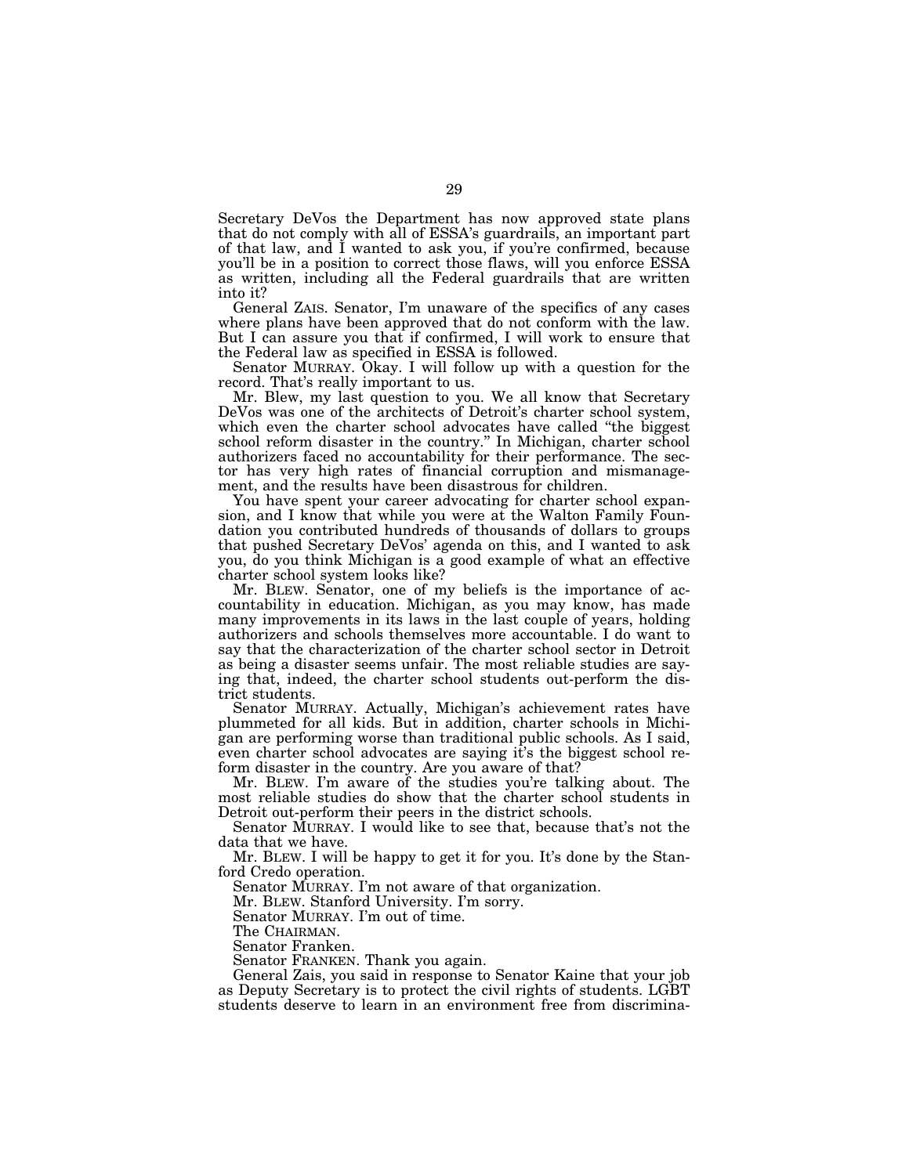Secretary DeVos the Department has now approved state plans that do not comply with all of ESSA's guardrails, an important part of that law, and I wanted to ask you, if you're confirmed, because you'll be in a position to correct those flaws, will you enforce ESSA as written, including all the Federal guardrails that are written into it?

General ZAIS. Senator, I'm unaware of the specifics of any cases where plans have been approved that do not conform with the law. But I can assure you that if confirmed, I will work to ensure that the Federal law as specified in ESSA is followed.

Senator MURRAY. Okay. I will follow up with a question for the record. That's really important to us.

Mr. Blew, my last question to you. We all know that Secretary DeVos was one of the architects of Detroit's charter school system, which even the charter school advocates have called ''the biggest school reform disaster in the country.'' In Michigan, charter school authorizers faced no accountability for their performance. The sector has very high rates of financial corruption and mismanagement, and the results have been disastrous for children.

You have spent your career advocating for charter school expansion, and I know that while you were at the Walton Family Foundation you contributed hundreds of thousands of dollars to groups that pushed Secretary DeVos' agenda on this, and I wanted to ask you, do you think Michigan is a good example of what an effective charter school system looks like?

Mr. BLEW. Senator, one of my beliefs is the importance of accountability in education. Michigan, as you may know, has made many improvements in its laws in the last couple of years, holding authorizers and schools themselves more accountable. I do want to say that the characterization of the charter school sector in Detroit as being a disaster seems unfair. The most reliable studies are saying that, indeed, the charter school students out-perform the district students.

Senator MURRAY. Actually, Michigan's achievement rates have plummeted for all kids. But in addition, charter schools in Michigan are performing worse than traditional public schools. As I said, even charter school advocates are saying it's the biggest school reform disaster in the country. Are you aware of that?

Mr. BLEW. I'm aware of the studies you're talking about. The most reliable studies do show that the charter school students in Detroit out-perform their peers in the district schools.

Senator MURRAY. I would like to see that, because that's not the data that we have.

Mr. BLEW. I will be happy to get it for you. It's done by the Stanford Credo operation.

Senator MURRAY. I'm not aware of that organization.

Mr. BLEW. Stanford University. I'm sorry.

Senator MURRAY. I'm out of time.

The CHAIRMAN. Senator Franken.

Senator FRANKEN. Thank you again.

General Zais, you said in response to Senator Kaine that your job as Deputy Secretary is to protect the civil rights of students. LGBT students deserve to learn in an environment free from discrimina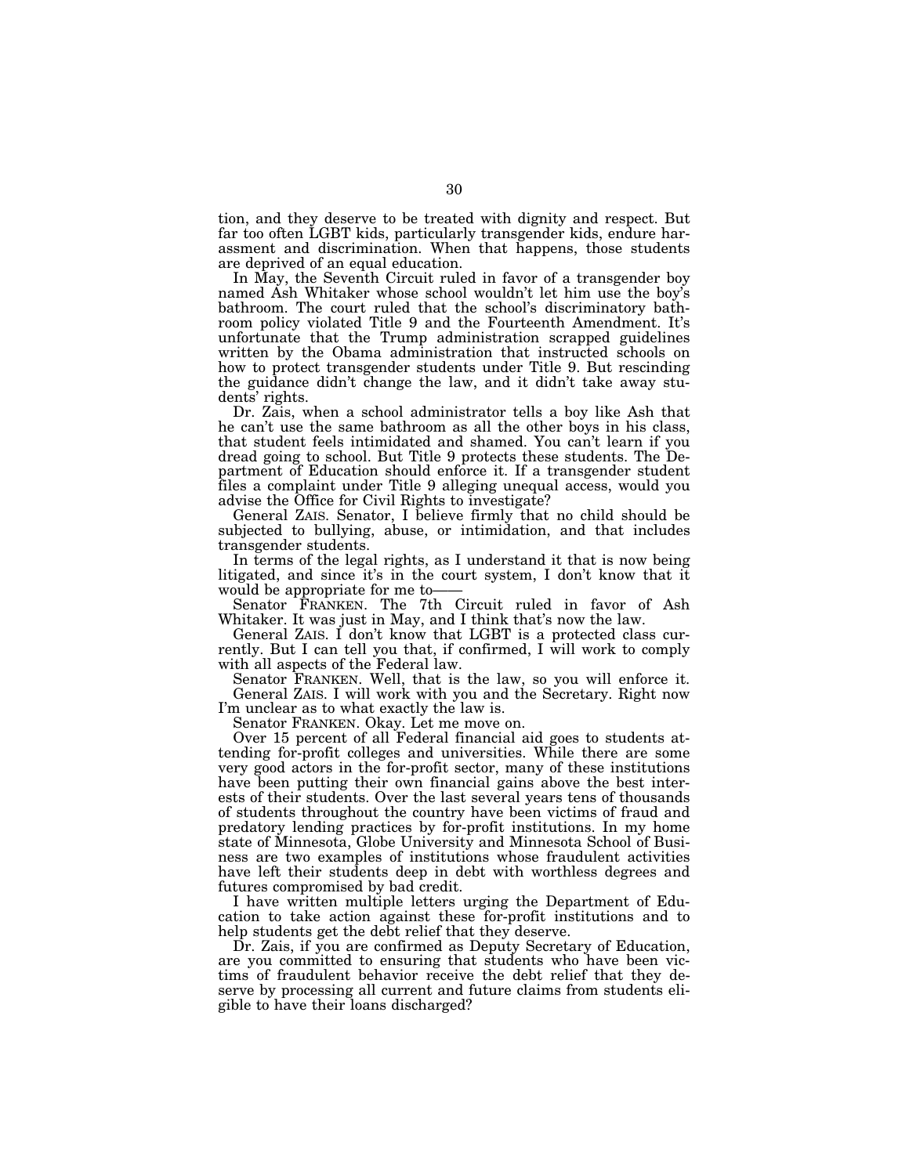tion, and they deserve to be treated with dignity and respect. But far too often LGBT kids, particularly transgender kids, endure harassment and discrimination. When that happens, those students are deprived of an equal education.

In May, the Seventh Circuit ruled in favor of a transgender boy named Ash Whitaker whose school wouldn't let him use the boy's bathroom. The court ruled that the school's discriminatory bathroom policy violated Title 9 and the Fourteenth Amendment. It's unfortunate that the Trump administration scrapped guidelines written by the Obama administration that instructed schools on how to protect transgender students under Title 9. But rescinding the guidance didn't change the law, and it didn't take away students' rights.

Dr. Zais, when a school administrator tells a boy like Ash that he can't use the same bathroom as all the other boys in his class, that student feels intimidated and shamed. You can't learn if you dread going to school. But Title 9 protects these students. The Department of Education should enforce it. If a transgender student files a complaint under Title 9 alleging unequal access, would you advise the Office for Civil Rights to investigate?

General ZAIS. Senator, I believe firmly that no child should be subjected to bullying, abuse, or intimidation, and that includes transgender students.

In terms of the legal rights, as I understand it that is now being litigated, and since it's in the court system, I don't know that it would be appropriate for me to-

Senator FRANKEN. The 7th Circuit ruled in favor of Ash Whitaker. It was just in May, and I think that's now the law.

General ZAIS. I don't know that LGBT is a protected class currently. But I can tell you that, if confirmed, I will work to comply with all aspects of the Federal law.

Senator FRANKEN. Well, that is the law, so you will enforce it. General ZAIS. I will work with you and the Secretary. Right now I'm unclear as to what exactly the law is.

Senator FRANKEN. Okay. Let me move on.

Over 15 percent of all Federal financial aid goes to students attending for-profit colleges and universities. While there are some very good actors in the for-profit sector, many of these institutions have been putting their own financial gains above the best interests of their students. Over the last several years tens of thousands of students throughout the country have been victims of fraud and predatory lending practices by for-profit institutions. In my home state of Minnesota, Globe University and Minnesota School of Business are two examples of institutions whose fraudulent activities have left their students deep in debt with worthless degrees and futures compromised by bad credit.

I have written multiple letters urging the Department of Education to take action against these for-profit institutions and to help students get the debt relief that they deserve.

Dr. Zais, if you are confirmed as Deputy Secretary of Education, are you committed to ensuring that students who have been victims of fraudulent behavior receive the debt relief that they deserve by processing all current and future claims from students eligible to have their loans discharged?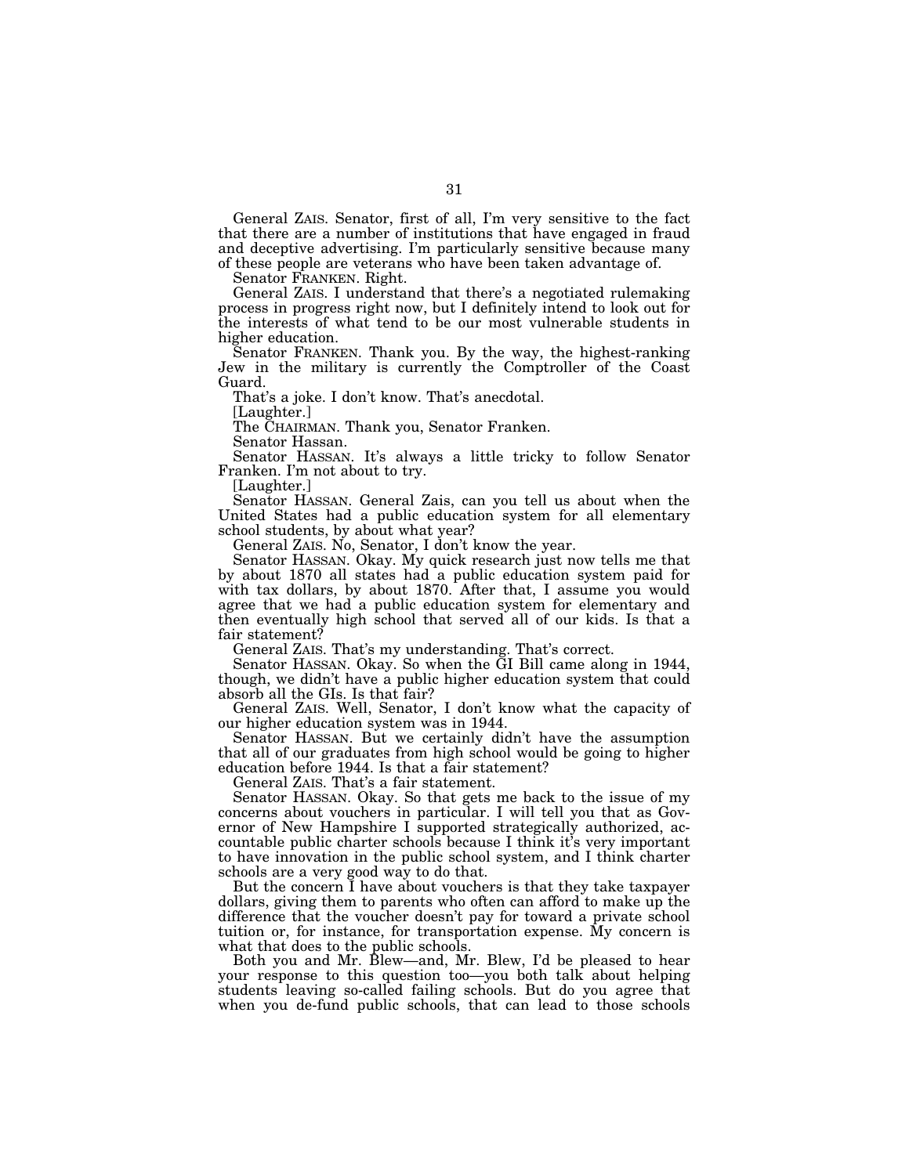General ZAIS. Senator, first of all, I'm very sensitive to the fact that there are a number of institutions that have engaged in fraud and deceptive advertising. I'm particularly sensitive because many of these people are veterans who have been taken advantage of.

Senator FRANKEN. Right.

General ZAIS. I understand that there's a negotiated rulemaking process in progress right now, but I definitely intend to look out for the interests of what tend to be our most vulnerable students in higher education.

Senator FRANKEN. Thank you. By the way, the highest-ranking Jew in the military is currently the Comptroller of the Coast Guard.

That's a joke. I don't know. That's anecdotal.

[Laughter.]

The CHAIRMAN. Thank you, Senator Franken.

Senator Hassan.

Senator HASSAN. It's always a little tricky to follow Senator Franken. I'm not about to try.

[Laughter.]

Senator HASSAN. General Zais, can you tell us about when the United States had a public education system for all elementary school students, by about what year?

General ZAIS. No, Senator, I don't know the year.

Senator HASSAN. Okay. My quick research just now tells me that by about 1870 all states had a public education system paid for with tax dollars, by about 1870. After that, I assume you would agree that we had a public education system for elementary and then eventually high school that served all of our kids. Is that a fair statement?

General ZAIS. That's my understanding. That's correct.

Senator HASSAN. Okay. So when the GI Bill came along in 1944, though, we didn't have a public higher education system that could absorb all the GIs. Is that fair?

General ZAIS. Well, Senator, I don't know what the capacity of our higher education system was in 1944.

Senator HASSAN. But we certainly didn't have the assumption that all of our graduates from high school would be going to higher education before 1944. Is that a fair statement?

General ZAIS. That's a fair statement.

Senator HASSAN. Okay. So that gets me back to the issue of my concerns about vouchers in particular. I will tell you that as Governor of New Hampshire I supported strategically authorized, accountable public charter schools because I think it's very important to have innovation in the public school system, and I think charter schools are a very good way to do that.

But the concern I have about vouchers is that they take taxpayer dollars, giving them to parents who often can afford to make up the difference that the voucher doesn't pay for toward a private school tuition or, for instance, for transportation expense. My concern is what that does to the public schools.

Both you and Mr. Blew—and, Mr. Blew, I'd be pleased to hear your response to this question too—you both talk about helping students leaving so-called failing schools. But do you agree that when you de-fund public schools, that can lead to those schools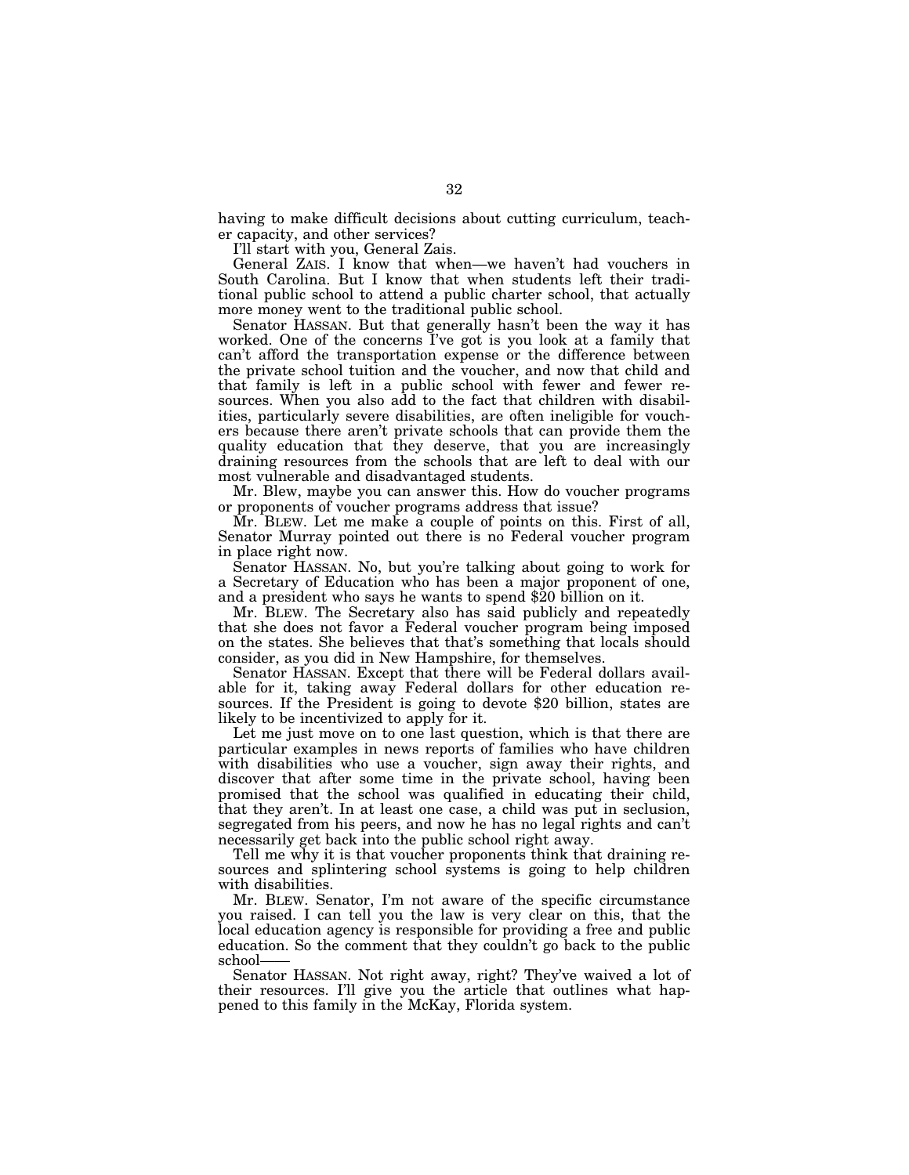having to make difficult decisions about cutting curriculum, teacher capacity, and other services?

I'll start with you, General Zais.

General ZAIS. I know that when—we haven't had vouchers in South Carolina. But I know that when students left their traditional public school to attend a public charter school, that actually more money went to the traditional public school.

Senator HASSAN. But that generally hasn't been the way it has worked. One of the concerns I've got is you look at a family that can't afford the transportation expense or the difference between the private school tuition and the voucher, and now that child and that family is left in a public school with fewer and fewer resources. When you also add to the fact that children with disabilities, particularly severe disabilities, are often ineligible for vouchers because there aren't private schools that can provide them the quality education that they deserve, that you are increasingly draining resources from the schools that are left to deal with our most vulnerable and disadvantaged students.

Mr. Blew, maybe you can answer this. How do voucher programs or proponents of voucher programs address that issue?

Mr. BLEW. Let me make a couple of points on this. First of all, Senator Murray pointed out there is no Federal voucher program in place right now.

Senator HASSAN. No, but you're talking about going to work for a Secretary of Education who has been a major proponent of one, and a president who says he wants to spend \$20 billion on it.

Mr. BLEW. The Secretary also has said publicly and repeatedly that she does not favor a Federal voucher program being imposed on the states. She believes that that's something that locals should consider, as you did in New Hampshire, for themselves.

Senator HASSAN. Except that there will be Federal dollars available for it, taking away Federal dollars for other education resources. If the President is going to devote \$20 billion, states are likely to be incentivized to apply for it.

Let me just move on to one last question, which is that there are particular examples in news reports of families who have children with disabilities who use a voucher, sign away their rights, and discover that after some time in the private school, having been promised that the school was qualified in educating their child, that they aren't. In at least one case, a child was put in seclusion, segregated from his peers, and now he has no legal rights and can't necessarily get back into the public school right away.

Tell me why it is that voucher proponents think that draining resources and splintering school systems is going to help children with disabilities.

Mr. BLEW. Senator, I'm not aware of the specific circumstance you raised. I can tell you the law is very clear on this, that the local education agency is responsible for providing a free and public education. So the comment that they couldn't go back to the public school-

Senator HASSAN. Not right away, right? They've waived a lot of their resources. I'll give you the article that outlines what happened to this family in the McKay, Florida system.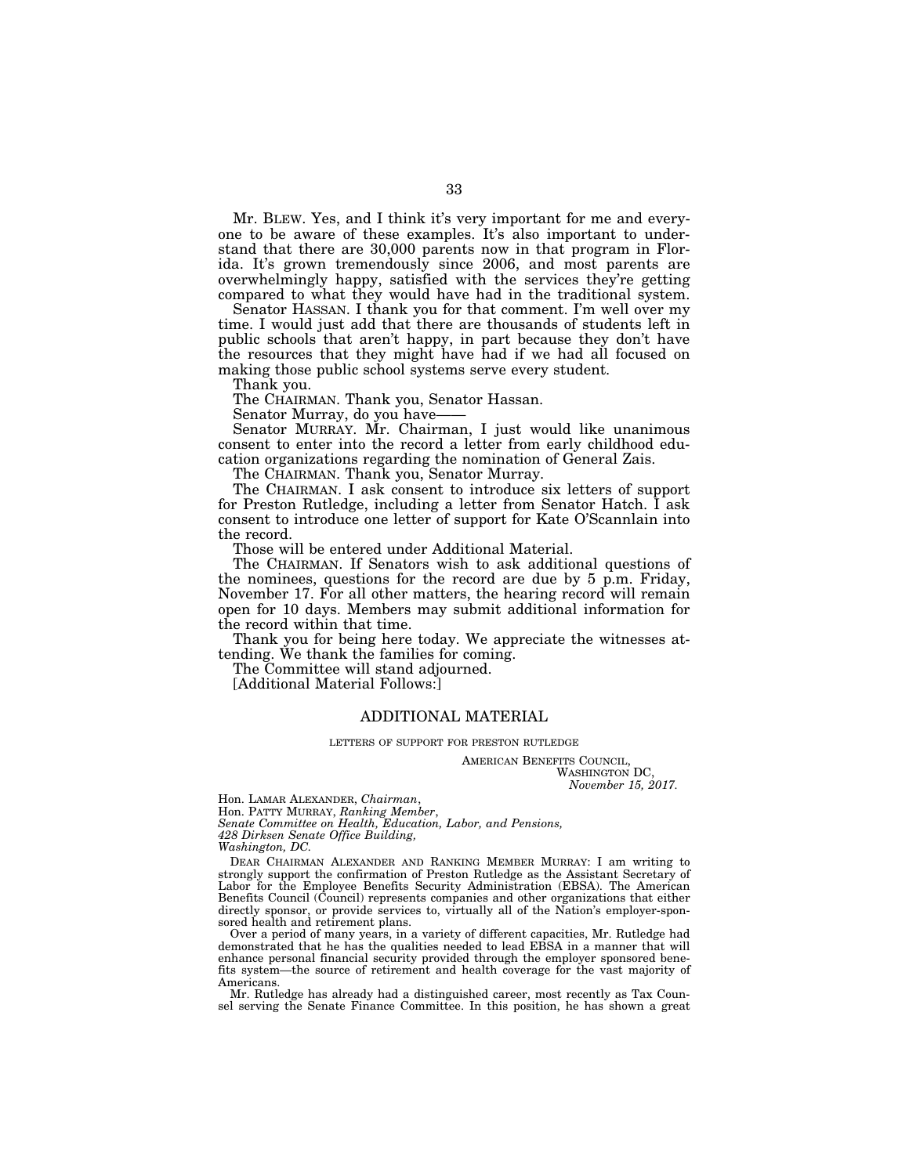Mr. BLEW. Yes, and I think it's very important for me and everyone to be aware of these examples. It's also important to understand that there are 30,000 parents now in that program in Florida. It's grown tremendously since 2006, and most parents are overwhelmingly happy, satisfied with the services they're getting compared to what they would have had in the traditional system.

Senator HASSAN. I thank you for that comment. I'm well over my time. I would just add that there are thousands of students left in public schools that aren't happy, in part because they don't have the resources that they might have had if we had all focused on making those public school systems serve every student.

Thank you.

The CHAIRMAN. Thank you, Senator Hassan.

Senator Murray, do you have——

Senator MURRAY. Mr. Chairman, I just would like unanimous consent to enter into the record a letter from early childhood education organizations regarding the nomination of General Zais.

The CHAIRMAN. Thank you, Senator Murray.

The CHAIRMAN. I ask consent to introduce six letters of support for Preston Rutledge, including a letter from Senator Hatch. I ask consent to introduce one letter of support for Kate O'Scannlain into the record.

Those will be entered under Additional Material.

The CHAIRMAN. If Senators wish to ask additional questions of the nominees, questions for the record are due by 5 p.m. Friday, November 17. For all other matters, the hearing record will remain open for 10 days. Members may submit additional information for the record within that time.

Thank you for being here today. We appreciate the witnesses attending. We thank the families for coming.

The Committee will stand adjourned.

[Additional Material Follows:]

#### ADDITIONAL MATERIAL

LETTERS OF SUPPORT FOR PRESTON RUTLEDGE

AMERICAN BENEFITS COUNCIL, WASHINGTON DC. *November 15, 2017.* 

Hon. LAMAR ALEXANDER, *Chairman*,

Hon. PATTY MURRAY, *Ranking Member*,

*Senate Committee on Health, Education, Labor, and Pensions, 428 Dirksen Senate Office Building,* 

*Washington, DC.* 

DEAR CHAIRMAN ALEXANDER AND RANKING MEMBER MURRAY: I am writing to strongly support the confirmation of Preston Rutledge as the Assistant Secretary of Labor for the Employee Benefits Security Administration (EBSA). The American Benefits Council (Council) represents companies and other organizations that either directly sponsor, or provide services to, virtually all of the Nation's employer-sponsored health and retirement plans.

Over a period of many years, in a variety of different capacities, Mr. Rutledge had demonstrated that he has the qualities needed to lead EBSA in a manner that will enhance personal financial security provided through the employer sponsored benefits system—the source of retirement and health coverage for the vast majority of Americans.

Mr. Rutledge has already had a distinguished career, most recently as Tax Counsel serving the Senate Finance Committee. In this position, he has shown a great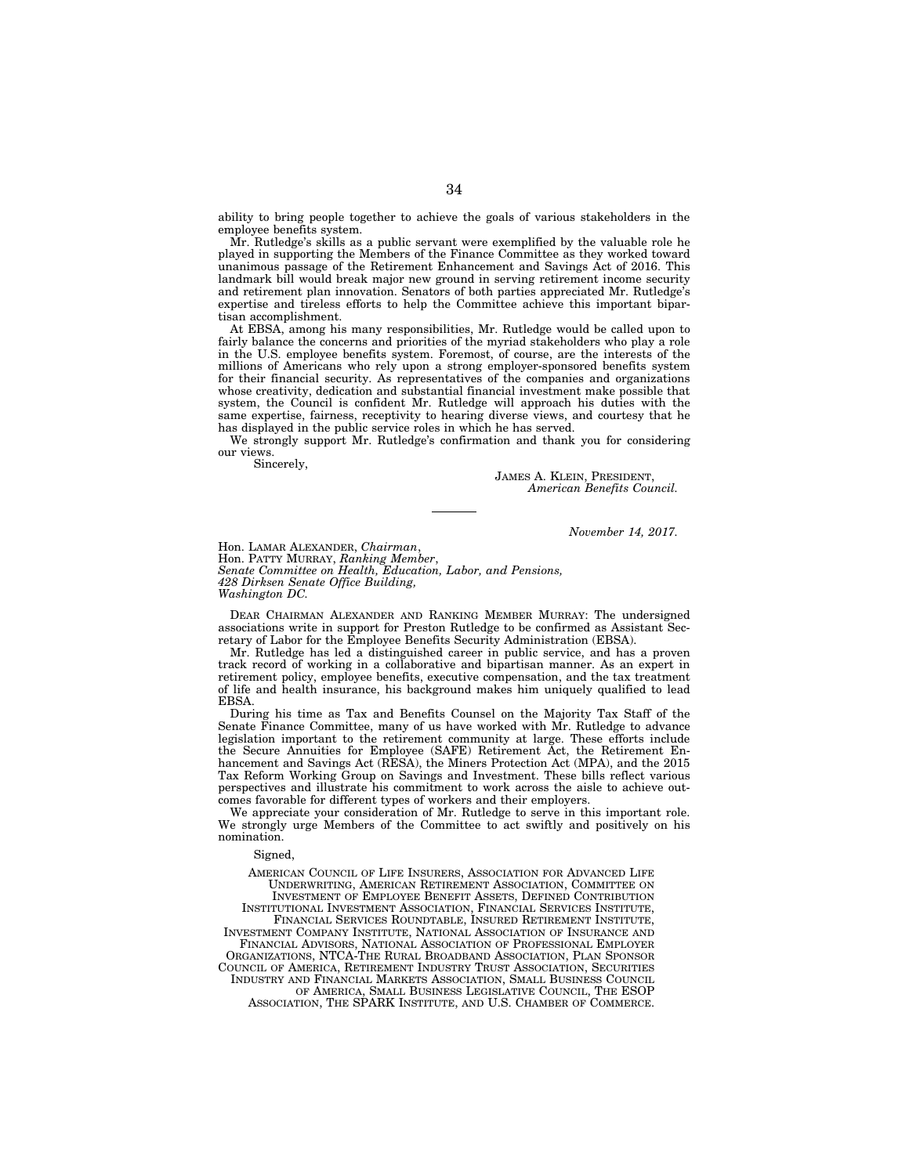ability to bring people together to achieve the goals of various stakeholders in the employee benefits system.

Mr. Rutledge's skills as a public servant were exemplified by the valuable role he played in supporting the Members of the Finance Committee as they worked toward unanimous passage of the Retirement Enhancement and Savings Act of 2016. This landmark bill would break major new ground in serving retirement income security and retirement plan innovation. Senators of both parties appreciated Mr. Rutledge's expertise and tireless efforts to help the Committee achieve this important bipartisan accomplishment.

At EBSA, among his many responsibilities, Mr. Rutledge would be called upon to fairly balance the concerns and priorities of the myriad stakeholders who play a role in the U.S. employee benefits system. Foremost, of course, are the interests of the millions of Americans who rely upon a strong employer-sponsored benefits system for their financial security. As representatives of the companies and organizations whose creativity, dedication and substantial financial investment make possible that system, the Council is confident Mr. Rutledge will approach his duties with the same expertise, fairness, receptivity to hearing diverse views, and courtesy that he has displayed in the public service roles in which he has served.

We strongly support Mr. Rutledge's confirmation and thank you for considering our views.

Sincerely,

JAMES A. KLEIN, PRESIDENT, *American Benefits Council.* 

*November 14, 2017.* 

Hon. LAMAR ALEXANDER, *Chairman*, Hon. PATTY MURRAY, *Ranking Member*, *Senate Committee on Health, Education, Labor, and Pensions, 428 Dirksen Senate Office Building, Washington DC.* 

DEAR CHAIRMAN ALEXANDER AND RANKING MEMBER MURRAY: The undersigned associations write in support for Preston Rutledge to be confirmed as Assistant Secretary of Labor for the Employee Benefits Security Administration (EBSA).

Mr. Rutledge has led a distinguished career in public service, and has a proven track record of working in a collaborative and bipartisan manner. As an expert in retirement policy, employee benefits, executive compensation, and the tax treatment of life and health insurance, his background makes him uniquely qualified to lead EBSA.

During his time as Tax and Benefits Counsel on the Majority Tax Staff of the Senate Finance Committee, many of us have worked with Mr. Rutledge to advance legislation important to the retirement community at large. These efforts include the Secure Annuities for Employee (SAFE) Retirement Act, the Retirement Enhancement and Savings Act (RESA), the Miners Protection Act (MPA), and the 2015 Tax Reform Working Group on Savings and Investment. These bills reflect various perspectives and illustrate his commitment to work across the aisle to achieve outcomes favorable for different types of workers and their employers.

We appreciate your consideration of Mr. Rutledge to serve in this important role. We strongly urge Members of the Committee to act swiftly and positively on his nomination.

#### Signed,

AMERICAN COUNCIL OF LIFE INSURERS, ASSOCIATION FOR ADVANCED LIFE UNDERWRITING, AMERICAN RETIREMENT ASSOCIATION, COMMITTEE ON INVESTMENT OF EMPLOYEE BENEFIT ASSETS, DEFINED CONTRIBUTION INSTITUTIONAL INVESTMENT ASSOCIATION, FINANCIAL SERVICES INSTITUTE, FINANCIAL SERVICES ROUNDTABLE, INSURED RETIREMENT INSTITUTE, INVESTMENT COMPANY INSTITUTE, NATIONAL ASSOCIATION OF INSURANCE AND FINANCIAL ADVISORS, NATIONAL ASSOCIATION OF PROFESSIONAL EMPLOYER ORGANIZATIONS, NTCA-THE RURAL BROADBAND ASSOCIATION, PLAN SPONSOR COUNCIL OF AMERICA, RETIREMENT INDUSTRY TRUST ASSOCIATION, SECURITIES INDUSTRY AND FINANCIAL MARKETS ASSOCIATION, SMALL BUSINESS COUNCIL OF AMERICA, SMALL BUSINESS LEGISLATIVE COUNCIL, THE ESOP ASSOCIATION, THE SPARK INSTITUTE, AND U.S. CHAMBER OF COMMERCE.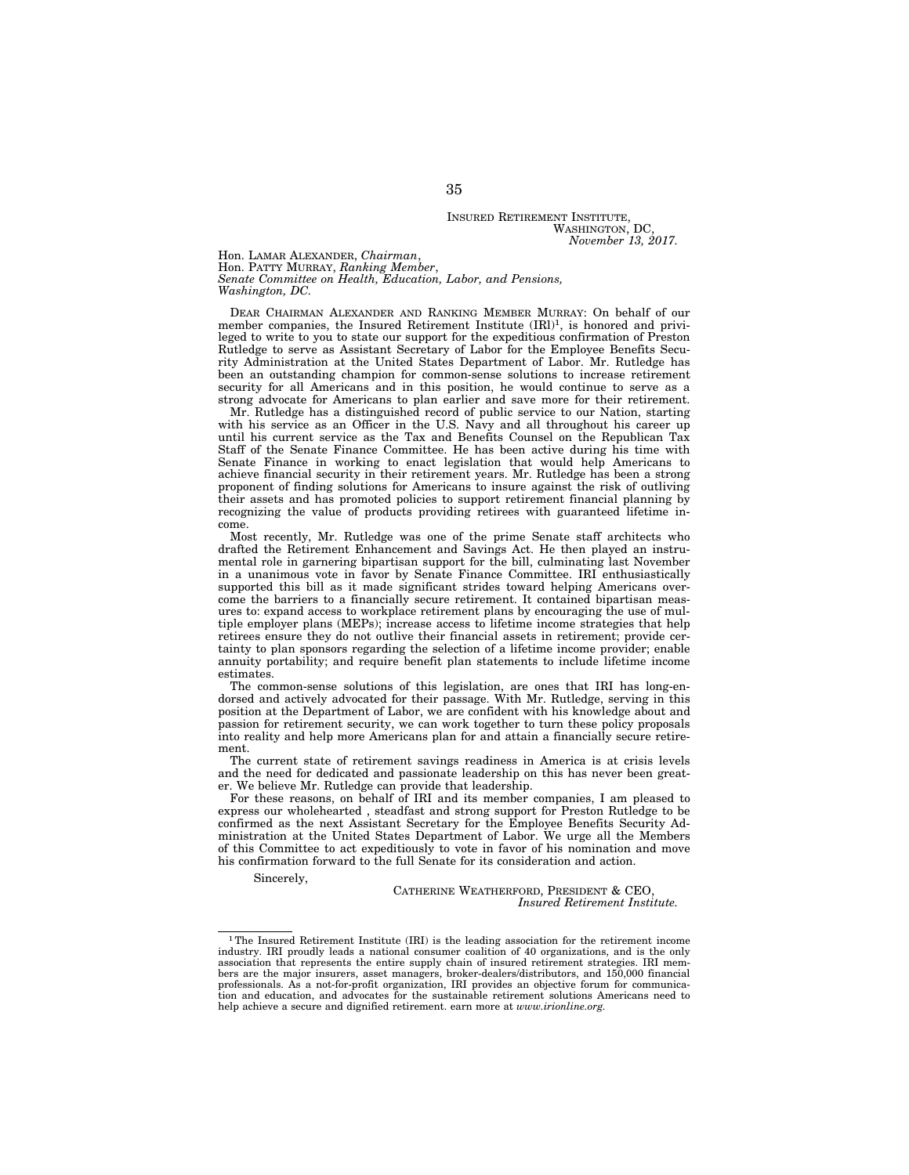#### INSURED RETIREMENT INSTITUTE, WASHINGTON, DC *November 13, 2017.*

Hon. LAMAR ALEXANDER, *Chairman*, Hon. PATTY MURRAY, *Ranking Member*, *Senate Committee on Health, Education, Labor, and Pensions, Washington, DC.* 

DEAR CHAIRMAN ALEXANDER AND RANKING MEMBER MURRAY: On behalf of our member companies, the Insured Retirement Institute (IRl)<sup>1</sup>, is honored and privileged to write to you to state our support for the expeditious confirmation of Preston Rutledge to serve as Assistant Secretary of Labor for the Employee Benefits Security Administration at the United States Department of Labor. Mr. Rutledge has been an outstanding champion for common-sense solutions to increase retirement security for all Americans and in this position, he would continue to serve as a strong advocate for Americans to plan earlier and save more for their retirement.

Mr. Rutledge has a distinguished record of public service to our Nation, starting with his service as an Officer in the U.S. Navy and all throughout his career up until his current service as the Tax and Benefits Counsel on the Republican Tax Staff of the Senate Finance Committee. He has been active during his time with Senate Finance in working to enact legislation that would help Americans to achieve financial security in their retirement years. Mr. Rutledge has been a strong proponent of finding solutions for Americans to insure against the risk of outliving their assets and has promoted policies to support retirement financial planning by recognizing the value of products providing retirees with guaranteed lifetime income.

Most recently, Mr. Rutledge was one of the prime Senate staff architects who drafted the Retirement Enhancement and Savings Act. He then played an instrumental role in garnering bipartisan support for the bill, culminating last November in a unanimous vote in favor by Senate Finance Committee. IRI enthusiastically supported this bill as it made significant strides toward helping Americans overcome the barriers to a financially secure retirement. It contained bipartisan measures to: expand access to workplace retirement plans by encouraging the use of multiple employer plans (MEPs); increase access to lifetime income strategies that help retirees ensure they do not outlive their financial assets in retirement; provide certainty to plan sponsors regarding the selection of a lifetime income provider; enable annuity portability; and require benefit plan statements to include lifetime income estimates.

The common-sense solutions of this legislation, are ones that IRI has long-endorsed and actively advocated for their passage. With Mr. Rutledge, serving in this position at the Department of Labor, we are confident with his knowledge about and passion for retirement security, we can work together to turn these policy proposals into reality and help more Americans plan for and attain a financially secure retirement.

The current state of retirement savings readiness in America is at crisis levels and the need for dedicated and passionate leadership on this has never been greater. We believe Mr. Rutledge can provide that leadership.

For these reasons, on behalf of IRI and its member companies, I am pleased to express our wholehearted , steadfast and strong support for Preston Rutledge to be confirmed as the next Assistant Secretary for the Employee Benefits Security Administration at the United States Department of Labor. We urge all the Members of this Committee to act expeditiously to vote in favor of his nomination and move his confirmation forward to the full Senate for its consideration and action.

Sincerely,

CATHERINE WEATHERFORD, PRESIDENT & CEO, *Insured Retirement Institute.* 

<sup>1</sup>The Insured Retirement Institute (IRI) is the leading association for the retirement income industry. IRI proudly leads a national consumer coalition of 40 organizations, and is the only association that represents the entire supply chain of insured retirement strategies. IRI members are the major insurers, asset managers, broker-dealers/distributors, and 150,000 financial professionals. As a not-for-profit organization, IRI provides an objective forum for communication and education, and advocates for the sustainable retirement solutions Americans need to help achieve a secure and dignified retirement. earn more at *www.irionline.org.*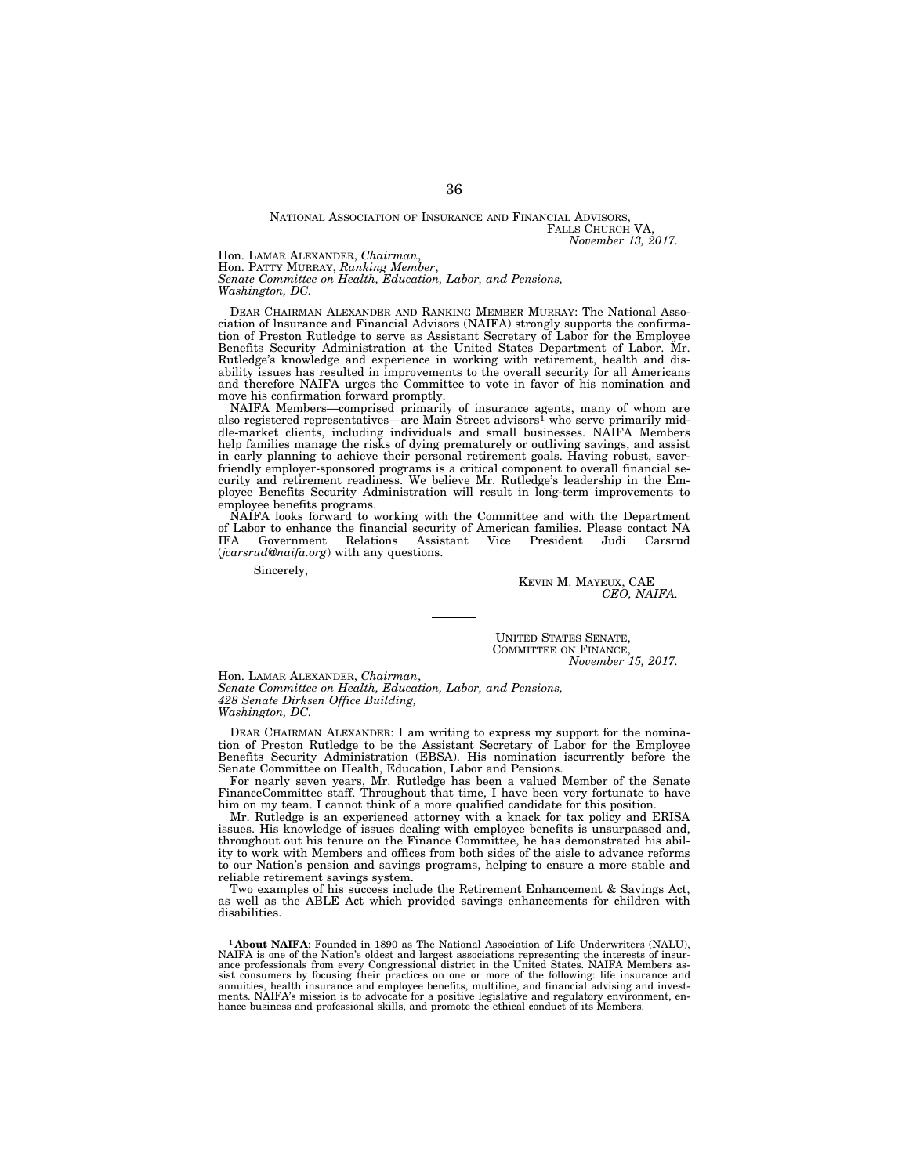#### NATIONAL ASSOCIATION OF INSURANCE AND FINANCIAL ADVISORS, FALLS CHURCH VA *November 13, 2017.*

Hon. LAMAR ALEXANDER, *Chairman*,

Hon. PATTY MURRAY, *Ranking Member*,

*Senate Committee on Health, Education, Labor, and Pensions,* 

*Washington, DC.* 

DEAR CHAIRMAN ALEXANDER AND RANKING MEMBER MURRAY: The National Association of lnsurance and Financial Advisors (NAIFA) strongly supports the confirmation of Preston Rutledge to serve as Assistant Secretary of Labor for the Employee Benefits Security Administration at the United States Department of Labor. Mr. Rutledge's knowledge and experience in working with retirement, health and disability issues has resulted in improvements to the overall security for all Americans and therefore NAIFA urges the Committee to vote in favor of his nomination and move his confirmation forward promptly.

NAIFA Members—comprised primarily of insurance agents, many of whom are also registered representatives—are Main Street advisors<sup>1</sup> who serve primarily middle-market clients, including individuals and small businesses. NAIFA Members help families manage the risks of dying prematurely or outliving savings, and assist in early planning to achieve their personal retirement goals. Having robust, saverfriendly employer-sponsored programs is a critical component to overall financial security and retirement readiness. We believe Mr. Rutledge's leadership in the Employee Benefits Security Administration will result in long-term improvements to employee benefits programs.

NAIFA looks forward to working with the Committee and with the Department of Labor to enhance the financial security of American families. Please contact NA IFA Government Relations Assistant Vice President Judi Carsrud (*jcarsrud@naifa.org*) with any questions.

Sincerely,

KEVIN M. MAYEUX, CAE *CEO, NAIFA.* 

UNITED STATES SENATE, COMMITTEE ON FINANCE, *November 15, 2017.* 

Hon. LAMAR ALEXANDER, *Chairman*, *Senate Committee on Health, Education, Labor, and Pensions, 428 Senate Dirksen Office Building, Washington, DC.* 

DEAR CHAIRMAN ALEXANDER: I am writing to express my support for the nomination of Preston Rutledge to be the Assistant Secretary of Labor for the Employee Benefits Security Administration (EBSA). His nomination iscurrently before the Senate Committee on Health, Education, Labor and Pensions.

For nearly seven years, Mr. Rutledge has been a valued Member of the Senate FinanceCommittee staff. Throughout that time, I have been very fortunate to have him on my team. I cannot think of a more qualified candidate for this position.

Mr. Rutledge is an experienced attorney with a knack for tax policy and ERISA issues. His knowledge of issues dealing with employee benefits is unsurpassed and, throughout out his tenure on the Finance Committee, he has demonstrated his ability to work with Members and offices from both sides of the aisle to advance reforms to our Nation's pension and savings programs, helping to ensure a more stable and reliable retirement savings system.

Two examples of his success include the Retirement Enhancement & Savings Act, as well as the ABLE Act which provided savings enhancements for children with disabilities.

<sup>1</sup>**About NAIFA**: Founded in 1890 as The National Association of Life Underwriters (NALU), NAIFA is one of the Nation's oldest and largest associations representing the interests of insurance professionals from every Congressional district in the United States. NAIFA Members as-sist consumers by focusing their practices on one or more of the following: life insurance and annuities, health insurance and employee benefits, multiline, and financial advising and investments. NAIFA's mission is to advocate for a positive legislative and regulatory environment, en-hance business and professional skills, and promote the ethical conduct of its Members.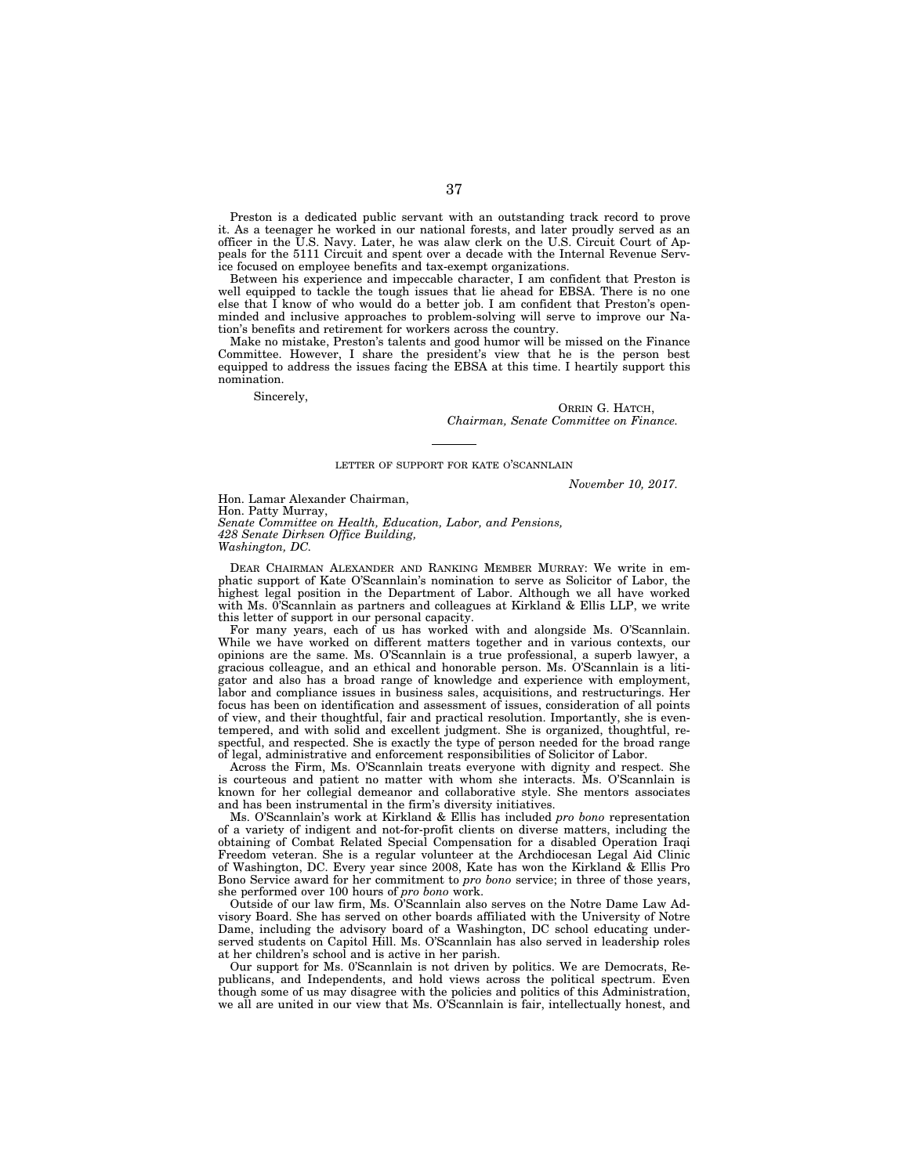Preston is a dedicated public servant with an outstanding track record to prove it. As a teenager he worked in our national forests, and later proudly served as an officer in the U.S. Navy. Later, he was alaw clerk on the U.S. Circuit Court of Appeals for the 5111 Circuit and spent over a decade with the Internal Revenue Service focused on employee benefits and tax-exempt organizations.

Between his experience and impeccable character, I am confident that Preston is well equipped to tackle the tough issues that lie ahead for EBSA. There is no one else that  $\overline{I}$  know of who would do a better job. I am confident that Preston's openminded and inclusive approaches to problem-solving will serve to improve our Nation's benefits and retirement for workers across the country.

Make no mistake, Preston's talents and good humor will be missed on the Finance Committee. However, I share the president's view that he is the person best equipped to address the issues facing the EBSA at this time. I heartily support this nomination.

Sincerely,

ORRIN G. HATCH, *Chairman, Senate Committee on Finance.* 

#### LETTER OF SUPPORT FOR KATE O'SCANNLAIN

*November 10, 2017.* 

Hon. Lamar Alexander Chairman, Hon. Patty Murray, *Senate Committee on Health, Education, Labor, and Pensions, 428 Senate Dirksen Office Building, Washington, DC.* 

DEAR CHAIRMAN ALEXANDER AND RANKING MEMBER MURRAY: We write in emphatic support of Kate O'Scannlain's nomination to serve as Solicitor of Labor, the highest legal position in the Department of Labor. Although we all have worked with Ms. 0'Scannlain as partners and colleagues at Kirkland & Ellis LLP, we write this letter of support in our personal capacity.

For many years, each of us has worked with and alongside Ms. O'Scannlain. While we have worked on different matters together and in various contexts, our opinions are the same. Ms. O'Scannlain is a true professional, a superb lawyer, a gracious colleague, and an ethical and honorable person. Ms. O'Scannlain is a litigator and also has a broad range of knowledge and experience with employment, labor and compliance issues in business sales, acquisitions, and restructurings. Her focus has been on identification and assessment of issues, consideration of all points of view, and their thoughtful, fair and practical resolution. Importantly, she is eventempered, and with solid and excellent judgment. She is organized, thoughtful, respectful, and respected. She is exactly the type of person needed for the broad range of legal, administrative and enforcement responsibilities of Solicitor of Labor.

Across the Firm, Ms. O'Scannlain treats everyone with dignity and respect. She is courteous and patient no matter with whom she interacts. Ms. O'Scannlain is known for her collegial demeanor and collaborative style. She mentors associates and has been instrumental in the firm's diversity initiatives.

Ms. O'Scannlain's work at Kirkland & Ellis has included *pro bono* representation of a variety of indigent and not-for-profit clients on diverse matters, including the obtaining of Combat Related Special Compensation for a disabled Operation Iraqi Freedom veteran. She is a regular volunteer at the Archdiocesan Legal Aid Clinic of Washington, DC. Every year since 2008, Kate has won the Kirkland & Ellis Pro Bono Service award for her commitment to *pro bono* service; in three of those years, she performed over 100 hours of *pro bono* work.

Outside of our law firm, Ms. O'Scannlain also serves on the Notre Dame Law Advisory Board. She has served on other boards affiliated with the University of Notre Dame, including the advisory board of a Washington, DC school educating underserved students on Capitol Hill. Ms. O'Scannlain has also served in leadership roles at her children's school and is active in her parish.

Our support for Ms. 0'Scannlain is not driven by politics. We are Democrats, Republicans, and Independents, and hold views across the political spectrum. Even though some of us may disagree with the policies and politics of this Administration, we all are united in our view that Ms. O'Scannlain is fair, intellectually honest, and